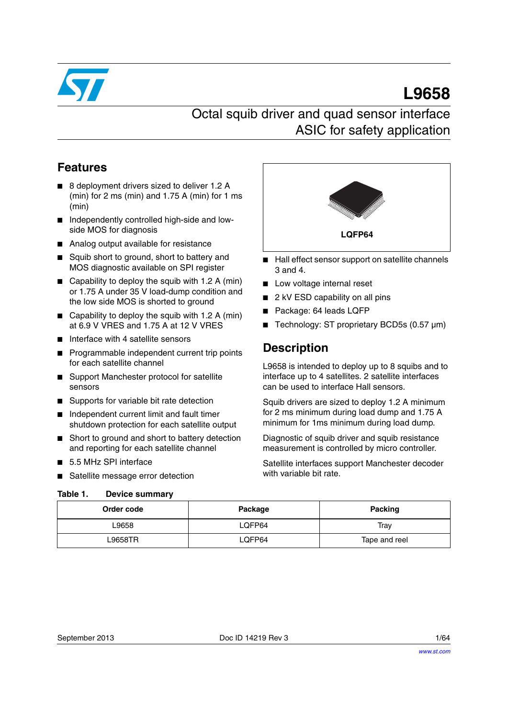

# **L9658**

# Octal squib driver and quad sensor interface ASIC for safety application

# **Features**

- 8 deployment drivers sized to deliver 1.2 A (min) for 2 ms (min) and 1.75 A (min) for 1 ms (min)
- Independently controlled high-side and lowside MOS for diagnosis
- Analog output available for resistance
- Squib short to ground, short to battery and MOS diagnostic available on SPI register
- Capability to deploy the squib with 1.2 A (min) or 1.75 A under 35 V load-dump condition and the low side MOS is shorted to ground
- Capability to deploy the squib with 1.2 A (min) at 6.9 V VRES and 1.75 A at 12 V VRES
- Interface with 4 satellite sensors
- Programmable independent current trip points for each satellite channel
- Support Manchester protocol for satellite sensors
- Supports for variable bit rate detection
- Independent current limit and fault timer shutdown protection for each satellite output
- Short to ground and short to battery detection and reporting for each satellite channel
- 5.5 MHz SPI interface
- Satellite message error detection

### <span id="page-0-0"></span>**Table 1. Device summary**



- Hall effect sensor support on satellite channels 3 and 4.
- Low voltage internal reset
- 2 kV ESD capability on all pins
- Package: 64 leads LQFP
- Technology: ST proprietary BCD5s (0.57 µm)

# **Description**

L9658 is intended to deploy up to 8 squibs and to interface up to 4 satellites. 2 satellite interfaces can be used to interface Hall sensors.

Squib drivers are sized to deploy 1.2 A minimum for 2 ms minimum during load dump and 1.75 A minimum for 1ms minimum during load dump.

Diagnostic of squib driver and squib resistance measurement is controlled by micro controller.

Satellite interfaces support Manchester decoder with variable bit rate.

| Order code | Package | Packing       |
|------------|---------|---------------|
| 9658∟      | LQFP64  | Trav          |
| L9658TR    | LQFP64  | Tape and reel |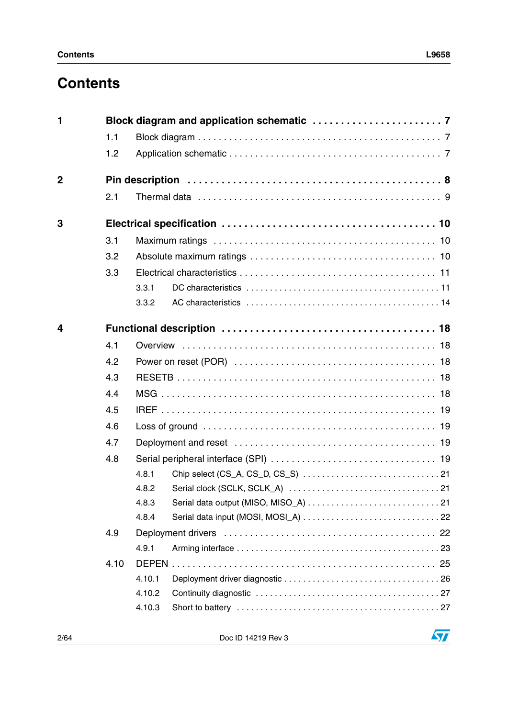# **Contents**

| 1              |      |        |  |
|----------------|------|--------|--|
|                | 1.1  |        |  |
|                | 1.2  |        |  |
| $\overline{2}$ |      |        |  |
|                | 2.1  |        |  |
| 3              |      |        |  |
|                | 3.1  |        |  |
|                | 3.2  |        |  |
|                | 3.3  |        |  |
|                |      | 3.3.1  |  |
|                |      | 3.3.2  |  |
| 4              |      |        |  |
|                | 4.1  |        |  |
|                | 4.2  |        |  |
|                | 4.3  |        |  |
|                | 4.4  |        |  |
|                | 4.5  |        |  |
|                | 4.6  |        |  |
|                | 4.7  |        |  |
|                | 4.8  |        |  |
|                |      | 4.8.1  |  |
|                |      | 4.8.2  |  |
|                |      | 4.8.3  |  |
|                |      | 4.8.4  |  |
|                | 4.9  |        |  |
|                |      | 4.9.1  |  |
|                | 4.10 |        |  |
|                |      | 4.10.1 |  |
|                |      | 4.10.2 |  |
|                |      | 4.10.3 |  |
|                |      |        |  |

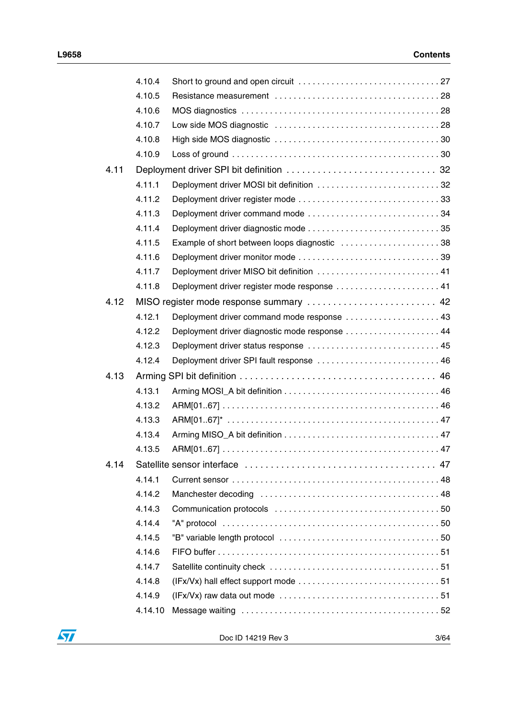|      | 4.10.4  |                                                                                                  |  |
|------|---------|--------------------------------------------------------------------------------------------------|--|
|      | 4.10.5  |                                                                                                  |  |
|      | 4.10.6  |                                                                                                  |  |
|      | 4.10.7  |                                                                                                  |  |
|      | 4.10.8  |                                                                                                  |  |
|      | 4.10.9  |                                                                                                  |  |
| 4.11 |         |                                                                                                  |  |
|      | 4.11.1  | Deployment driver MOSI bit definition 32                                                         |  |
|      | 4.11.2  |                                                                                                  |  |
|      | 4.11.3  |                                                                                                  |  |
|      | 4.11.4  |                                                                                                  |  |
|      | 4.11.5  | Example of short between loops diagnostic  38                                                    |  |
|      | 4.11.6  |                                                                                                  |  |
|      | 4.11.7  | Deployment driver MISO bit definition  41                                                        |  |
|      | 4.11.8  | Deployment driver register mode response  41                                                     |  |
| 4.12 |         | MISO register mode response summary  42                                                          |  |
|      | 4.12.1  | Deployment driver command mode response  43                                                      |  |
|      | 4.12.2  | Deployment driver diagnostic mode response 44                                                    |  |
|      | 4.12.3  | Deployment driver status response  45                                                            |  |
|      | 4.12.4  | Deployment driver SPI fault response  46                                                         |  |
| 4.13 |         |                                                                                                  |  |
|      | 4.13.1  |                                                                                                  |  |
|      | 4.13.2  |                                                                                                  |  |
|      | 4.13.3  |                                                                                                  |  |
|      | 4.13.4  |                                                                                                  |  |
|      | 4.13.5  |                                                                                                  |  |
| 4.14 |         |                                                                                                  |  |
|      | 4.14.1  |                                                                                                  |  |
|      | 4.14.2  |                                                                                                  |  |
|      | 4.14.3  |                                                                                                  |  |
|      | 4.14.4  |                                                                                                  |  |
|      | 4.14.5  |                                                                                                  |  |
|      | 4.14.6  |                                                                                                  |  |
|      | 4.14.7  |                                                                                                  |  |
|      | 4.14.8  |                                                                                                  |  |
|      | 4.14.9  | $(IFx/Vx)$ raw data out mode $\ldots \ldots \ldots \ldots \ldots \ldots \ldots \ldots \ldots 51$ |  |
|      | 4.14.10 |                                                                                                  |  |
|      |         |                                                                                                  |  |



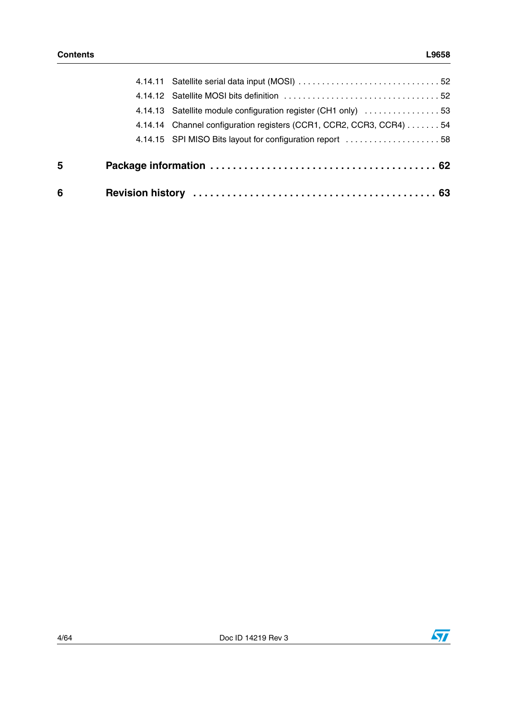| 6 |                                                                     |
|---|---------------------------------------------------------------------|
| 5 |                                                                     |
|   | 4.14.15 SPI MISO Bits layout for configuration report 58            |
|   | 4.14.14 Channel configuration registers (CCR1, CCR2, CCR3, CCR4) 54 |
|   | 4.14.13 Satellite module configuration register (CH1 only) 53       |
|   |                                                                     |
|   |                                                                     |

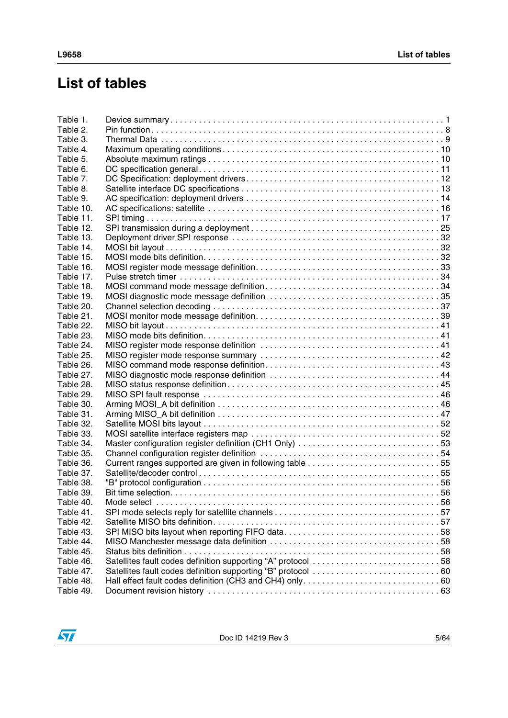# **List of tables**

| Table 1.  |                                                              |  |
|-----------|--------------------------------------------------------------|--|
| Table 2.  |                                                              |  |
| Table 3.  |                                                              |  |
| Table 4.  |                                                              |  |
| Table 5.  |                                                              |  |
| Table 6.  |                                                              |  |
| Table 7.  |                                                              |  |
| Table 8.  |                                                              |  |
| Table 9.  |                                                              |  |
| Table 10. |                                                              |  |
| Table 11. |                                                              |  |
| Table 12. |                                                              |  |
| Table 13. |                                                              |  |
| Table 14. |                                                              |  |
| Table 15. |                                                              |  |
| Table 16. |                                                              |  |
| Table 17. |                                                              |  |
| Table 18. |                                                              |  |
| Table 19. |                                                              |  |
| Table 20. |                                                              |  |
| Table 21. |                                                              |  |
| Table 22. |                                                              |  |
| Table 23. |                                                              |  |
| Table 24. |                                                              |  |
| Table 25. |                                                              |  |
| Table 26. |                                                              |  |
| Table 27. |                                                              |  |
| Table 28. |                                                              |  |
| Table 29. |                                                              |  |
| Table 30. |                                                              |  |
| Table 31. |                                                              |  |
| Table 32. |                                                              |  |
| Table 33. |                                                              |  |
| Table 34. |                                                              |  |
| Table 35. |                                                              |  |
| Table 36. |                                                              |  |
| Table 37. |                                                              |  |
| Table 38. |                                                              |  |
| Table 39. |                                                              |  |
| Table 40. |                                                              |  |
| Table 41. |                                                              |  |
| Table 42. |                                                              |  |
| Table 43. | SPI MISO bits layout when reporting FIFO data58              |  |
| Table 44. |                                                              |  |
| Table 45. |                                                              |  |
| Table 46. | Satellites fault codes definition supporting "A" protocol 58 |  |
| Table 47. |                                                              |  |
| Table 48. |                                                              |  |
| Table 49. |                                                              |  |

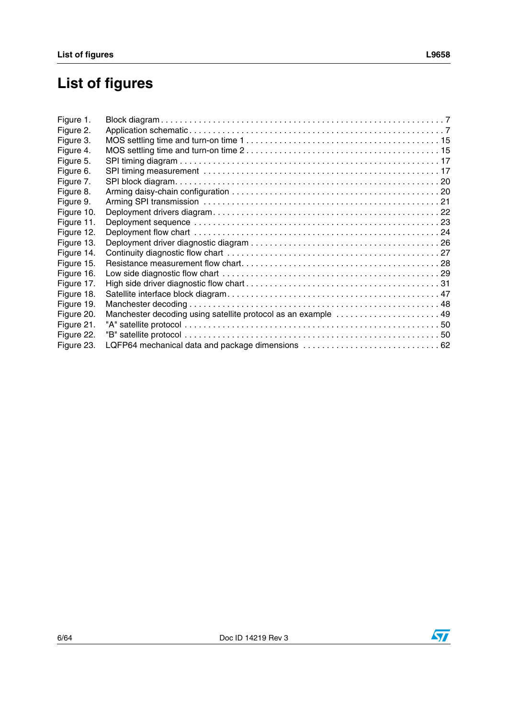# **List of figures**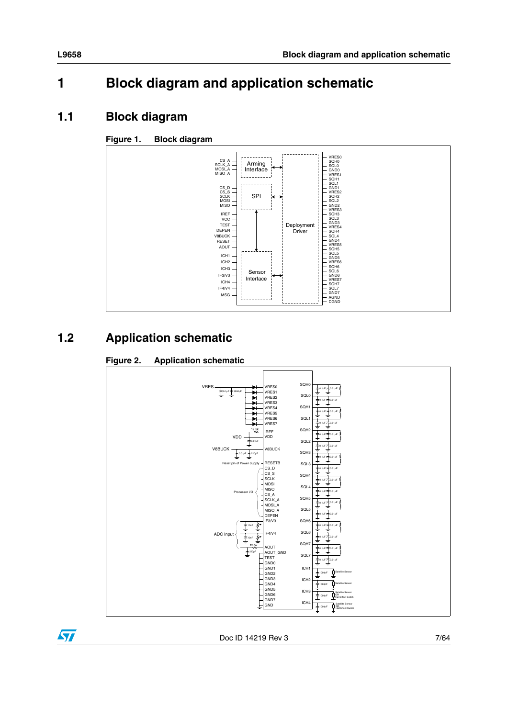# <span id="page-6-0"></span>**1 Block diagram and application schematic**

# <span id="page-6-1"></span>**1.1 Block diagram**

# <span id="page-6-3"></span>**Figure 1. Block diagram**



# <span id="page-6-2"></span>**1.2 Application schematic**

# <span id="page-6-4"></span>**Figure 2. Application schematic**



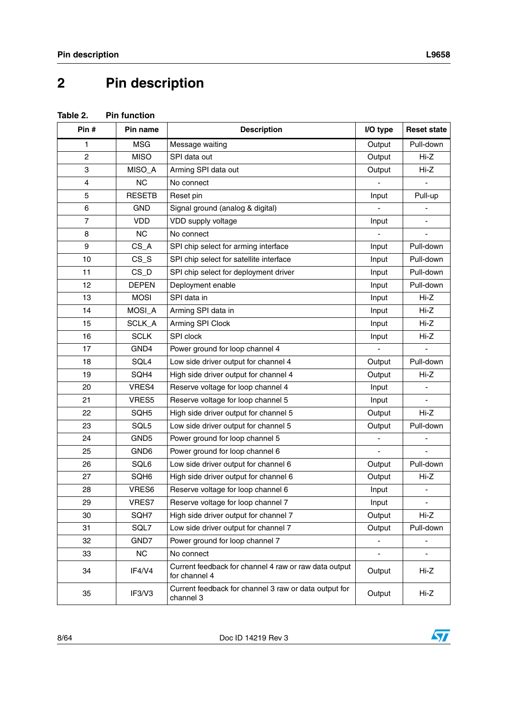# <span id="page-7-0"></span>**2 Pin description**

<span id="page-7-1"></span>

| Table 2. | <b>Pin function</b> |
|----------|---------------------|
|          |                     |

| Pin#                    | Pin name         | <b>Description</b>                                                     | I/O type      | <b>Reset state</b> |
|-------------------------|------------------|------------------------------------------------------------------------|---------------|--------------------|
| 1                       | <b>MSG</b>       | Message waiting                                                        | Output        | Pull-down          |
| $\overline{c}$          | <b>MISO</b>      | SPI data out                                                           | Output        | $Hi-Z$             |
| 3                       | MISO_A           | Arming SPI data out                                                    | Output        | Hi-Z               |
| $\overline{\mathbf{4}}$ | <b>NC</b>        | No connect                                                             |               | $\blacksquare$     |
| 5                       | <b>RESETB</b>    | Reset pin                                                              | Input         | Pull-up            |
| 6                       | <b>GND</b>       | Signal ground (analog & digital)                                       |               |                    |
| $\overline{7}$          | VDD              | VDD supply voltage                                                     | Input         |                    |
| 8                       | <b>NC</b>        | No connect                                                             |               |                    |
| 9                       | $CS_A$           | SPI chip select for arming interface                                   | Input         | Pull-down          |
| 10                      | $CS_S$           | SPI chip select for satellite interface                                | Input         | Pull-down          |
| 11                      | $CS_D$           | SPI chip select for deployment driver                                  | Input         | Pull-down          |
| 12                      | <b>DEPEN</b>     | Deployment enable                                                      | Input         | Pull-down          |
| 13                      | <b>MOSI</b>      | SPI data in                                                            | Input         | Hi-Z               |
| 14                      | MOSI_A           | Arming SPI data in                                                     | Input         | Hi-Z               |
| 15                      | SCLK_A           | Arming SPI Clock                                                       | Input         | Hi-Z               |
| 16                      | <b>SCLK</b>      | SPI clock                                                              | Input         | Hi-Z               |
| 17                      | GND4             | Power ground for loop channel 4                                        |               |                    |
| 18                      | SQL4             | Low side driver output for channel 4                                   | Output        | Pull-down          |
| 19                      | SQH4             | High side driver output for channel 4                                  | Output        | Hi-Z               |
| 20                      | VRES4            | Reserve voltage for loop channel 4                                     | Input         | $\blacksquare$     |
| 21                      | VRES5            | Reserve voltage for loop channel 5                                     | Input         |                    |
| 22                      | SQH5             | High side driver output for channel 5                                  | Output        | $Hi-Z$             |
| 23                      | SQL5             | Low side driver output for channel 5                                   | Output        | Pull-down          |
| 24                      | GND <sub>5</sub> | Power ground for loop channel 5                                        |               |                    |
| 25                      | GND6             | Power ground for loop channel 6                                        |               |                    |
| 26                      | SQL6             | Low side driver output for channel 6                                   | Output        | Pull-down          |
| 27                      | SQH6             | High side driver output for channel 6                                  | Output        | Hi-Z               |
| 28                      | VRES6            | Reserve voltage for loop channel 6                                     | Input         |                    |
| 29                      | VRES7            | Reserve voltage for loop channel 7                                     | Input         |                    |
| 30                      | SQH7             | High side driver output for channel 7                                  | Output        | Hi-Z               |
| 31                      | SQL7             | Low side driver output for channel 7                                   | Output        | Pull-down          |
| 32                      | GND7             | Power ground for loop channel 7                                        | $\frac{1}{2}$ | -                  |
| 33                      | NC               | No connect                                                             |               |                    |
| 34                      | IF4/V4           | Current feedback for channel 4 raw or raw data output<br>for channel 4 | Output        | Hi-Z               |
| 35                      | IF3/V3           | Current feedback for channel 3 raw or data output for<br>channel 3     | Output        | Hi-Z               |

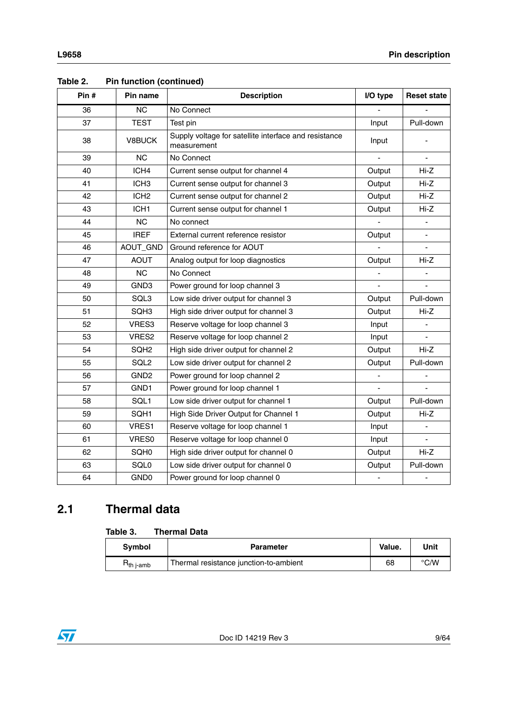| Pin# | Pin name         | <b>Description</b>                                                   | I/O type       | <b>Reset state</b>           |
|------|------------------|----------------------------------------------------------------------|----------------|------------------------------|
| 36   | <b>NC</b>        | No Connect                                                           |                |                              |
| 37   | <b>TEST</b>      | Test pin                                                             | Input          | Pull-down                    |
| 38   | V8BUCK           | Supply voltage for satellite interface and resistance<br>measurement | Input          |                              |
| 39   | NС               | No Connect                                                           |                | $\blacksquare$               |
| 40   | ICH4             | Current sense output for channel 4                                   | Output         | $Hi-Z$                       |
| 41   | ICH <sub>3</sub> | Current sense output for channel 3                                   | Output         | Hi-Z                         |
| 42   | ICH <sub>2</sub> | Current sense output for channel 2                                   | Output         | Hi-Z                         |
| 43   | ICH <sub>1</sub> | Current sense output for channel 1                                   | Output         | Hi-Z                         |
| 44   | <b>NC</b>        | No connect                                                           |                | $\blacksquare$               |
| 45   | <b>IREF</b>      | External current reference resistor                                  | Output         |                              |
| 46   | AOUT_GND         | Ground reference for AOUT                                            |                | $\blacksquare$               |
| 47   | <b>AOUT</b>      | Analog output for loop diagnostics                                   | Output         | Hi-Z                         |
| 48   | <b>NC</b>        | No Connect                                                           |                |                              |
| 49   | GND3             | Power ground for loop channel 3                                      |                |                              |
| 50   | SQL3             | Low side driver output for channel 3                                 | Output         | Pull-down                    |
| 51   | SQH3             | High side driver output for channel 3                                | Output         | Hi-Z                         |
| 52   | VRES3            | Reserve voltage for loop channel 3                                   | Input          |                              |
| 53   | VRES2            | Reserve voltage for loop channel 2                                   | Input          |                              |
| 54   | SQH <sub>2</sub> | High side driver output for channel 2                                | Output         | $Hi-Z$                       |
| 55   | SQL <sub>2</sub> | Low side driver output for channel 2                                 | Output         | Pull-down                    |
| 56   | GND <sub>2</sub> | Power ground for loop channel 2                                      | $\blacksquare$ | $\qquad \qquad \blacksquare$ |
| 57   | GND1             | Power ground for loop channel 1                                      | ä,             |                              |
| 58   | SQL1             | Low side driver output for channel 1                                 | Output         | Pull-down                    |
| 59   | SQH1             | High Side Driver Output for Channel 1                                | Output         | $Hi-Z$                       |
| 60   | VRES1            | Reserve voltage for loop channel 1                                   | Input          |                              |
| 61   | VRES0            | Reserve voltage for loop channel 0                                   | Input          | $\blacksquare$               |
| 62   | SQH0             | High side driver output for channel 0                                | Output         | $Hi-Z$                       |
| 63   | SQL <sub>0</sub> | Low side driver output for channel 0                                 | Output         | Pull-down                    |
| 64   | GND <sub>0</sub> | Power ground for loop channel 0                                      | ä,             | $\qquad \qquad \blacksquare$ |

### **Table 2. Pin function (continued)**

# <span id="page-8-0"></span>**2.1 Thermal data**

#### <span id="page-8-1"></span>Table 3. **Thermal Data**

| <b>Symbol</b>          | <b>Parameter</b>                       | Value. | Unit |
|------------------------|----------------------------------------|--------|------|
| $R_{th\ j\text{-amb}}$ | Thermal resistance junction-to-ambient | 68     | °C/W |

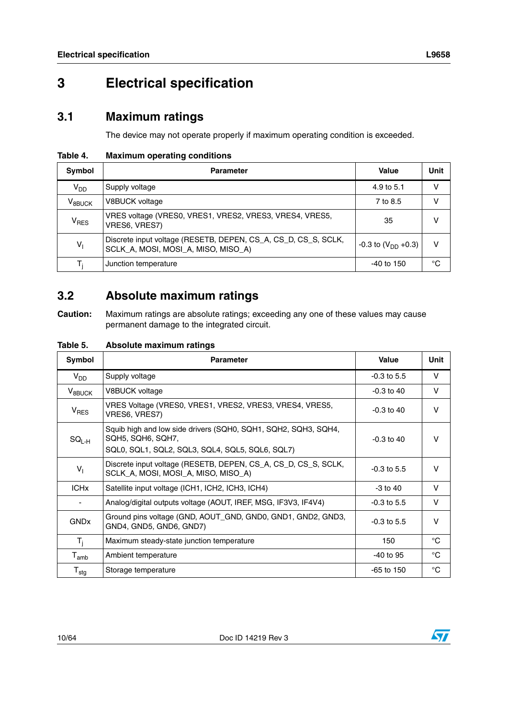# <span id="page-9-0"></span>**3 Electrical specification**

# <span id="page-9-1"></span>**3.1 Maximum ratings**

The device may not operate properly if maximum operating condition is exceeded.

<span id="page-9-3"></span>**Table 4. Maximum operating conditions**

| Symbol          | <b>Parameter</b>                                                                                      | Value                     | Unit |
|-----------------|-------------------------------------------------------------------------------------------------------|---------------------------|------|
| V <sub>DD</sub> | Supply voltage                                                                                        | 4.9 to 5.1                | v    |
| $V_{8BUCK}$     | V8BUCK voltage                                                                                        | 7 to 8.5                  |      |
| $V_{RES}$       | VRES voltage (VRES0, VRES1, VRES2, VRES3, VRES4, VRES5,<br>VRES6, VRES7)                              | 35                        | ν    |
| $V_1$           | Discrete input voltage (RESETB, DEPEN, CS_A, CS_D, CS_S, SCLK,<br>SCLK_A, MOSI, MOSI_A, MISO, MISO_A) | $-0.3$ to $(V_{DD} +0.3)$ | v    |
| T,              | Junction temperature                                                                                  | $-40$ to 150              | °C   |

# <span id="page-9-2"></span>**3.2 Absolute maximum ratings**

**Caution:** Maximum ratings are absolute ratings; exceeding any one of these values may cause permanent damage to the integrated circuit.

<span id="page-9-4"></span>**Table 5. Absolute maximum ratings**

| Symbol                      | <b>Parameter</b>                                                                                                                       | Value         | Unit         |
|-----------------------------|----------------------------------------------------------------------------------------------------------------------------------------|---------------|--------------|
| $V_{DD}$                    | Supply voltage                                                                                                                         | $-0.3$ to 5.5 | V            |
| $V_{8BUCK}$                 | V8BUCK voltage                                                                                                                         | $-0.3$ to 40  | V            |
| V <sub>RES</sub>            | VRES Voltage (VRES0, VRES1, VRES2, VRES3, VRES4, VRES5,<br>VRES6, VRES7)                                                               | $-0.3$ to 40  | $\vee$       |
| $SG_{L-H}$                  | Squib high and low side drivers (SQH0, SQH1, SQH2, SQH3, SQH4,<br>SQH5, SQH6, SQH7,<br>SQL0, SQL1, SQL2, SQL3, SQL4, SQL5, SQL6, SQL7) | $-0.3$ to 40  | $\vee$       |
| $V_{\parallel}$             | Discrete input voltage (RESETB, DEPEN, CS_A, CS_D, CS_S, SCLK,<br>SCLK_A, MOSI, MOSI_A, MISO, MISO_A)                                  | $-0.3$ to 5.5 | $\vee$       |
| <b>ICH<sub>x</sub></b>      | Satellite input voltage (ICH1, ICH2, ICH3, ICH4)                                                                                       | $-3$ to $40$  | V            |
|                             | Analog/digital outputs voltage (AOUT, IREF, MSG, IF3V3, IF4V4)                                                                         | $-0.3$ to 5.5 | $\vee$       |
| <b>GND<sub>x</sub></b>      | Ground pins voltage (GND, AOUT_GND, GND0, GND1, GND2, GND3,<br>GND4, GND5, GND6, GND7)                                                 | $-0.3$ to 5.5 | $\vee$       |
| $T_i$                       | Maximum steady-state junction temperature                                                                                              | 150           | $^{\circ}C$  |
| $\mathsf{T}_{\mathsf{amb}}$ | Ambient temperature                                                                                                                    | $-40$ to 95   | $^{\circ}$ C |
| $T_{\text{stg}}$            | Storage temperature                                                                                                                    | $-65$ to 150  | °C           |

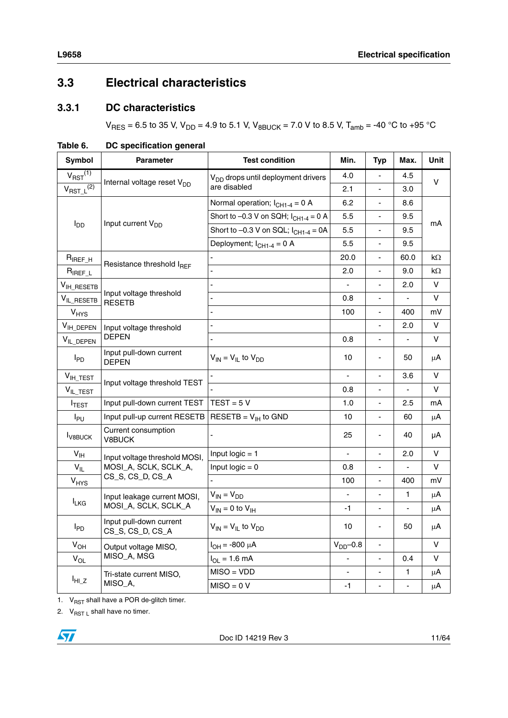# <span id="page-10-0"></span>**3.3 Electrical characteristics**

# <span id="page-10-1"></span>**3.3.1 DC characteristics**

 $V_{RES} = 6.5$  to 35 V,  $V_{DD} = 4.9$  to 5.1 V,  $V_{BBUCK} = 7.0$  V to 8.5 V,  $T_{amb} = -40$  °C to +95 °C

| Symbol                     | <b>Parameter</b>                               | <b>Test condition</b>                       | Min.           | <b>Typ</b>                   | Max. | Unit    |  |  |  |
|----------------------------|------------------------------------------------|---------------------------------------------|----------------|------------------------------|------|---------|--|--|--|
| $V_{RST}$ <sup>(1)</sup>   | V <sub>DD</sub> drops until deployment drivers |                                             | 4.0            | $\overline{\phantom{a}}$     | 4.5  |         |  |  |  |
| $V_{RST\_L}^{(2)}$         | Internal voltage reset V <sub>DD</sub>         | are disabled                                | 2.1            | $\blacksquare$               | 3.0  | V       |  |  |  |
|                            |                                                | Normal operation; $I_{CH1-4} = 0$ A         | 6.2            |                              | 8.6  |         |  |  |  |
|                            |                                                | Short to $-0.3$ V on SQH; $I_{CH1-4} = 0$ A | 5.5            | ÷,                           | 9.5  | mA      |  |  |  |
| $I_{DD}$                   | Input current V <sub>DD</sub>                  | Short to $-0.3$ V on SQL; $I_{CH1-4} = 0A$  | 5.5            | $\blacksquare$               | 9.5  |         |  |  |  |
|                            |                                                | Deployment; $I_{CH1-4} = 0$ A               | 5.5            |                              | 9.5  |         |  |  |  |
| $R_{IREF\_H}$              |                                                |                                             | 20.0           | ÷,                           | 60.0 | kΩ      |  |  |  |
| $R_{IREF\_L}$              | Resistance threshold IREF                      |                                             | 2.0            | $\overline{\phantom{a}}$     | 9.0  | kΩ      |  |  |  |
| V <sub>IH_RESETB</sub>     |                                                |                                             |                | $\overline{\phantom{a}}$     | 2.0  | $\vee$  |  |  |  |
| $V_{IL\_RESETB}$           | Input voltage threshold<br><b>RESETB</b>       |                                             | 0.8            | ÷,                           |      | V       |  |  |  |
| $V_{HYS}$                  |                                                |                                             | 100            | $\overline{\phantom{a}}$     | 400  | mV      |  |  |  |
| $V_{IH\_DEPEN}$            | Input voltage threshold                        |                                             |                | $\overline{a}$               | 2.0  | V       |  |  |  |
| VIL_DEPEN                  | <b>DEPEN</b>                                   |                                             | 0.8            | $\overline{a}$               |      | V       |  |  |  |
| $I_{PD}$                   | Input pull-down current<br><b>DEPEN</b>        | $V_{IN} = V_{IL}$ to $V_{DD}$               | 10             | ä,                           | 50   | μA      |  |  |  |
| $V_{IH\_TEST}$             |                                                |                                             | $\blacksquare$ | ÷,                           | 3.6  | V       |  |  |  |
| $V_{IL\_TEST}$             | Input voltage threshold TEST                   |                                             | 0.8            | $\overline{\phantom{a}}$     | ÷,   | V       |  |  |  |
| <b>ITEST</b>               | Input pull-down current TEST                   | $TEST = 5 V$                                | 1.0            |                              | 2.5  | mA      |  |  |  |
| $I_{PU}$                   | Input pull-up current RESETB                   | $RESETB = V_{\vert H}$ to GND               | 10             | ÷,                           | 60   | μA      |  |  |  |
| <b>I</b> <sub>V8BUCK</sub> | Current consumption<br>V8BUCK                  |                                             | 25             | $\qquad \qquad \blacksquare$ | 40   | μA      |  |  |  |
| $V_{\text{IH}}$            | Input voltage threshold MOSI,                  | Input $logic = 1$                           |                | $\blacksquare$               | 2.0  | v       |  |  |  |
| $V_{IL}$                   | MOSI_A, SCLK, SCLK_A,                          | Input $logic = 0$                           | 0.8            | ä,                           |      | V       |  |  |  |
| $V_{HYS}$                  | CS_S, CS_D, CS_A                               |                                             | 100            | $\blacksquare$               | 400  | mV      |  |  |  |
|                            | Input leakage current MOSI,                    | $V_{IN} = V_{DD}$                           | $\blacksquare$ | $\blacksquare$               | 1    | $\mu$ A |  |  |  |
| <b>ILKG</b>                | MOSI_A, SCLK, SCLK_A                           | $V_{IN} = 0$ to $V_{IH}$                    | $-1$           | ä,                           |      | μA      |  |  |  |
| $I_{PD}$                   | Input pull-down current<br>CS_S, CS_D, CS_A    | $V_{IN} = V_{IL}$ to $V_{DD}$               | 10             | $\qquad \qquad \blacksquare$ | 50   | μA      |  |  |  |
| $V_{OH}$                   | Output voltage MISO,                           | $I_{OH} = -800 \mu A$                       | $VDD$ -0.8     | $\overline{a}$               |      | V       |  |  |  |
| $V_{OL}$                   | MISO_A, MSG                                    | $I_{OL} = 1.6$ mA                           |                | $\qquad \qquad \blacksquare$ | 0.4  | V       |  |  |  |
|                            | Tri-state current MISO,                        | $MISO = VDD$                                | $\blacksquare$ | $\blacksquare$               | 1    | μA      |  |  |  |
| $I_{HI_Z}$                 | MISO_A,                                        | $MISO = 0 V$                                | $-1$           | $\overline{\phantom{a}}$     |      | $\mu$ A |  |  |  |

### <span id="page-10-2"></span>**Table 6. DC specification general**

1.  $V_{RST}$  shall have a POR de-glitch timer.

2.  $V_{RST L}$  shall have no timer.

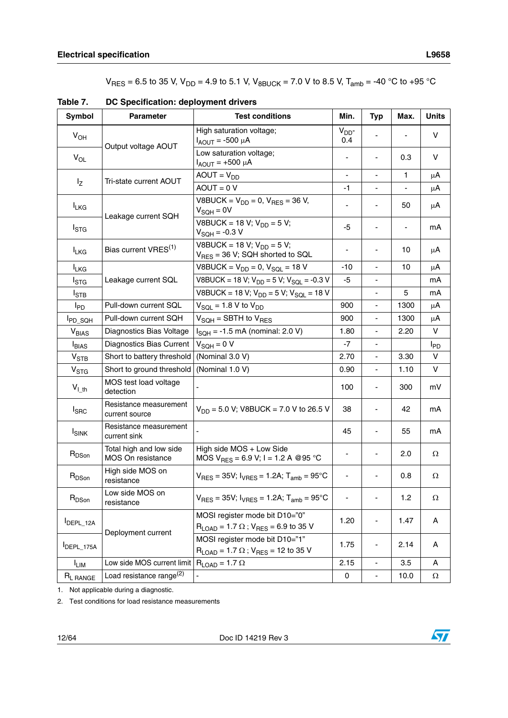$V_{RES} = 6.5$  to 35 V,  $V_{DD} = 4.9$  to 5.1 V,  $V_{BBUCK} = 7.0$  V to 8.5 V,  $T_{amb} = -40$  °C to +95 °C

<span id="page-11-0"></span>**Table 7. DC Specification: deployment drivers**

| <b>Symbol</b>            | <b>Parameter</b>                             | <b>Test conditions</b>                                                                           | Min.              | <b>Typ</b>                   | Max. | <b>Units</b> |
|--------------------------|----------------------------------------------|--------------------------------------------------------------------------------------------------|-------------------|------------------------------|------|--------------|
| $V_{OH}$                 |                                              | High saturation voltage;<br>$I_{AOUT}$ = -500 $\mu$ A                                            | $V_{DD}$ -<br>0.4 |                              |      | V            |
| $V_{OL}$                 | Output voltage AOUT                          | Low saturation voltage;<br>$I_{AOUT}$ = +500 µA                                                  |                   |                              | 0.3  | V            |
|                          | Tri-state current AOUT                       | $AOUT = VDD$                                                                                     | $\blacksquare$    | $\overline{\phantom{a}}$     | 1    | μA           |
| $I_{Z}$                  |                                              | $AOUT = 0 V$                                                                                     | $-1$              |                              |      | μA           |
| <b>ILKG</b>              | Leakage current SQH                          | V8BUCK = $V_{DD}$ = 0, $V_{RES}$ = 36 V,<br>$V_{\text{SOH}} = 0V$                                |                   |                              | 50   | μA           |
| $I_{\text{STG}}$         |                                              | V8BUCK = 18 V; $V_{DD} = 5 V$ ;<br>$V_{\text{SQL}} = -0.3 V$                                     | -5                | $\qquad \qquad \blacksquare$ |      | mA           |
| <b>ILKG</b>              | Bias current VRES <sup>(1)</sup>             | V8BUCK = 18 V; $V_{DD}$ = 5 V;<br>$V_{RES}$ = 36 V; SQH shorted to SQL                           |                   |                              | 10   | μA           |
| <b>ILKG</b>              |                                              | V8BUCK = $V_{DD} = 0$ , $V_{SQL} = 18 V$                                                         | -10               | $\overline{\phantom{0}}$     | 10   | μA           |
| $I_{\mathsf{STG}}$       | Leakage current SQL                          | V8BUCK = 18 V; $V_{DD}$ = 5 V; $V_{SQL}$ = -0.3 V                                                | $-5$              |                              |      | mA           |
| $I_{\text{STB}}$         |                                              | V8BUCK = 18 V; $V_{DD}$ = 5 V; $V_{SQL}$ = 18 V                                                  |                   | $\blacksquare$               | 5    | mA           |
| $I_{PD}$                 | Pull-down current SQL                        | $V_{SQL}$ = 1.8 V to $V_{DD}$                                                                    | 900               | $\overline{\phantom{a}}$     | 1300 | μA           |
| I <sub>PD_SQH</sub>      | Pull-down current SQH                        | $V_{\text{SQL}}$ = SBTH to $V_{\text{RES}}$                                                      | 900               | $\blacksquare$               | 1300 | μA           |
| $V_{BIAS}$               | Diagnostics Bias Voltage                     | $I_{\text{SQL}} = -1.5 \text{ mA}$ (nominal: 2.0 V)                                              | 1.80              | ÷,                           | 2.20 | V            |
| <b>I</b> BIAS            | Diagnostics Bias Current                     | $V_{SOH} = 0 V$                                                                                  | $-7$              | $\blacksquare$               |      | <b>I</b> PD  |
| $V_{STB}$                | Short to battery threshold                   | (Nominal 3.0 V)                                                                                  | 2.70              | $\overline{a}$               | 3.30 | V            |
| V <sub>STG</sub>         | Short to ground threshold                    | (Nominal 1.0 V)                                                                                  | 0.90              | $\qquad \qquad \blacksquare$ | 1.10 | V            |
| $V_{l\_th}$              | MOS test load voltage<br>detection           |                                                                                                  | 100               |                              | 300  | mV           |
| $I_{SRC}$                | Resistance measurement<br>current source     | $V_{DD}$ = 5.0 V; V8BUCK = 7.0 V to 26.5 V                                                       | 38                |                              | 42   | mA           |
| <b>I</b> <sub>SINK</sub> | Resistance measurement<br>current sink       |                                                                                                  | 45                |                              | 55   | mA           |
| R <sub>DSon</sub>        | Total high and low side<br>MOS On resistance | High side MOS + Low Side<br>MOS $V_{RES} = 6.9 V$ ; I = 1.2 A @95 °C                             |                   |                              | 2.0  | Ω            |
| $R_{DSon}$               | High side MOS on<br>resistance               | $V_{RFS}$ = 35V; $I_{VRFS}$ = 1.2A; $T_{amb}$ = 95°C                                             |                   |                              | 0.8  | $\Omega$     |
| $R_{DSon}$               | Low side MOS on<br>resistance                | $V_{RES} = 35V$ ; $I_{VRES} = 1.2A$ ; $T_{amb} = 95^{\circ}C$                                    |                   |                              | 1.2  | Ω            |
| DEPL_12A                 |                                              | MOSI register mode bit D10="0"<br>$R_{LOAD}$ = 1.7 $\Omega$ ; $V_{RES}$ = 6.9 to 35 V            | 1.20              |                              | 1.47 | Α            |
| IDEPL_175A               | Deployment current                           | MOSI register mode bit D10="1"<br>$R_{\text{LOAD}} = 1.7 \Omega$ ; V <sub>RES</sub> = 12 to 35 V | 1.75              | -                            | 2.14 | Α            |
| I <sub>LIM</sub>         | Low side MOS current limit                   | $R_{LOAD}$ = 1.7 $\Omega$                                                                        | 2.15              | $\overline{\phantom{a}}$     | 3.5  | A            |
| R <sub>L RANGE</sub>     | Load resistance range <sup>(2)</sup>         |                                                                                                  | 0                 | $\overline{\phantom{a}}$     | 10.0 | $\Omega$     |

1. Not applicable during a diagnostic.

2. Test conditions for load resistance measurements

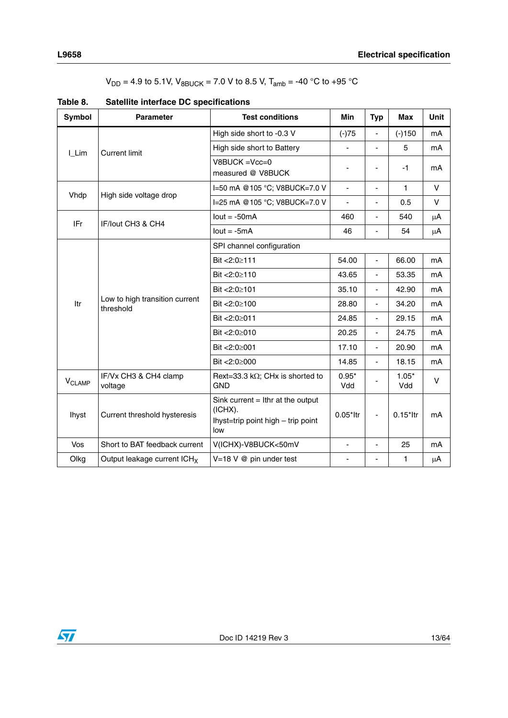| Symbol      | <b>Parameter</b>                            | <b>Test conditions</b>                                                                      | <b>Min</b>                   | <b>Typ</b>               | <b>Max</b>     | Unit    |
|-------------|---------------------------------------------|---------------------------------------------------------------------------------------------|------------------------------|--------------------------|----------------|---------|
|             |                                             | High side short to -0.3 V                                                                   | $(-)75$                      |                          | $(-)150$       | mA      |
| I_Lim       | <b>Current limit</b>                        | High side short to Battery                                                                  | ÷,                           | L,                       | 5              | mA      |
|             |                                             | $V8BUCK = Vcc = 0$<br>measured @ V8BUCK                                                     | $\qquad \qquad \blacksquare$ | $\overline{\phantom{0}}$ | $-1$           | mA      |
|             |                                             | I=50 mA @105 °C; V8BUCK=7.0 V                                                               | ä,                           | $\overline{\phantom{0}}$ | $\mathbf{1}$   | V       |
| Vhdp        | High side voltage drop                      | I=25 mA @105 °C; V8BUCK=7.0 V                                                               | ä,                           | ÷,                       | 0.5            | V       |
| IFr         | IF/lout CH3 & CH4                           | $lout = -50mA$                                                                              | 460                          | $\blacksquare$           | 540            | μA      |
|             |                                             | $Iout = -5mA$                                                                               | 46                           | ä,                       | 54             | $\mu$ A |
|             |                                             | SPI channel configuration                                                                   |                              |                          |                |         |
|             |                                             | Bit <2:0≥111                                                                                | 54.00                        | ä,                       | 66.00          | mA      |
|             |                                             | Bit <2:0≥110                                                                                | 43.65                        | ä,                       | 53.35          | mA      |
|             | Low to high transition current<br>threshold | Bit <2:0≥101                                                                                | 35.10                        | ä,                       | 42.90          | mA      |
| Itr         |                                             | Bit $<2:0>100$                                                                              | 28.80                        | ä,                       | 34.20          | mA      |
|             |                                             | Bit <2:0≥011                                                                                | 24.85                        | ä,                       | 29.15          | mA      |
|             |                                             | Bit <2:0≥010                                                                                | 20.25                        | $\overline{\phantom{0}}$ | 24.75          | mA      |
|             |                                             | Bit <2:0≥001                                                                                | 17.10                        | $\overline{\phantom{0}}$ | 20.90          | mA      |
|             |                                             | Bit <2:0≥000                                                                                | 14.85                        | $\overline{\phantom{0}}$ | 18.15          | mA      |
| $V_{CLAMP}$ | IF/Vx CH3 & CH4 clamp<br>voltage            | Rext=33.3 k $\Omega$ ; CHx is shorted to<br><b>GND</b>                                      | $0.95*$<br>Vdd               |                          | $1.05*$<br>Vdd | V       |
| Ihyst       | Current threshold hysteresis                | Sink current $=$ lthr at the output<br>(ICHX).<br>Ihyst=trip point high - trip point<br>low | $0.05*$ ltr                  | $\overline{\phantom{a}}$ | $0.15$ *ltr    | mA      |
| Vos         | Short to BAT feedback current               | V(ICHX)-V8BUCK<50mV                                                                         | $\blacksquare$               | $\overline{\phantom{0}}$ | 25             | mA      |
| Olkg        | Output leakage current $ICH_X$              | $V=18$ V $\omega$ pin under test                                                            |                              |                          | 1              | $\mu$ A |

<span id="page-12-0"></span>**Table 8. Satellite interface DC specifications**

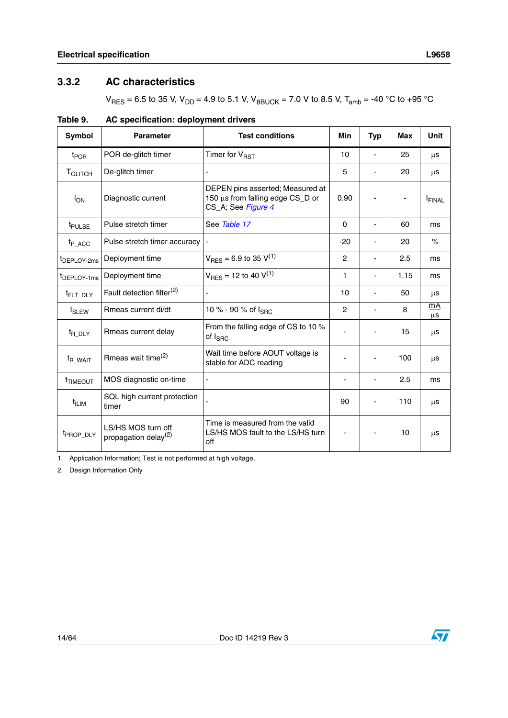# <span id="page-13-0"></span>**3.3.2 AC characteristics**

 $V_{RES} = 6.5$  to 35 V,  $V_{DD} = 4.9$  to 5.1 V,  $V_{BBUCK} = 7.0$  V to 8.5 V,  $T_{amb} = -40$  °C to +95 °C

| <b>Symbol</b>           | <b>Parameter</b>                                       | <b>Test conditions</b>                                                                     |                          |                          |      |                      |  |
|-------------------------|--------------------------------------------------------|--------------------------------------------------------------------------------------------|--------------------------|--------------------------|------|----------------------|--|
| t <sub>POR</sub>        | POR de-glitch timer                                    | Timer for V <sub>RST</sub>                                                                 | 10                       |                          | 25   | μS                   |  |
| T <sub>GLITCH</sub>     | De-glitch timer                                        | ä,                                                                                         | 5                        |                          | 20   | μS                   |  |
| $I_{ON}$                | Diagnostic current                                     | DEPEN pins asserted; Measured at<br>150 µs from falling edge CS_D or<br>CS_A; See Figure 4 | 0.90                     |                          |      | <b>FINAL</b>         |  |
| t <sub>PULSE</sub>      | Pulse stretch timer                                    | See Table 17                                                                               | $\Omega$                 |                          | 60   | ms                   |  |
| $t_{P_ACC}$             | Pulse stretch timer accuracy                           |                                                                                            | $-20$                    |                          | 20   | $\%$                 |  |
| <sup>t</sup> DEPLOY-2ms | Deployment time                                        | $V_{RFS}$ = 6.9 to 35 $V^{(1)}$                                                            | $\overline{2}$           |                          | 2.5  | ms                   |  |
| <sup>t</sup> DEPLOY-1ms | Deployment time                                        | $V_{RES}$ = 12 to 40 $V^{(1)}$                                                             | 1                        |                          | 1.15 | ms                   |  |
| <sup>t</sup> FLT_DLY    | Fault detection filter <sup>(2)</sup>                  |                                                                                            | 10                       |                          | 50   | μs                   |  |
| <b>I</b> SLEW           | Rmeas current di/dt                                    | 10 % - 90 % of Ispc                                                                        | $\overline{2}$           | $\blacksquare$           | 8    | <b>mA</b><br>$\mu$ s |  |
| t <sub>R_DLY</sub>      | Rmeas current delay                                    | From the falling edge of CS to 10 %<br>of $I_{SRC}$                                        | $\overline{a}$           |                          | 15   | μs                   |  |
| <sup>t</sup> R_WAIT     | Rmeas wait time <sup>(2)</sup>                         | Wait time before AOUT voltage is<br>stable for ADC reading                                 |                          | $\blacksquare$           | 100  | μs                   |  |
| <sup>t</sup> TIMEOUT    | MOS diagnostic on-time                                 | L,                                                                                         | $\overline{\phantom{a}}$ | $\overline{\phantom{a}}$ | 2.5  | ms                   |  |
| t <sub>ILIM</sub>       | SQL high current protection<br>timer                   |                                                                                            | 90                       |                          | 110  | μs                   |  |
| t <sub>PROP_DLY</sub>   | LS/HS MOS turn off<br>propagation delay <sup>(2)</sup> | Time is measured from the valid<br>LS/HS MOS fault to the LS/HS turn<br>off                |                          |                          | 10   | μs                   |  |

<span id="page-13-1"></span>**Table 9. AC specification: deployment drivers**

<span id="page-13-2"></span>1. Application Information; Test is not performed at high voltage.

2. Design Information Only

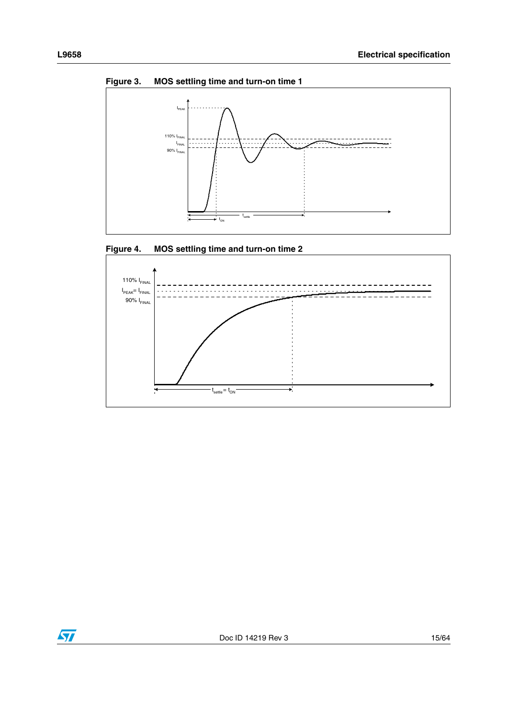<span id="page-14-0"></span>

<span id="page-14-1"></span>



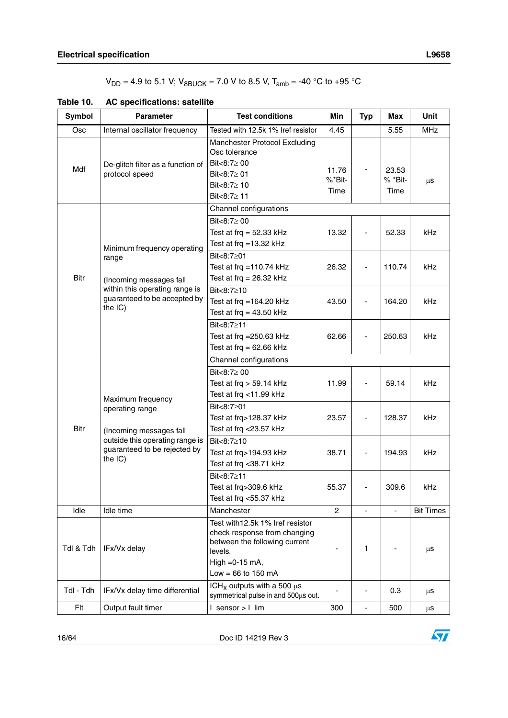$V_{DD} = 4.9$  to 5.1 V;  $V_{8BUCK} = 7.0$  V to 8.5 V,  $T_{amb} = -40$  °C to +95 °C

| <b>Symbol</b> | <b>Parameter</b>                     | <b>Test conditions</b>                                                                                       | Min             | <b>Typ</b>     | Max                | <b>Unit</b>      |  |  |
|---------------|--------------------------------------|--------------------------------------------------------------------------------------------------------------|-----------------|----------------|--------------------|------------------|--|--|
| Osc           | Internal oscillator frequency        | Tested with 12.5k 1% Iref resistor                                                                           |                 | 5.55           | <b>MHz</b>         |                  |  |  |
|               |                                      | Manchester Protocol Excluding<br>Osc tolerance                                                               |                 |                |                    |                  |  |  |
|               | De-glitch filter as a function of    | Bit<8:7 $\geq$ 00                                                                                            |                 |                |                    |                  |  |  |
| Mdf           | protocol speed                       | Bit<8:7 $\geq$ 01                                                                                            | 11.76<br>%*Bit- |                | 23.53<br>$%$ *Bit- |                  |  |  |
|               |                                      | Bit<8:7 $\geq$ 10                                                                                            | Time            |                | Time               | μS               |  |  |
|               |                                      | Bit<8:7≥ 11                                                                                                  |                 |                |                    |                  |  |  |
|               |                                      | Channel configurations                                                                                       |                 |                |                    |                  |  |  |
|               |                                      | Bit<8:7 $\geq$ 00                                                                                            |                 |                |                    |                  |  |  |
|               |                                      | Test at frq = $52.33$ kHz                                                                                    | 13.32           |                | 52.33              | <b>kHz</b>       |  |  |
|               | Minimum frequency operating          | Test at frq = $13.32$ kHz                                                                                    |                 |                |                    |                  |  |  |
|               | range                                | Bit<8:7≥01                                                                                                   |                 |                |                    |                  |  |  |
|               |                                      | Test at frq = $110.74$ kHz                                                                                   | 26.32           |                | 110.74             | kHz              |  |  |
| <b>Bitr</b>   | (Incoming messages fall              | Test at frq = $26.32$ kHz                                                                                    |                 |                |                    |                  |  |  |
|               | within this operating range is       | Bit<8:7≥10                                                                                                   |                 |                |                    |                  |  |  |
|               | guaranteed to be accepted by         | Test at frq =164.20 $kHz$                                                                                    | 43.50           |                | 164.20             | kHz              |  |  |
|               | the IC)                              | Test at frq = $43.50$ kHz                                                                                    |                 |                |                    |                  |  |  |
|               |                                      | Bit<8:7≥11                                                                                                   |                 |                |                    |                  |  |  |
|               |                                      | Test at frq = $250.63$ kHz                                                                                   | 62.66           |                | 250.63             | <b>kHz</b>       |  |  |
|               |                                      | Test at frq = $62.66$ kHz                                                                                    |                 |                |                    |                  |  |  |
|               |                                      | Channel configurations                                                                                       |                 |                |                    |                  |  |  |
|               |                                      | Bit<8:7≥ 00                                                                                                  | 11.99           |                |                    |                  |  |  |
|               |                                      | Test at $frq > 59.14$ kHz                                                                                    |                 |                | 59.14              | <b>kHz</b>       |  |  |
|               | Maximum frequency<br>operating range | Test at frq <11.99 kHz                                                                                       |                 |                |                    |                  |  |  |
|               |                                      | Bit<8:7≥01                                                                                                   |                 |                |                    |                  |  |  |
|               |                                      | Test at frq>128.37 kHz                                                                                       | 23.57           |                | 128.37             | <b>kHz</b>       |  |  |
| <b>Bitr</b>   | (Incoming messages fall              | Test at frq <23.57 kHz                                                                                       |                 |                |                    |                  |  |  |
|               | outside this operating range is      | Bit<8:7≥10                                                                                                   |                 |                |                    |                  |  |  |
|               | guaranteed to be rejected by         | Test at frq>194.93 kHz                                                                                       | 38.71           |                | 194.93             | kHz              |  |  |
|               | the IC)                              | Test at frq < 38.71 kHz                                                                                      |                 |                |                    |                  |  |  |
|               |                                      | Bit<8:7≥11                                                                                                   |                 |                |                    |                  |  |  |
|               |                                      | Test at frq>309.6 kHz                                                                                        | 55.37           |                | 309.6              | kHz              |  |  |
|               |                                      | Test at frq <55.37 kHz                                                                                       |                 |                |                    |                  |  |  |
| Idle          | Idle time                            | Manchester                                                                                                   | $\overline{2}$  | $\blacksquare$ | L.                 | <b>Bit Times</b> |  |  |
| Tdl & Tdh     | IFx/Vx delay                         | Test with 12.5k 1% Iref resistor<br>check response from changing<br>between the following current<br>levels. |                 | 1              |                    | μS               |  |  |
|               |                                      | High = $0-15$ mA,                                                                                            |                 |                |                    |                  |  |  |
|               |                                      | Low = $66$ to 150 mA                                                                                         |                 |                |                    |                  |  |  |
| Tdl - Tdh     | IFx/Vx delay time differential       | ICH <sub>x</sub> outputs with a 500 $\mu$ s<br>symmetrical pulse in and 500µs out.                           |                 |                | 0.3                | μS               |  |  |
| Flt           | Output fault timer                   | 300                                                                                                          | $\blacksquare$  | 500            | $\mu$ s            |                  |  |  |

<span id="page-15-0"></span>

| Table 10. | <b>AC specifications: satellite</b> |
|-----------|-------------------------------------|
|-----------|-------------------------------------|

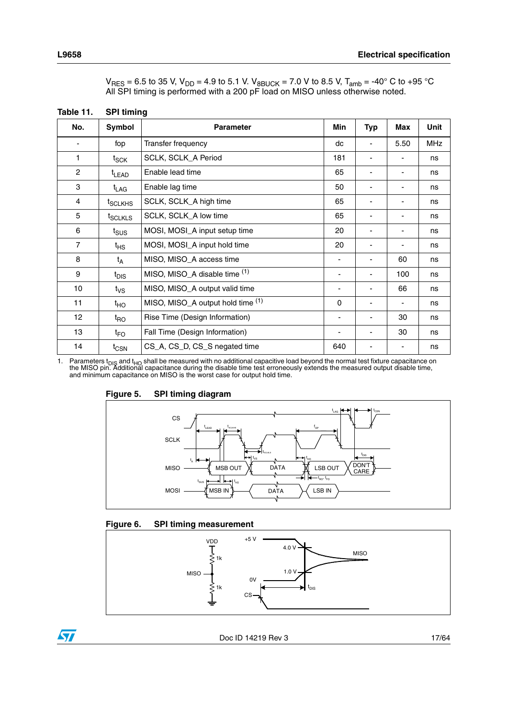<span id="page-16-0"></span>

| Table 11.       | <b>SPI timing</b>   |                                   |                          |            |      |            |
|-----------------|---------------------|-----------------------------------|--------------------------|------------|------|------------|
| No.             | Symbol              | <b>Parameter</b>                  | Min                      | <b>Typ</b> | Max  | Unit       |
|                 | fop                 | Transfer frequency                | dc                       | ÷,         | 5.50 | <b>MHz</b> |
| 1               | $t_{\mathsf{SCK}}$  | SCLK, SCLK_A Period               | 181                      | ٠          |      | ns         |
| $\overline{c}$  | <sup>t</sup> LEAD   | Enable lead time                  | 65                       | -          | ٠    | ns         |
| 3               | t <sub>LAG</sub>    | Enable lag time                   | 50                       | -          |      | ns         |
| 4               | t <sub>SCLKHS</sub> | SCLK, SCLK_A high time            | 65                       | -          | ٠    | ns         |
| 5               | t <sub>SCLKLS</sub> | SCLK, SCLK_A low time             | 65                       | -          |      | ns         |
| 6               | $t_{SUS}$           | MOSI, MOSI_A input setup time     | 20                       | ٠          | ٠    | ns         |
| $\overline{7}$  | $t_{HS}$            | MOSI, MOSI_A input hold time      | 20                       |            |      | ns         |
| 8               | $t_A$               | MISO, MISO_A access time          | $\overline{\phantom{a}}$ | ä,         | 60   | ns         |
| 9               | t <sub>DIS</sub>    | MISO, MISO_A disable time (1)     | $\overline{\phantom{0}}$ | ä,         | 100  | ns         |
| 10              | $t_{\rm VS}$        | MISO, MISO_A output valid time    | -                        | ۰          | 66   | ns         |
| 11              | $t_{HO}$            | MISO, MISO_A output hold time (1) | 0                        | -          | -    | ns         |
| 12 <sup>°</sup> | t <sub>RO</sub>     | Rise Time (Design Information)    | -                        | -          | 30   | ns         |
| 13              | $t_{FO}$            | Fall Time (Design Information)    | -                        | -          | 30   | ns         |
| 14              | $t_{\mathsf{CSN}}$  | CS_A, CS_D, CS_S negated time     | 640                      |            |      | ns         |

| V <sub>RES</sub> = 6.5 to 35 V, V <sub>DD</sub> = 4.9 to 5.1 V. V <sub>8BUCK</sub> = 7.0 V to 8.5 V, T <sub>amb</sub> = -40° C to +95 °C |  |
|------------------------------------------------------------------------------------------------------------------------------------------|--|
| All SPI timing is performed with a 200 pF load on MISO unless otherwise noted.                                                           |  |

<span id="page-16-3"></span>1. Parameters t<sub>DIS</sub> and t<sub>HO</sub> shall be measured with no additional capacitive load beyond the normal test fixture capacitance on the MISO pin. Additional capacitance during the disable time test erroneously extends the m



### <span id="page-16-1"></span>**Figure 5. SPI timing diagram**

### <span id="page-16-2"></span>**Figure 6. SPI timing measurement**



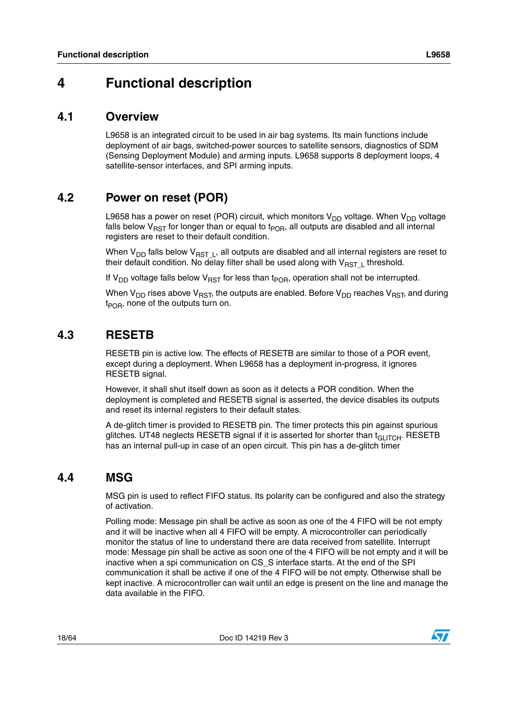# <span id="page-17-0"></span>**4 Functional description**

# <span id="page-17-1"></span>**4.1 Overview**

L9658 is an integrated circuit to be used in air bag systems. Its main functions include deployment of air bags, switched-power sources to satellite sensors, diagnostics of SDM (Sensing Deployment Module) and arming inputs. L9658 supports 8 deployment loops, 4 satellite-sensor interfaces, and SPI arming inputs.

# <span id="page-17-2"></span>**4.2 Power on reset (POR)**

L9658 has a power on reset (POR) circuit, which monitors  $V_{DD}$  voltage. When  $V_{DD}$  voltage falls below  $V_{RST}$  for longer than or equal to t<sub>POR</sub>, all outputs are disabled and all internal registers are reset to their default condition.

When  $V_{DD}$  falls below  $V_{RST}$ <sub>L</sub>, all outputs are disabled and all internal registers are reset to their default condition. No delay filter shall be used along with  $V_{RST-L}$  threshold.

If  $V_{DD}$  voltage falls below  $V_{RST}$  for less than t<sub>POR</sub>, operation shall not be interrupted.

When  $V_{DD}$  rises above  $V_{RST}$ , the outputs are enabled. Before  $V_{DD}$  reaches  $V_{RST}$ , and during  $t_{POR}$ , none of the outputs turn on.

# <span id="page-17-3"></span>**4.3 RESETB**

RESETB pin is active low. The effects of RESETB are similar to those of a POR event, except during a deployment. When L9658 has a deployment in-progress, it ignores RESETB signal.

However, it shall shut itself down as soon as it detects a POR condition. When the deployment is completed and RESETB signal is asserted, the device disables its outputs and reset its internal registers to their default states.

A de-glitch timer is provided to RESETB pin. The timer protects this pin against spurious glitches. UT48 neglects RESETB signal if it is asserted for shorter than t<sub>GLITCH</sub>. RESETB has an internal pull-up in case of an open circuit. This pin has a de-glitch timer

# <span id="page-17-4"></span>**4.4 MSG**

MSG pin is used to reflect FIFO status. Its polarity can be configured and also the strategy of activation.

Polling mode: Message pin shall be active as soon as one of the 4 FIFO will be not empty and it will be inactive when all 4 FIFO will be empty. A microcontroller can periodically monitor the status of line to understand there are data received from satellite. Interrupt mode: Message pin shall be active as soon one of the 4 FIFO will be not empty and it will be inactive when a spi communication on CS\_S interface starts. At the end of the SPI communication it shall be active if one of the 4 FIFO will be not empty. Otherwise shall be kept inactive. A microcontroller can wait until an edge is present on the line and manage the data available in the FIFO.

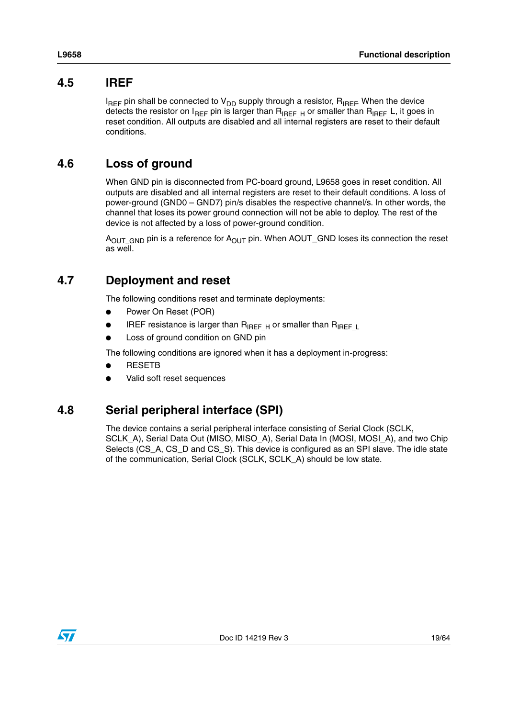# <span id="page-18-0"></span>**4.5 IREF**

 $I_{REF}$  pin shall be connected to  $V_{DD}$  supply through a resistor,  $R_{IREF}$  When the device detects the resistor on  $I_{REF}$  pin is larger than  $R_{IREF}$  or smaller than  $R_{IREF}$  L, it goes in reset condition. All outputs are disabled and all internal registers are reset to their default conditions.

# <span id="page-18-1"></span>**4.6 Loss of ground**

When GND pin is disconnected from PC-board ground, L9658 goes in reset condition. All outputs are disabled and all internal registers are reset to their default conditions. A loss of power-ground (GND0 – GND7) pin/s disables the respective channel/s. In other words, the channel that loses its power ground connection will not be able to deploy. The rest of the device is not affected by a loss of power-ground condition.

 $A<sub>OUT GND</sub>$  pin is a reference for  $A<sub>OUT</sub>$  pin. When AOUT\_GND loses its connection the reset as well.

# <span id="page-18-2"></span>**4.7 Deployment and reset**

The following conditions reset and terminate deployments:

- Power On Reset (POR)
- IREF resistance is larger than  $R_{IREF}$  H or smaller than  $R_{IREF}$
- Loss of ground condition on GND pin

The following conditions are ignored when it has a deployment in-progress:

- **RESETB**
- Valid soft reset sequences

# <span id="page-18-3"></span>**4.8 Serial peripheral interface (SPI)**

The device contains a serial peripheral interface consisting of Serial Clock (SCLK, SCLK\_A), Serial Data Out (MISO, MISO\_A), Serial Data In (MOSI, MOSI\_A), and two Chip Selects (CS\_A, CS\_D and CS\_S). This device is configured as an SPI slave. The idle state of the communication, Serial Clock (SCLK, SCLK\_A) should be low state.

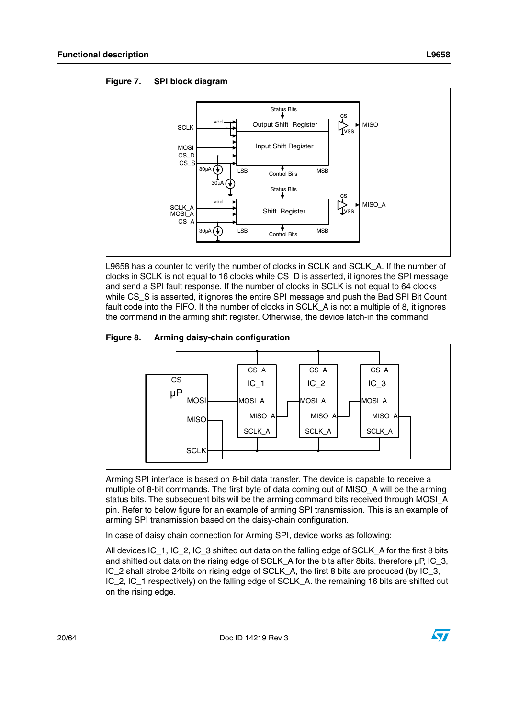

<span id="page-19-0"></span>**Figure 7. SPI block diagram**

L9658 has a counter to verify the number of clocks in SCLK and SCLK\_A. If the number of clocks in SCLK is not equal to 16 clocks while CS\_D is asserted, it ignores the SPI message and send a SPI fault response. If the number of clocks in SCLK is not equal to 64 clocks while CS S is asserted, it ignores the entire SPI message and push the Bad SPI Bit Count fault code into the FIFO. If the number of clocks in SCLK\_A is not a multiple of 8, it ignores the command in the arming shift register. Otherwise, the device latch-in the command.

<span id="page-19-1"></span>



Arming SPI interface is based on 8-bit data transfer. The device is capable to receive a multiple of 8-bit commands. The first byte of data coming out of MISO\_A will be the arming status bits. The subsequent bits will be the arming command bits received through MOSI\_A pin. Refer to below figure for an example of arming SPI transmission. This is an example of arming SPI transmission based on the daisy-chain configuration.

In case of daisy chain connection for Arming SPI, device works as following:

All devices IC\_1, IC\_2, IC\_3 shifted out data on the falling edge of SCLK\_A for the first 8 bits and shifted out data on the rising edge of SCLK\_A for the bits after 8bits. therefore µP, IC\_3, IC\_2 shall strobe 24bits on rising edge of SCLK\_A, the first 8 bits are produced (by IC\_3, IC\_2, IC\_1 respectively) on the falling edge of SCLK\_A. the remaining 16 bits are shifted out on the rising edge.

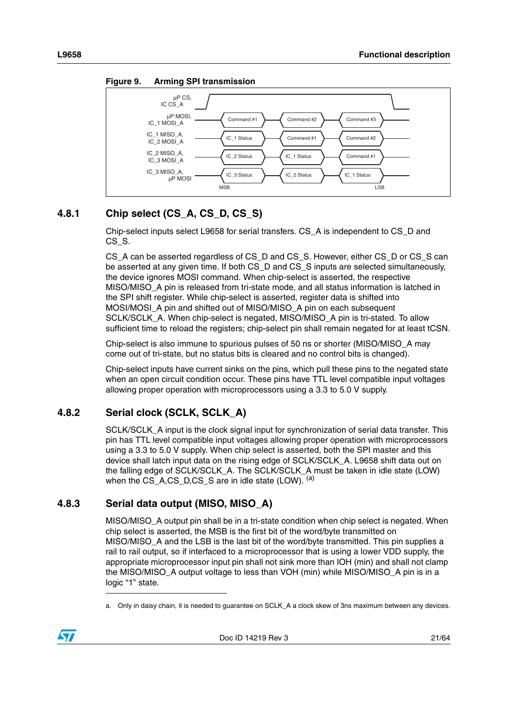

<span id="page-20-3"></span>**Figure 9. Arming SPI transmission**



# <span id="page-20-0"></span>**4.8.1 Chip select (CS\_A, CS\_D, CS\_S)**

Chip-select inputs select L9658 for serial transfers. CS\_A is independent to CS\_D and CS\_S.

CS\_A can be asserted regardless of CS\_D and CS\_S. However, either CS\_D or CS\_S can be asserted at any given time. If both CS D and CS S inputs are selected simultaneously, the device ignores MOSI command. When chip-select is asserted, the respective MISO/MISO\_A pin is released from tri-state mode, and all status information is latched in the SPI shift register. While chip-select is asserted, register data is shifted into MOSI/MOSI\_A pin and shifted out of MISO/MISO\_A pin on each subsequent SCLK/SCLK\_A. When chip-select is negated, MISO/MISO\_A pin is tri-stated. To allow sufficient time to reload the registers; chip-select pin shall remain negated for at least tCSN.

Chip-select is also immune to spurious pulses of 50 ns or shorter (MISO/MISO\_A may come out of tri-state, but no status bits is cleared and no control bits is changed).

Chip-select inputs have current sinks on the pins, which pull these pins to the negated state when an open circuit condition occur. These pins have TTL level compatible input voltages allowing proper operation with microprocessors using a 3.3 to 5.0 V supply.

# <span id="page-20-1"></span>**4.8.2 Serial clock (SCLK, SCLK\_A)**

SCLK/SCLK\_A input is the clock signal input for synchronization of serial data transfer. This pin has TTL level compatible input voltages allowing proper operation with microprocessors using a 3.3 to 5.0 V supply. When chip select is asserted, both the SPI master and this device shall latch input data on the rising edge of SCLK/SCLK\_A. L9658 shift data out on the falling edge of SCLK/SCLK\_A. The SCLK/SCLK\_A must be taken in idle state (LOW) when the CS\_A,CS\_D,CS\_S are in idle state (LOW).  $(a)$ 

# <span id="page-20-2"></span>**4.8.3 Serial data output (MISO, MISO\_A)**

MISO/MISO\_A output pin shall be in a tri-state condition when chip select is negated. When chip select is asserted, the MSB is the first bit of the word/byte transmitted on MISO/MISO\_A and the LSB is the last bit of the word/byte transmitted. This pin supplies a rail to rail output, so if interfaced to a microprocessor that is using a lower VDD supply, the appropriate microprocessor input pin shall not sink more than IOH (min) and shall not clamp the MISO/MISO\_A output voltage to less than VOH (min) while MISO/MISO\_A pin is in a logic "1" state.

a. Only in daisy chain, it is needed to guarantee on SCLK A a clock skew of 3ns maximum between any devices.

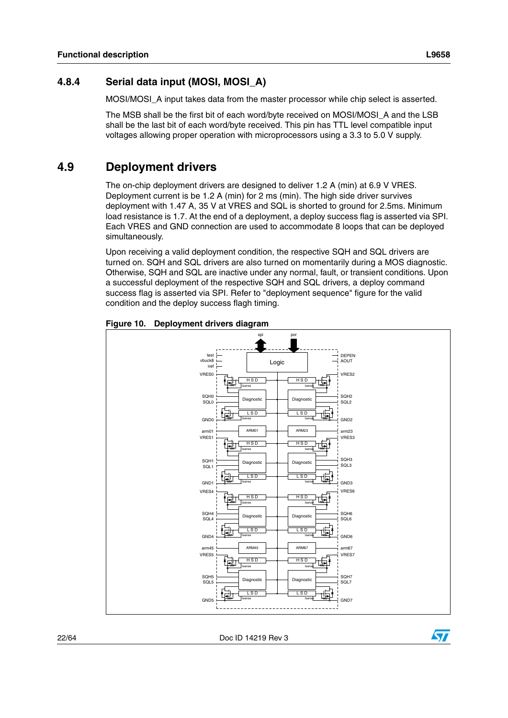<span id="page-21-0"></span>MOSI/MOSI\_A input takes data from the master processor while chip select is asserted.

The MSB shall be the first bit of each word/byte received on MOSI/MOSI\_A and the LSB shall be the last bit of each word/byte received. This pin has TTL level compatible input voltages allowing proper operation with microprocessors using a 3.3 to 5.0 V supply.

# <span id="page-21-1"></span>**4.9 Deployment drivers**

The on-chip deployment drivers are designed to deliver 1.2 A (min) at 6.9 V VRES. Deployment current is be 1.2 A (min) for 2 ms (min). The high side driver survives deployment with 1.47 A, 35 V at VRES and SQL is shorted to ground for 2.5ms. Minimum load resistance is 1.7. At the end of a deployment, a deploy success flag is asserted via SPI. Each VRES and GND connection are used to accommodate 8 loops that can be deployed simultaneously.

Upon receiving a valid deployment condition, the respective SQH and SQL drivers are turned on. SQH and SQL drivers are also turned on momentarily during a MOS diagnostic. Otherwise, SQH and SQL are inactive under any normal, fault, or transient conditions. Upon a successful deployment of the respective SQH and SQL drivers, a deploy command success flag is asserted via SPI. Refer to "deployment sequence" figure for the valid condition and the deploy success flagh timing.



<span id="page-21-2"></span>**Figure 10. Deployment drivers diagram**

22/64 Doc ID 14219 Rev 3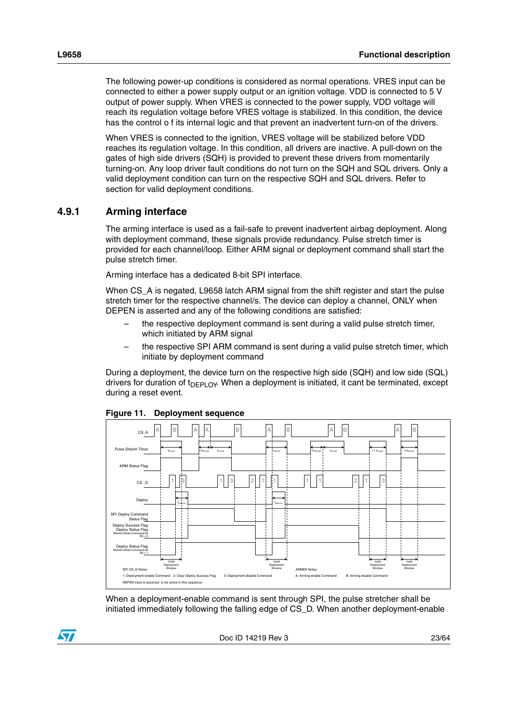The following power-up conditions is considered as normal operations. VRES input can be connected to either a power supply output or an ignition voltage. VDD is connected to 5 V output of power supply. When VRES is connected to the power supply, VDD voltage will reach its regulation voltage before VRES voltage is stabilized. In this condition, the device has the control o f its internal logic and that prevent an inadvertent turn-on of the drivers.

When VRES is connected to the ignition, VRES voltage will be stabilized before VDD reaches its regulation voltage. In this condition, all drivers are inactive. A pull-down on the gates of high side drivers (SQH) is provided to prevent these drivers from momentarily turning-on. Any loop driver fault conditions do not turn on the SQH and SQL drivers. Only a valid deployment condition can turn on the respective SQH and SQL drivers. Refer to section for valid deployment conditions.

### <span id="page-22-0"></span>**4.9.1 Arming interface**

The arming interface is used as a fail-safe to prevent inadvertent airbag deployment. Along with deployment command, these signals provide redundancy. Pulse stretch timer is provided for each channel/loop. Either ARM signal or deployment command shall start the pulse stretch timer.

Arming interface has a dedicated 8-bit SPI interface.

When CS\_A is negated, L9658 latch ARM signal from the shift register and start the pulse stretch timer for the respective channel/s. The device can deploy a channel, ONLY when DEPEN is asserted and any of the following conditions are satisfied:

- the respective deployment command is sent during a valid pulse stretch timer, which initiated by ARM signal
- the respective SPI ARM command is sent during a valid pulse stretch timer, which initiate by deployment command

During a deployment, the device turn on the respective high side (SQH) and low side (SQL) drivers for duration of  $t_{\text{DFPI OV}}$ . When a deployment is initiated, it cant be terminated, except during a reset event.



<span id="page-22-1"></span>**Figure 11. Deployment sequence**

When a deployment-enable command is sent through SPI, the pulse stretcher shall be initiated immediately following the falling edge of CS\_D. When another deployment-enable

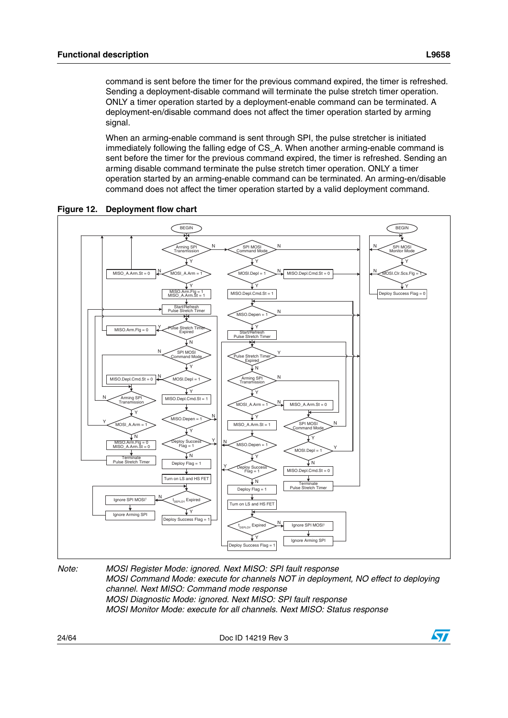command is sent before the timer for the previous command expired, the timer is refreshed. Sending a deployment-disable command will terminate the pulse stretch timer operation. ONLY a timer operation started by a deployment-enable command can be terminated. A deployment-en/disable command does not affect the timer operation started by arming signal.

When an arming-enable command is sent through SPI, the pulse stretcher is initiated immediately following the falling edge of CS\_A. When another arming-enable command is sent before the timer for the previous command expired, the timer is refreshed. Sending an arming disable command terminate the pulse stretch timer operation. ONLY a timer operation started by an arming-enable command can be terminated. An arming-en/disable command does not affect the timer operation started by a valid deployment command.



<span id="page-23-0"></span>

*Note: MOSI Register Mode: ignored. Next MISO: SPI fault response MOSI Command Mode: execute for channels NOT in deployment, NO effect to deploying channel. Next MISO: Command mode response MOSI Diagnostic Mode: ignored. Next MISO: SPI fault response MOSI Monitor Mode: execute for all channels. Next MISO: Status response*

Deploy Success Flag = 1

**Expire** Y

N

Ignore SPI MOSI1

Ignore Arming SPI

t

24/64 Doc ID 14219 Rev 3

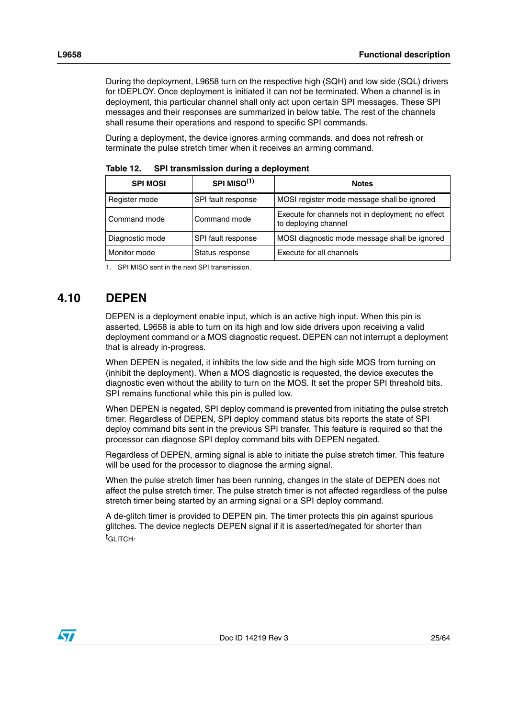During the deployment, L9658 turn on the respective high (SQH) and low side (SQL) drivers for tDEPLOY. Once deployment is initiated it can not be terminated. When a channel is in deployment, this particular channel shall only act upon certain SPI messages. These SPI messages and their responses are summarized in below table. The rest of the channels shall resume their operations and respond to specific SPI commands.

During a deployment, the device ignores arming commands. and does not refresh or terminate the pulse stretch timer when it receives an arming command.

| <b>SPI MOSI</b> | SPI MISO <sup>(1)</sup> | <b>Notes</b>                                                              |  |  |  |  |  |  |  |  |
|-----------------|-------------------------|---------------------------------------------------------------------------|--|--|--|--|--|--|--|--|
| Register mode   | SPI fault response      | MOSI register mode message shall be ignored                               |  |  |  |  |  |  |  |  |
| l Command mode  | Command mode            | Execute for channels not in deployment; no effect<br>to deploying channel |  |  |  |  |  |  |  |  |
| Diagnostic mode | SPI fault response      | MOSI diagnostic mode message shall be ignored                             |  |  |  |  |  |  |  |  |
| Monitor mode    | Status response         | Execute for all channels                                                  |  |  |  |  |  |  |  |  |

<span id="page-24-1"></span>Table 12. **SPI transmission during a deployment** 

1. SPI MISO sent in the next SPI transmission.

# <span id="page-24-0"></span>**4.10 DEPEN**

DEPEN is a deployment enable input, which is an active high input. When this pin is asserted, L9658 is able to turn on its high and low side drivers upon receiving a valid deployment command or a MOS diagnostic request. DEPEN can not interrupt a deployment that is already in-progress.

When DEPEN is negated, it inhibits the low side and the high side MOS from turning on (inhibit the deployment). When a MOS diagnostic is requested, the device executes the diagnostic even without the ability to turn on the MOS. It set the proper SPI threshold bits. SPI remains functional while this pin is pulled low.

When DEPEN is negated, SPI deploy command is prevented from initiating the pulse stretch timer. Regardless of DEPEN, SPI deploy command status bits reports the state of SPI deploy command bits sent in the previous SPI transfer. This feature is required so that the processor can diagnose SPI deploy command bits with DEPEN negated.

Regardless of DEPEN, arming signal is able to initiate the pulse stretch timer. This feature will be used for the processor to diagnose the arming signal.

When the pulse stretch timer has been running, changes in the state of DEPEN does not affect the pulse stretch timer. The pulse stretch timer is not affected regardless of the pulse stretch timer being started by an arming signal or a SPI deploy command.

A de-glitch timer is provided to DEPEN pin. The timer protects this pin against spurious glitches. The device neglects DEPEN signal if it is asserted/negated for shorter than  $t_{\text{GI ITCH}}$ 

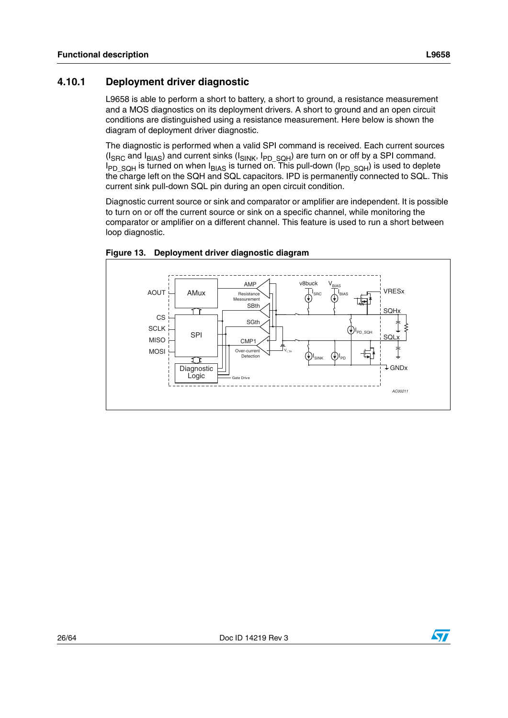# <span id="page-25-0"></span>**4.10.1 Deployment driver diagnostic**

L9658 is able to perform a short to battery, a short to ground, a resistance measurement and a MOS diagnostics on its deployment drivers. A short to ground and an open circuit conditions are distinguished using a resistance measurement. Here below is shown the diagram of deployment driver diagnostic.

The diagnostic is performed when a valid SPI command is received. Each current sources (I<sub>SRC</sub> and I<sub>BIAS</sub>) and current sinks (I<sub>SINK</sub>, I<sub>PD\_SQH</sub>) are turn on or off by a SPI command. I<sub>PD\_SQH</sub> is turned on when I<sub>BIAS</sub> is turned on. This pull-down (I<sub>PD\_SQH</sub>) is used to deplete the charge left on the SQH and SQL capacitors. IPD is permanently connected to SQL. This current sink pull-down SQL pin during an open circuit condition.

Diagnostic current source or sink and comparator or amplifier are independent. It is possible to turn on or off the current source or sink on a specific channel, while monitoring the comparator or amplifier on a different channel. This feature is used to run a short between loop diagnostic.



<span id="page-25-1"></span>

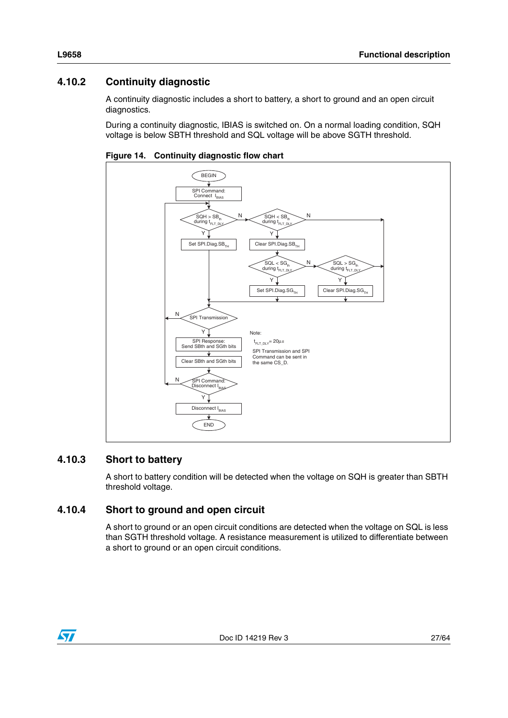# <span id="page-26-0"></span>**4.10.2 Continuity diagnostic**

A continuity diagnostic includes a short to battery, a short to ground and an open circuit diagnostics.

During a continuity diagnostic, IBIAS is switched on. On a normal loading condition, SQH voltage is below SBTH threshold and SQL voltage will be above SGTH threshold.



<span id="page-26-3"></span>**Figure 14. Continuity diagnostic flow chart**

### <span id="page-26-1"></span>**4.10.3 Short to battery**

A short to battery condition will be detected when the voltage on SQH is greater than SBTH threshold voltage.

### <span id="page-26-2"></span>**4.10.4 Short to ground and open circuit**

A short to ground or an open circuit conditions are detected when the voltage on SQL is less than SGTH threshold voltage. A resistance measurement is utilized to differentiate between a short to ground or an open circuit conditions.

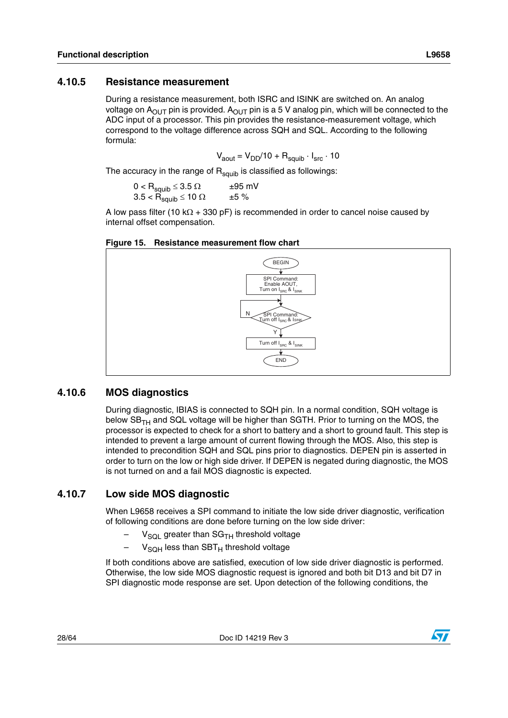### <span id="page-27-0"></span>**4.10.5 Resistance measurement**

During a resistance measurement, both ISRC and ISINK are switched on. An analog voltage on  $A_{\text{OUT}}$  pin is provided.  $A_{\text{OUT}}$  pin is a 5 V analog pin, which will be connected to the ADC input of a processor. This pin provides the resistance-measurement voltage, which correspond to the voltage difference across SQH and SQL. According to the following formula:

$$
V_{\text{aout}} = V_{\text{DD}}/10 + R_{\text{squib}} \cdot I_{\text{src}} \cdot 10
$$

The accuracy in the range of  $R_{\text{squib}}$  is classified as followings:

 $0 <$  R<sub>squib</sub>  $\leq 3.5$   $\Omega$   $\qquad$   $\pm 95$  mV 3.5 <  $\mathsf{R}_{\mathsf{squib}}$   $\leq$  10  $\Omega$   $\qquad$  ±5 %

A low pass filter (10 k $\Omega$  + 330 pF) is recommended in order to cancel noise caused by internal offset compensation.

### <span id="page-27-3"></span>**Figure 15. Resistance measurement flow chart**



### <span id="page-27-1"></span>**4.10.6 MOS diagnostics**

During diagnostic, IBIAS is connected to SQH pin. In a normal condition, SQH voltage is below  $SB<sub>TH</sub>$  and SQL voltage will be higher than SGTH. Prior to turning on the MOS, the processor is expected to check for a short to battery and a short to ground fault. This step is intended to prevent a large amount of current flowing through the MOS. Also, this step is intended to precondition SQH and SQL pins prior to diagnostics. DEPEN pin is asserted in order to turn on the low or high side driver. If DEPEN is negated during diagnostic, the MOS is not turned on and a fail MOS diagnostic is expected.

### <span id="page-27-2"></span>**4.10.7 Low side MOS diagnostic**

When L9658 receives a SPI command to initiate the low side driver diagnostic, verification of following conditions are done before turning on the low side driver:

- $V_{SQL}$  greater than SG<sub>TH</sub> threshold voltage
- $-$  V<sub>SOH</sub> less than SBT<sub>H</sub> threshold voltage

If both conditions above are satisfied, execution of low side driver diagnostic is performed. Otherwise, the low side MOS diagnostic request is ignored and both bit D13 and bit D7 in SPI diagnostic mode response are set. Upon detection of the following conditions, the

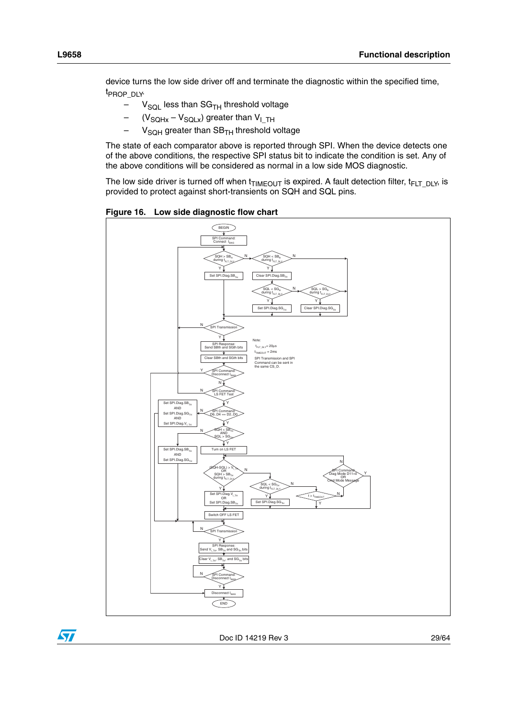device turns the low side driver off and terminate the diagnostic within the specified time, t<sub>PROP</sub> <sub>DLY</sub>.

- $-$  V<sub>SQL</sub> less than SG<sub>TH</sub> threshold voltage
- $(V_{\text{SQLx}} V_{\text{SQLx}})$  greater than  $V_{\text{I-TH}}$
- $V<sub>SQH</sub>$  greater than  $SB<sub>TH</sub>$  threshold voltage

The state of each comparator above is reported through SPI. When the device detects one of the above conditions, the respective SPI status bit to indicate the condition is set. Any of the above conditions will be considered as normal in a low side MOS diagnostic.

The low side driver is turned off when  $t_{TIMEOUT}$  is expired. A fault detection filter,  $t_{FLT-DLY}$ , is provided to protect against short-transients on SQH and SQL pins.

<span id="page-28-0"></span>**Figure 16. Low side diagnostic flow chart**



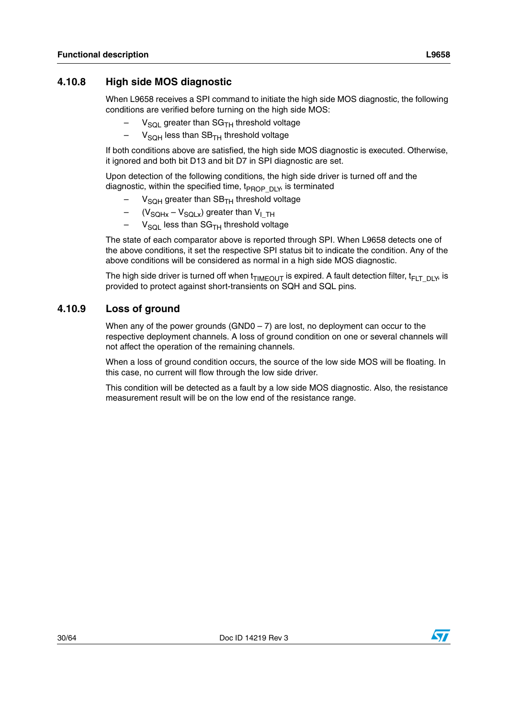### <span id="page-29-0"></span>**4.10.8 High side MOS diagnostic**

When L9658 receives a SPI command to initiate the high side MOS diagnostic, the following conditions are verified before turning on the high side MOS:

- $V_{\text{SOI}}$  greater than SG<sub>TH</sub> threshold voltage
- $-$  V<sub>SOH</sub> less than SB<sub>TH</sub> threshold voltage

If both conditions above are satisfied, the high side MOS diagnostic is executed. Otherwise, it ignored and both bit D13 and bit D7 in SPI diagnostic are set.

Upon detection of the following conditions, the high side driver is turned off and the diagnostic, within the specified time,  $t_{PROP-DLY}$ , is terminated

- $V<sub>SQH</sub>$  greater than  $SB<sub>TH</sub>$  threshold voltage
- $(V_{\text{SQHx}} V_{\text{SQLx}})$  greater than  $V_{\text{I-TH}}$
- $-$  V<sub>SOL</sub> less than SG<sub>TH</sub> threshold voltage

The state of each comparator above is reported through SPI. When L9658 detects one of the above conditions, it set the respective SPI status bit to indicate the condition. Any of the above conditions will be considered as normal in a high side MOS diagnostic.

The high side driver is turned off when  $t_{TIMEOUT}$  is expired. A fault detection filter,  $t_{FIT-DIV}$ , is provided to protect against short-transients on SQH and SQL pins.

### <span id="page-29-1"></span>**4.10.9 Loss of ground**

When any of the power grounds  $(GNDO - 7)$  are lost, no deployment can occur to the respective deployment channels. A loss of ground condition on one or several channels will not affect the operation of the remaining channels.

When a loss of ground condition occurs, the source of the low side MOS will be floating. In this case, no current will flow through the low side driver.

This condition will be detected as a fault by a low side MOS diagnostic. Also, the resistance measurement result will be on the low end of the resistance range.

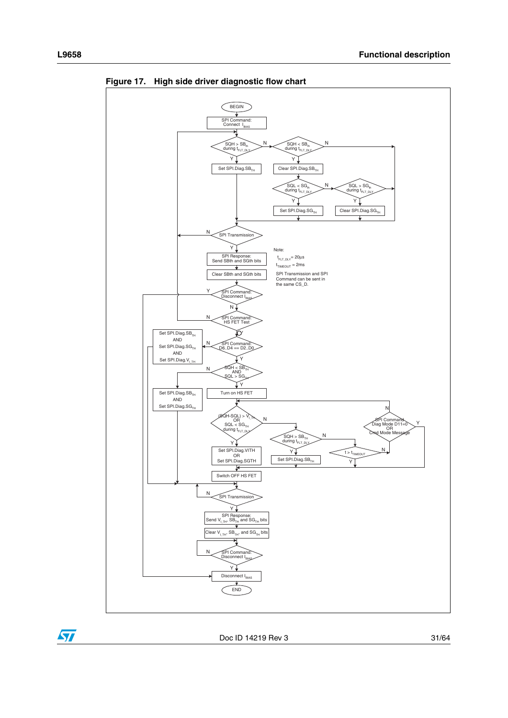

<span id="page-30-0"></span>**Figure 17. High side driver diagnostic flow chart**

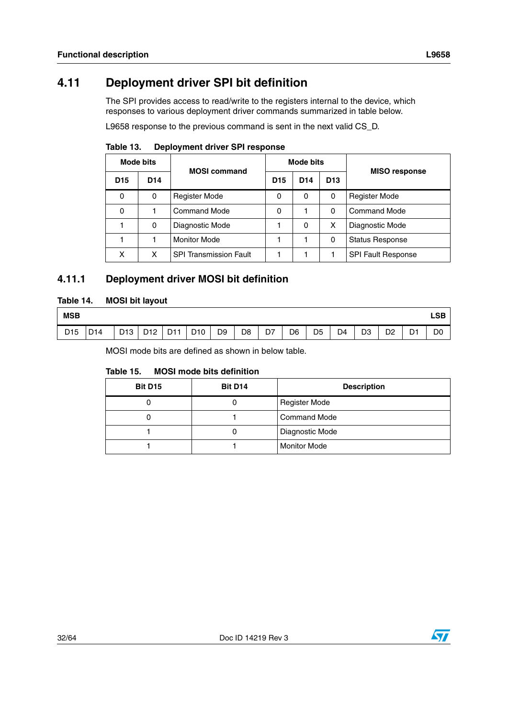# <span id="page-31-0"></span>**4.11 Deployment driver SPI bit definition**

The SPI provides access to read/write to the registers internal to the device, which responses to various deployment driver commands summarized in table below.

L9658 response to the previous command is sent in the next valid CS\_D.

|                 | Mode bits | <b>MOSI</b> command           | <b>Mode bits</b> |                 |                 | <b>MISO response</b>      |
|-----------------|-----------|-------------------------------|------------------|-----------------|-----------------|---------------------------|
| D <sub>15</sub> | D14       |                               | D <sub>15</sub>  | D <sub>14</sub> | D <sub>13</sub> |                           |
| $\Omega$        | 0         | <b>Register Mode</b>          | 0                | 0               | 0               | <b>Register Mode</b>      |
| 0               |           | <b>Command Mode</b>           | 0                |                 | 0               | <b>Command Mode</b>       |
|                 | 0         | Diagnostic Mode               |                  | 0               | x               | Diagnostic Mode           |
|                 |           | <b>Monitor Mode</b>           |                  |                 | 0               | <b>Status Response</b>    |
| x               | x         | <b>SPI Transmission Fault</b> |                  |                 |                 | <b>SPI Fault Response</b> |

<span id="page-31-2"></span>Table 13. **Deployment driver SPI response** 

# <span id="page-31-1"></span>**4.11.1 Deployment driver MOSI bit definition**

### <span id="page-31-3"></span>**Table 14. MOSI bit layout**

| <b>MSB</b>      |                 |                 |                                |          |                 |                |                |    |    |                |    |                |                |            | LSB            |
|-----------------|-----------------|-----------------|--------------------------------|----------|-----------------|----------------|----------------|----|----|----------------|----|----------------|----------------|------------|----------------|
| D <sub>15</sub> | D <sub>14</sub> | D <sub>13</sub> | D <sub>12</sub><br>$\sim$<br>ັ | D11<br>້ | D <sub>10</sub> | D <sub>9</sub> | D <sub>8</sub> | D7 | D6 | D <sub>5</sub> | D4 | D <sub>3</sub> | D <sub>2</sub> | D-4<br>ו ש | D <sub>0</sub> |

MOSI mode bits are defined as shown in below table.

#### <span id="page-31-4"></span>Table 15. **MOSI mode bits definition**

| <b>Bit D15</b> | Bit D <sub>14</sub> | <b>Description</b>   |
|----------------|---------------------|----------------------|
|                |                     | <b>Register Mode</b> |
|                |                     | Command Mode         |
|                |                     | Diagnostic Mode      |
|                |                     | <b>Monitor Mode</b>  |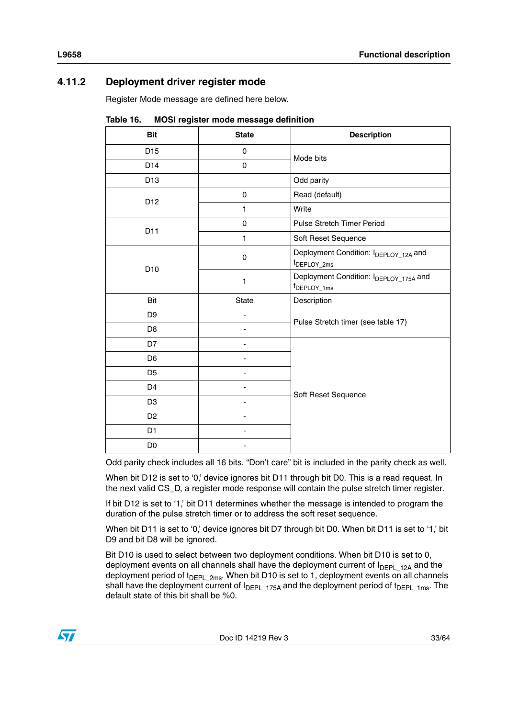# <span id="page-32-0"></span>**4.11.2 Deployment driver register mode**

Register Mode message are defined here below.

| <b>Bit</b>      | <b>State</b> | <b>Description</b>                                                |  |  |  |  |  |
|-----------------|--------------|-------------------------------------------------------------------|--|--|--|--|--|
| D <sub>15</sub> | 0            | Mode bits                                                         |  |  |  |  |  |
| D14             | 0            |                                                                   |  |  |  |  |  |
| D <sub>13</sub> |              | Odd parity                                                        |  |  |  |  |  |
| D12             | $\mathsf 0$  | Read (default)                                                    |  |  |  |  |  |
|                 | 1            | Write                                                             |  |  |  |  |  |
|                 | 0            | Pulse Stretch Timer Period                                        |  |  |  |  |  |
| D11             | 1            | Soft Reset Sequence                                               |  |  |  |  |  |
| D <sub>10</sub> | $\mathbf 0$  | Deployment Condition: IDEPLOY_12A and<br>t <sub>DEPLOY_2ms</sub>  |  |  |  |  |  |
|                 | $\mathbf{1}$ | Deployment Condition: IDEPLOY_175A and<br>t <sub>DEPLOY_1ms</sub> |  |  |  |  |  |
| Bit             | State        | Description                                                       |  |  |  |  |  |
| D <sub>9</sub>  |              | Pulse Stretch timer (see table 17)                                |  |  |  |  |  |
| D <sub>8</sub>  |              |                                                                   |  |  |  |  |  |
| D7              |              |                                                                   |  |  |  |  |  |
| D <sub>6</sub>  |              |                                                                   |  |  |  |  |  |
| D <sub>5</sub>  |              |                                                                   |  |  |  |  |  |
| D <sub>4</sub>  |              | Soft Reset Sequence                                               |  |  |  |  |  |
| D <sub>3</sub>  |              |                                                                   |  |  |  |  |  |
| D <sub>2</sub>  |              |                                                                   |  |  |  |  |  |
| D1              |              |                                                                   |  |  |  |  |  |
| D <sub>0</sub>  |              |                                                                   |  |  |  |  |  |

<span id="page-32-1"></span>Table 16. **Table 16. MOSI register mode message definition**

Odd parity check includes all 16 bits. "Don't care" bit is included in the parity check as well.

When bit D12 is set to '0,' device ignores bit D11 through bit D0. This is a read request. In the next valid CS\_D, a register mode response will contain the pulse stretch timer register.

If bit D12 is set to '1,' bit D11 determines whether the message is intended to program the duration of the pulse stretch timer or to address the soft reset sequence.

When bit D11 is set to '0,' device ignores bit D7 through bit D0. When bit D11 is set to '1,' bit D9 and bit D8 will be ignored.

Bit D10 is used to select between two deployment conditions. When bit D10 is set to 0, deployment events on all channels shall have the deployment current of  $I_{DEPL-12A}$  and the deployment period of  $t_{\text{DEPL}}$  <sub>2ms</sub>. When bit D10 is set to 1, deployment events on all channels shall have the deployment current of I<sub>DEPL\_175A</sub> and the deployment period of t<sub>DEPL\_1ms</sub>. The default state of this bit shall be %0.

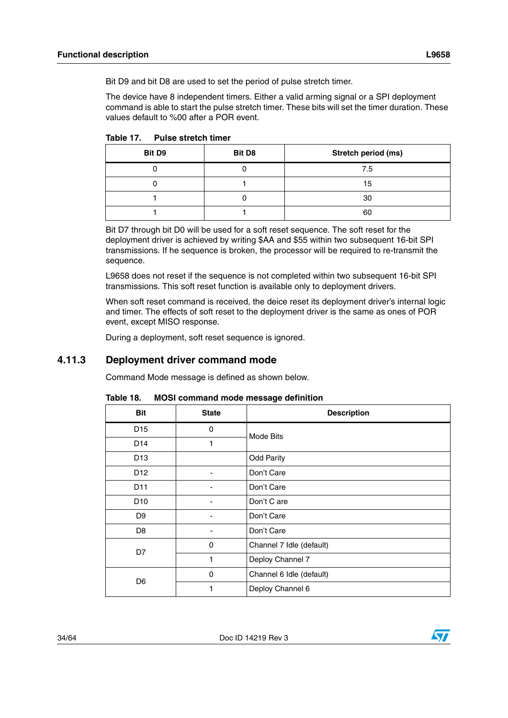Bit D9 and bit D8 are used to set the period of pulse stretch timer.

The device have 8 independent timers. Either a valid arming signal or a SPI deployment command is able to start the pulse stretch timer. These bits will set the timer duration. These values default to %00 after a POR event.

| Bit D9 | Bit D8 | Stretch period (ms) |
|--------|--------|---------------------|
|        |        | 7.5                 |
|        |        | 15                  |
|        |        | 30                  |
|        |        | 60                  |

<span id="page-33-1"></span>Table 17 **Pulse stretch timer** 

Bit D7 through bit D0 will be used for a soft reset sequence. The soft reset for the deployment driver is achieved by writing \$AA and \$55 within two subsequent 16-bit SPI transmissions. If he sequence is broken, the processor will be required to re-transmit the sequence.

L9658 does not reset if the sequence is not completed within two subsequent 16-bit SPI transmissions. This soft reset function is available only to deployment drivers.

When soft reset command is received, the deice reset its deployment driver's internal logic and timer. The effects of soft reset to the deployment driver is the same as ones of POR event, except MISO response.

During a deployment, soft reset sequence is ignored.

### <span id="page-33-0"></span>**4.11.3 Deployment driver command mode**

Command Mode message is defined as shown below.

| <b>Bit</b>      | <b>State</b> | <b>Description</b>       |
|-----------------|--------------|--------------------------|
| D <sub>15</sub> | 0            | Mode Bits                |
| D <sub>14</sub> | 1            |                          |
| D <sub>13</sub> |              | <b>Odd Parity</b>        |
| D <sub>12</sub> |              | Don't Care               |
| D <sub>11</sub> |              | Don't Care               |
| D <sub>10</sub> |              | Don't C are              |
| D <sub>9</sub>  |              | Don't Care               |
| D <sub>8</sub>  |              | Don't Care               |
| D7              | 0            | Channel 7 Idle (default) |
|                 | 1            | Deploy Channel 7         |
| D <sub>6</sub>  | 0            | Channel 6 Idle (default) |
|                 | 1            | Deploy Channel 6         |

<span id="page-33-2"></span>Table 18. **MOSI command mode message definition** 

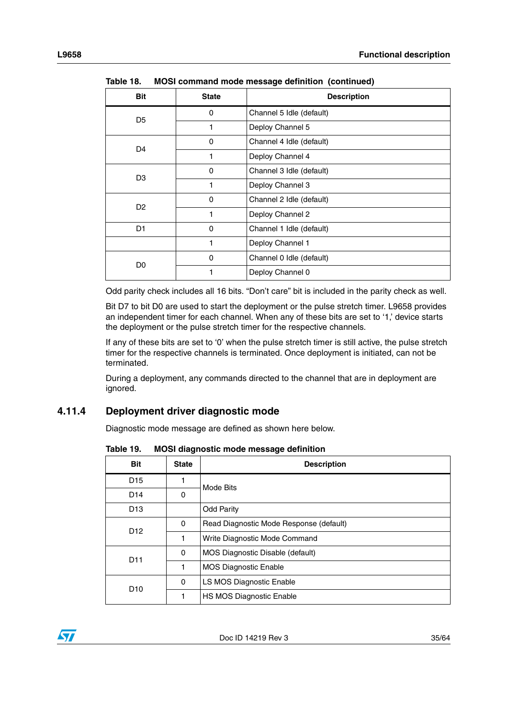| <b>Bit</b>     | <b>State</b> | <b>Description</b>       |
|----------------|--------------|--------------------------|
| D <sub>5</sub> | 0            | Channel 5 Idle (default) |
|                |              | Deploy Channel 5         |
| D <sub>4</sub> | 0            | Channel 4 Idle (default) |
|                |              | Deploy Channel 4         |
| D <sub>3</sub> | 0            | Channel 3 Idle (default) |
|                | 1            | Deploy Channel 3         |
| D <sub>2</sub> | $\Omega$     | Channel 2 Idle (default) |
|                | 1            | Deploy Channel 2         |
| D <sub>1</sub> | 0            | Channel 1 Idle (default) |
|                | 1            | Deploy Channel 1         |
| D <sub>0</sub> | 0            | Channel 0 Idle (default) |
|                |              | Deploy Channel 0         |

**Table 18. MOSI command mode message definition (continued)**

Odd parity check includes all 16 bits. "Don't care" bit is included in the parity check as well.

Bit D7 to bit D0 are used to start the deployment or the pulse stretch timer. L9658 provides an independent timer for each channel. When any of these bits are set to '1,' device starts the deployment or the pulse stretch timer for the respective channels.

If any of these bits are set to '0' when the pulse stretch timer is still active, the pulse stretch timer for the respective channels is terminated. Once deployment is initiated, can not be terminated.

During a deployment, any commands directed to the channel that are in deployment are ignored.

### <span id="page-34-0"></span>**4.11.4 Deployment driver diagnostic mode**

Diagnostic mode message are defined as shown here below.

| <b>Bit</b>      | <b>State</b> | <b>Description</b>                      |
|-----------------|--------------|-----------------------------------------|
| D <sub>15</sub> | 1            | Mode Bits                               |
| D <sub>14</sub> | 0            |                                         |
| D <sub>13</sub> |              | <b>Odd Parity</b>                       |
| D <sub>12</sub> | $\Omega$     | Read Diagnostic Mode Response (default) |
|                 | 1            | Write Diagnostic Mode Command           |
| D <sub>11</sub> | 0            | MOS Diagnostic Disable (default)        |
|                 | 1            | <b>MOS Diagnostic Enable</b>            |
| D <sub>10</sub> | $\Omega$     | LS MOS Diagnostic Enable                |
|                 | 1            | HS MOS Diagnostic Enable                |

<span id="page-34-1"></span>Table 19. **MOSI diagnostic mode message definition** 



 $\sqrt{2}$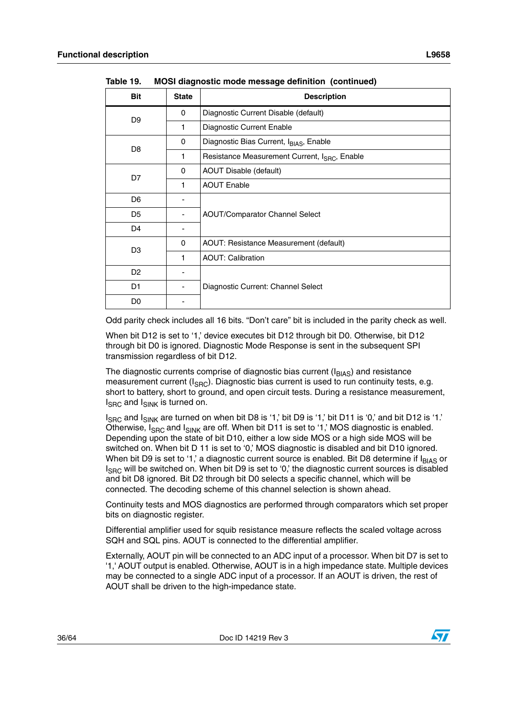| <b>Bit</b>     | <b>State</b> | <b>Description</b>                                        |
|----------------|--------------|-----------------------------------------------------------|
| D <sub>9</sub> | 0            | Diagnostic Current Disable (default)                      |
|                | 1            | Diagnostic Current Enable                                 |
| D <sub>8</sub> | 0            | Diagnostic Bias Current, IBIAS, Enable                    |
|                | 1            | Resistance Measurement Current, I <sub>SRC</sub> , Enable |
| D7             | 0            | AOUT Disable (default)                                    |
|                | 1            | <b>AOUT Enable</b>                                        |
| D <sub>6</sub> |              |                                                           |
| D <sub>5</sub> |              | <b>AOUT/Comparator Channel Select</b>                     |
| D4             |              |                                                           |
| D <sub>3</sub> | $\Omega$     | AOUT: Resistance Measurement (default)                    |
|                | 1            | <b>AOUT: Calibration</b>                                  |
| D <sub>2</sub> |              |                                                           |
| D1             |              | Diagnostic Current: Channel Select                        |
| D <sub>0</sub> |              |                                                           |

**Table 19. MOSI diagnostic mode message definition (continued)**

Odd parity check includes all 16 bits. "Don't care" bit is included in the parity check as well.

When bit D12 is set to '1,' device executes bit D12 through bit D0. Otherwise, bit D12 through bit D0 is ignored. Diagnostic Mode Response is sent in the subsequent SPI transmission regardless of bit D12.

The diagnostic currents comprise of diagnostic bias current  $(I_{BIAS})$  and resistance measurement current ( $I_{SBC}$ ). Diagnostic bias current is used to run continuity tests, e.g. short to battery, short to ground, and open circuit tests. During a resistance measurement,  $I_{SRC}$  and  $I_{SINK}$  is turned on.

 $I_{SRC}$  and  $I_{SINK}$  are turned on when bit D8 is '1,' bit D9 is '1,' bit D11 is '0,' and bit D12 is '1.' Otherwise,  $I_{SRC}$  and  $I_{SINK}$  are off. When bit D11 is set to '1,' MOS diagnostic is enabled. Depending upon the state of bit D10, either a low side MOS or a high side MOS will be switched on. When bit D 11 is set to '0,' MOS diagnostic is disabled and bit D10 ignored. When bit D9 is set to '1,' a diagnostic current source is enabled. Bit D8 determine if  $I_{BIAS}$  or  $I_{SRC}$  will be switched on. When bit D9 is set to '0,' the diagnostic current sources is disabled and bit D8 ignored. Bit D2 through bit D0 selects a specific channel, which will be connected. The decoding scheme of this channel selection is shown ahead.

Continuity tests and MOS diagnostics are performed through comparators which set proper bits on diagnostic register.

Differential amplifier used for squib resistance measure reflects the scaled voltage across SQH and SQL pins. AOUT is connected to the differential amplifier.

Externally, AOUT pin will be connected to an ADC input of a processor. When bit D7 is set to '1,' AOUT output is enabled. Otherwise, AOUT is in a high impedance state. Multiple devices may be connected to a single ADC input of a processor. If an AOUT is driven, the rest of AOUT shall be driven to the high-impedance state.

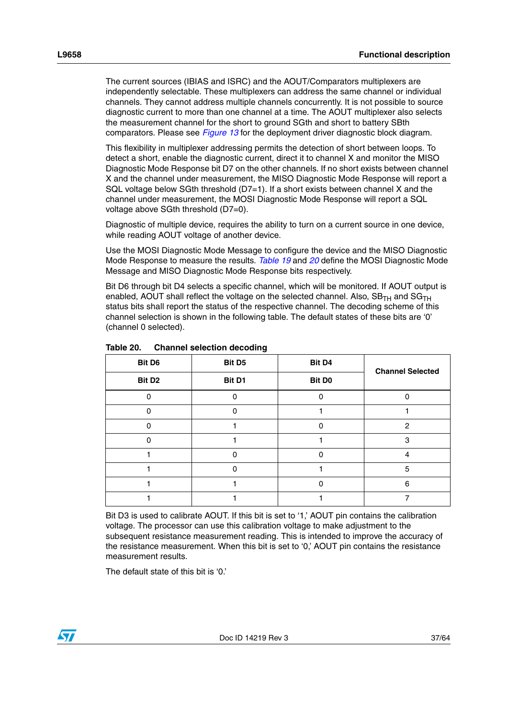The current sources (IBIAS and ISRC) and the AOUT/Comparators multiplexers are independently selectable. These multiplexers can address the same channel or individual channels. They cannot address multiple channels concurrently. It is not possible to source diagnostic current to more than one channel at a time. The AOUT multiplexer also selects the measurement channel for the short to ground SGth and short to battery SBth comparators. Please see *[Figure 13](#page-25-1)* for the deployment driver diagnostic block diagram.

This flexibility in multiplexer addressing permits the detection of short between loops. To detect a short, enable the diagnostic current, direct it to channel X and monitor the MISO Diagnostic Mode Response bit D7 on the other channels. If no short exists between channel X and the channel under measurement, the MISO Diagnostic Mode Response will report a SQL voltage below SGth threshold (D7=1). If a short exists between channel X and the channel under measurement, the MOSI Diagnostic Mode Response will report a SQL voltage above SGth threshold (D7=0).

Diagnostic of multiple device, requires the ability to turn on a current source in one device, while reading AOUT voltage of another device.

Use the MOSI Diagnostic Mode Message to configure the device and the MISO Diagnostic Mode Response to measure the results. *[Table 19](#page-34-1)* and *[20](#page-36-0)* define the MOSI Diagnostic Mode Message and MISO Diagnostic Mode Response bits respectively.

Bit D6 through bit D4 selects a specific channel, which will be monitored. If AOUT output is enabled, AOUT shall reflect the voltage on the selected channel. Also,  $SB_{TH}$  and  $SG_{TH}$ status bits shall report the status of the respective channel. The decoding scheme of this channel selection is shown in the following table. The default states of these bits are '0' (channel 0 selected).

| Bit D6             | Bit D <sub>5</sub> | Bit D4             | <b>Channel Selected</b> |  |  |  |
|--------------------|--------------------|--------------------|-------------------------|--|--|--|
| Bit D <sub>2</sub> | Bit D1             | Bit D <sub>0</sub> |                         |  |  |  |
|                    |                    |                    |                         |  |  |  |
|                    |                    |                    |                         |  |  |  |
|                    |                    |                    | 2                       |  |  |  |
|                    |                    |                    | 3                       |  |  |  |
|                    |                    |                    | 4                       |  |  |  |
|                    |                    |                    | 5                       |  |  |  |
|                    |                    | ი                  | 6                       |  |  |  |
|                    |                    |                    |                         |  |  |  |

<span id="page-36-0"></span>Table 20. **Channel selection decoding** 

Bit D3 is used to calibrate AOUT. If this bit is set to '1,' AOUT pin contains the calibration voltage. The processor can use this calibration voltage to make adjustment to the subsequent resistance measurement reading. This is intended to improve the accuracy of the resistance measurement. When this bit is set to '0,' AOUT pin contains the resistance measurement results.

The default state of this bit is '0.'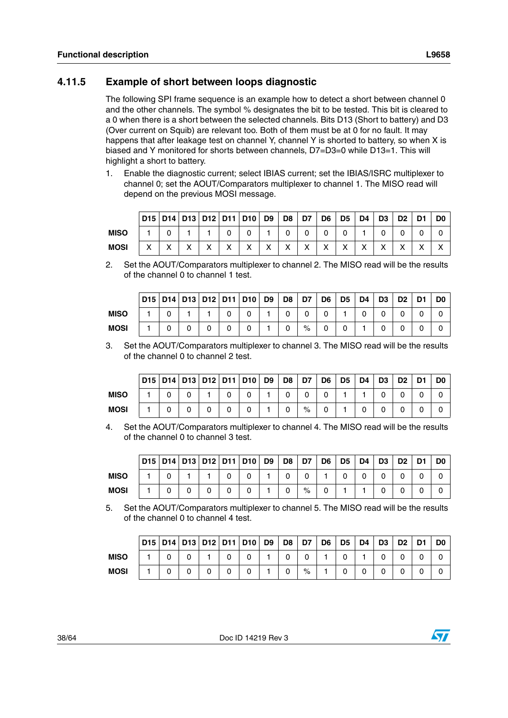### <span id="page-37-0"></span>**4.11.5 Example of short between loops diagnostic**

The following SPI frame sequence is an example how to detect a short between channel 0 and the other channels. The symbol % designates the bit to be tested. This bit is cleared to a 0 when there is a short between the selected channels. Bits D13 (Short to battery) and D3 (Over current on Squib) are relevant too. Both of them must be at 0 for no fault. It may happens that after leakage test on channel Y, channel Y is shorted to battery, so when X is biased and Y monitored for shorts between channels, D7=D3=0 while D13=1. This will highlight a short to battery.

1. Enable the diagnostic current; select IBIAS current; set the IBIAS/ISRC multiplexer to channel 0; set the AOUT/Comparators multiplexer to channel 1. The MISO read will depend on the previous MOSI message.

|             |                   |         |   |                   |                   | D15   D14   D13   D12   D11   D10   D9 |        | D <sub>8</sub> | D7           | D <sub>6</sub> | D <sub>5</sub> | D <sub>4</sub> | D <sub>3</sub> | D <sub>2</sub> | D <sub>1</sub> | D <sub>0</sub> |
|-------------|-------------------|---------|---|-------------------|-------------------|----------------------------------------|--------|----------------|--------------|----------------|----------------|----------------|----------------|----------------|----------------|----------------|
| <b>MISO</b> |                   |         |   |                   |                   |                                        |        |                |              |                |                |                |                |                |                |                |
| <b>MOSI</b> | $\checkmark$<br>⌒ | $\cdot$ | v | $\checkmark$<br>∧ | $\checkmark$<br>∧ | $\checkmark$                           | v<br>⌒ | v<br>∧         | $\checkmark$ | $\checkmark$   | $\checkmark$   | $\checkmark$   |                | v<br>∧         | v              |                |

2. Set the AOUT/Comparators multiplexer to channel 2. The MISO read will be the results of the channel 0 to channel 1 test.

|             |  |   |   | D15   D14   D13   D12   D11   D10 | D <sub>9</sub> | D <sub>8</sub> | D7   | D <sub>6</sub> | D <sub>5</sub> | D <sub>4</sub> | D <sub>3</sub> | D <sub>2</sub> | D1 | D <sub>0</sub> |
|-------------|--|---|---|-----------------------------------|----------------|----------------|------|----------------|----------------|----------------|----------------|----------------|----|----------------|
| <b>MISO</b> |  |   |   |                                   |                |                |      |                |                |                | 0              |                |    |                |
| <b>MOSI</b> |  | 0 | 0 |                                   |                |                | $\%$ | 0              |                |                |                | 0              |    |                |

3. Set the AOUT/Comparators multiplexer to channel 3. The MISO read will be the results of the channel 0 to channel 2 test.

|             |  |   | D15   D14   D13   D12   D11   D10   D9 | <b>D8</b> | D7   | D <sub>6</sub> | D <sub>5</sub> | D <sub>4</sub> | D3 | D <sub>2</sub> | D1 | D <sub>0</sub> |
|-------------|--|---|----------------------------------------|-----------|------|----------------|----------------|----------------|----|----------------|----|----------------|
| <b>MISO</b> |  |   |                                        |           |      |                |                |                |    |                |    |                |
| <b>MOSI</b> |  | 0 |                                        |           | $\%$ | 0              |                |                |    |                |    |                |

4. Set the AOUT/Comparators multiplexer to channel 4. The MISO read will be the results of the channel 0 to channel 3 test.

|      |  |  |   | D15   D14   D13   D12   D11   D10    D9    D8    D7 |  |      | D6 | D <sub>5</sub> | D <sub>4</sub> | D <sub>3</sub> | D <sub>2</sub> | D1 | D <sub>0</sub> |
|------|--|--|---|-----------------------------------------------------|--|------|----|----------------|----------------|----------------|----------------|----|----------------|
| MISO |  |  | 0 | ⌒                                                   |  |      |    |                |                |                |                |    |                |
| MOSI |  |  |   |                                                     |  | $\%$ |    |                |                |                |                |    |                |

5. Set the AOUT/Comparators multiplexer to channel 5. The MISO read will be the results of the channel 0 to channel 4 test.

|             |  |   |   | D15   D14   D13   D12   D11   D10 | D <sub>9</sub> | D8 | D7   | D <sub>6</sub> | D <sub>5</sub> | D <sub>4</sub> | D <sub>3</sub> | D <sub>2</sub> | D1 | D0 |
|-------------|--|---|---|-----------------------------------|----------------|----|------|----------------|----------------|----------------|----------------|----------------|----|----|
| <b>MISO</b> |  |   |   |                                   |                |    |      |                |                |                | 0              |                |    |    |
| <b>MOSI</b> |  | 0 | U |                                   |                |    | $\%$ |                |                |                | U              |                |    |    |

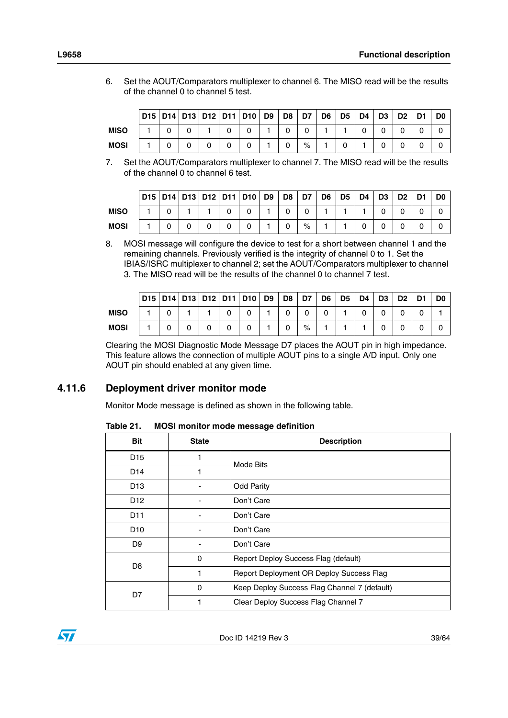- **D15 D14 D13 D12 D11 D10 D9 D8 D7 D6 D5 D4 D3 D2 D1 D0 MISO** 1001001001100000 **MOSI** | 1 | 0 | 0 | 0 | 0 | 0 | 1 | 0 | % | 1 | 0 | 1 | 0 | 0 | 0 | 0
- 6. Set the AOUT/Comparators multiplexer to channel 6. The MISO read will be the results of the channel 0 to channel 5 test.
- 7. Set the AOUT/Comparators multiplexer to channel 7. The MISO read will be the results of the channel 0 to channel 6 test.

|             |  |  | D15   D14   D13   D12   D11   D10    D9    D8    D7 |  |      | D6 | D <sub>5</sub> | D <sub>4</sub> | D <sub>3</sub> | D <sub>2</sub> | D <sub>1</sub> | D <sub>0</sub> |
|-------------|--|--|-----------------------------------------------------|--|------|----|----------------|----------------|----------------|----------------|----------------|----------------|
| <b>MISO</b> |  |  |                                                     |  |      |    |                |                |                |                |                |                |
| <b>MOSI</b> |  |  |                                                     |  | $\%$ |    |                |                |                |                |                |                |

8. MOSI message will configure the device to test for a short between channel 1 and the remaining channels. Previously verified is the integrity of channel 0 to 1. Set the IBIAS/ISRC multiplexer to channel 2; set the AOUT/Comparators multiplexer to channel 3. The MISO read will be the results of the channel 0 to channel 7 test.

|             | D15   D14   D13   D12   D11   D10   D9 |  |   |   |  | $\overline{D8}$ | D7   | D <sub>6</sub> | D <sub>5</sub> | D <sub>4</sub> | D <sub>3</sub> | D <sub>2</sub> | D1 | D <sub>0</sub> |
|-------------|----------------------------------------|--|---|---|--|-----------------|------|----------------|----------------|----------------|----------------|----------------|----|----------------|
| <b>MISO</b> |                                        |  |   | 0 |  |                 | 0    |                |                |                |                |                |    |                |
| <b>MOSI</b> |                                        |  | 0 |   |  | 0               | $\%$ |                |                |                |                | 0              |    |                |

Clearing the MOSI Diagnostic Mode Message D7 places the AOUT pin in high impedance. This feature allows the connection of multiple AOUT pins to a single A/D input. Only one AOUT pin should enabled at any given time.

### <span id="page-38-0"></span>**4.11.6 Deployment driver monitor mode**

Monitor Mode message is defined as shown in the following table.

#### <span id="page-38-1"></span>Table 21. **MOSI monitor mode message definition**

| <b>Bit</b>      | <b>State</b> | <b>Description</b>                           |
|-----------------|--------------|----------------------------------------------|
| D <sub>15</sub> | 1            | Mode Bits                                    |
| D <sub>14</sub> | 1            |                                              |
| D <sub>13</sub> |              | <b>Odd Parity</b>                            |
| D <sub>12</sub> |              | Don't Care                                   |
| D <sub>11</sub> |              | Don't Care                                   |
| D <sub>10</sub> |              | Don't Care                                   |
| D <sub>9</sub>  |              | Don't Care                                   |
| D <sub>8</sub>  | 0            | Report Deploy Success Flag (default)         |
|                 | 1            | Report Deployment OR Deploy Success Flag     |
| D7              | 0            | Keep Deploy Success Flag Channel 7 (default) |
|                 |              | Clear Deploy Success Flag Channel 7          |

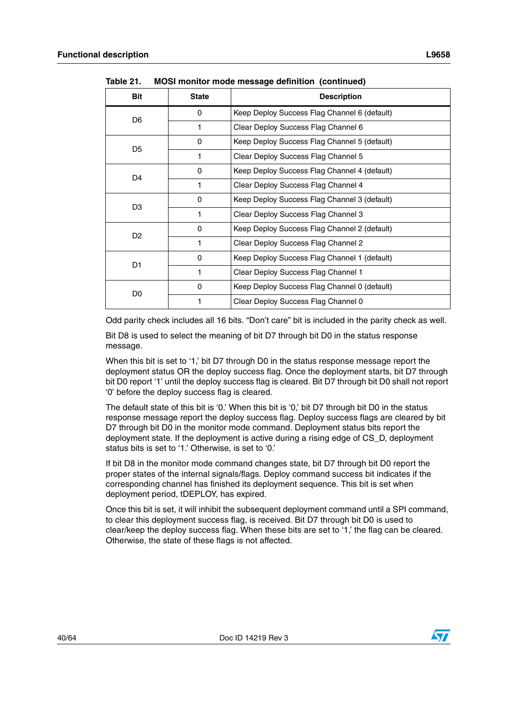| <b>Bit</b>     | <b>State</b> | <b>Description</b>                           |
|----------------|--------------|----------------------------------------------|
| D <sub>6</sub> | 0            | Keep Deploy Success Flag Channel 6 (default) |
|                | 1            | Clear Deploy Success Flag Channel 6          |
| D <sub>5</sub> | 0            | Keep Deploy Success Flag Channel 5 (default) |
|                | 1            | Clear Deploy Success Flag Channel 5          |
| D <sub>4</sub> | 0            | Keep Deploy Success Flag Channel 4 (default) |
|                | 1            | Clear Deploy Success Flag Channel 4          |
| D <sub>3</sub> | 0            | Keep Deploy Success Flag Channel 3 (default) |
|                | 1            | Clear Deploy Success Flag Channel 3          |
| D <sub>2</sub> | 0            | Keep Deploy Success Flag Channel 2 (default) |
|                | 1            | Clear Deploy Success Flag Channel 2          |
| D <sub>1</sub> | 0            | Keep Deploy Success Flag Channel 1 (default) |
|                | 1            | Clear Deploy Success Flag Channel 1          |
| D0             | 0            | Keep Deploy Success Flag Channel 0 (default) |
|                |              | Clear Deploy Success Flag Channel 0          |

**Table 21. MOSI monitor mode message definition (continued)**

Odd parity check includes all 16 bits. "Don't care" bit is included in the parity check as well.

Bit D8 is used to select the meaning of bit D7 through bit D0 in the status response message.

When this bit is set to '1,' bit D7 through D0 in the status response message report the deployment status OR the deploy success flag. Once the deployment starts, bit D7 through bit D0 report '1' until the deploy success flag is cleared. Bit D7 through bit D0 shall not report '0' before the deploy success flag is cleared.

The default state of this bit is '0.' When this bit is '0,' bit D7 through bit D0 in the status response message report the deploy success flag. Deploy success flags are cleared by bit D7 through bit D0 in the monitor mode command. Deployment status bits report the deployment state. If the deployment is active during a rising edge of CS\_D, deployment status bits is set to '1.' Otherwise, is set to '0.'

If bit D8 in the monitor mode command changes state, bit D7 through bit D0 report the proper states of the internal signals/flags. Deploy command success bit indicates if the corresponding channel has finished its deployment sequence. This bit is set when deployment period, tDEPLOY, has expired.

Once this bit is set, it will inhibit the subsequent deployment command until a SPI command, to clear this deployment success flag, is received. Bit D7 through bit D0 is used to clear/keep the deploy success flag. When these bits are set to '1,' the flag can be cleared. Otherwise, the state of these flags is not affected.

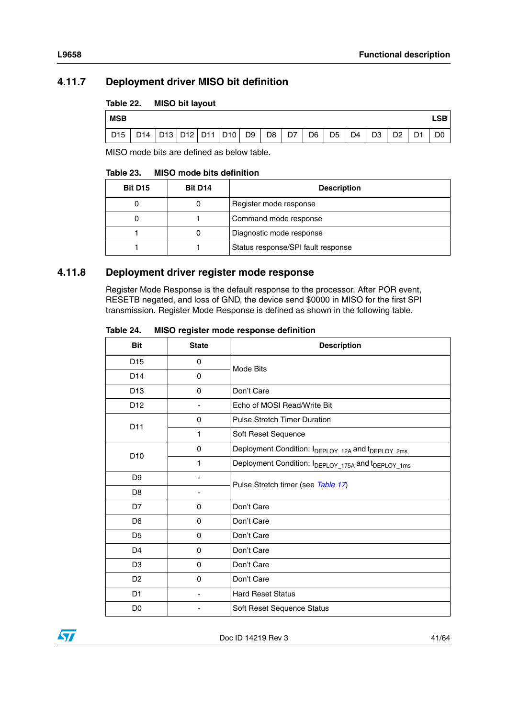# <span id="page-40-0"></span>**4.11.7 Deployment driver MISO bit definition**

#### <span id="page-40-2"></span>Table 22. **MISO bit layout**

| <b>MSB</b> |                             |  |  |    |                |    |                |                |                |                |                |                | ∟SB⊹           |
|------------|-----------------------------|--|--|----|----------------|----|----------------|----------------|----------------|----------------|----------------|----------------|----------------|
| D15        | D14   D13   D12   D11   D10 |  |  | D9 | D <sub>8</sub> | D7 | D <sub>6</sub> | D <sub>5</sub> | D <sub>4</sub> | D <sub>3</sub> | D <sub>2</sub> | D <sub>1</sub> | D <sub>0</sub> |

MISO mode bits are defined as below table.

#### <span id="page-40-3"></span>Table 23. **MISO mode bits definition**

| Bit D <sub>15</sub> | Bit D <sub>14</sub> | <b>Description</b>                 |
|---------------------|---------------------|------------------------------------|
|                     |                     | Register mode response             |
|                     |                     | Command mode response              |
|                     |                     | Diagnostic mode response           |
|                     |                     | Status response/SPI fault response |

### <span id="page-40-1"></span>**4.11.8 Deployment driver register mode response**

Register Mode Response is the default response to the processor. After POR event, RESETB negated, and loss of GND, the device send \$0000 in MISO for the first SPI transmission. Register Mode Response is defined as shown in the following table.

#### <span id="page-40-4"></span>Table 24. **MISO register mode response definition**

| <b>Bit</b>      | <b>State</b> | <b>Description</b>                                                        |  |  |  |
|-----------------|--------------|---------------------------------------------------------------------------|--|--|--|
| D <sub>15</sub> | $\Omega$     | <b>Mode Bits</b>                                                          |  |  |  |
| D <sub>14</sub> | 0            |                                                                           |  |  |  |
| D <sub>13</sub> | $\Omega$     | Don't Care                                                                |  |  |  |
| D <sub>12</sub> |              | Echo of MOSI Read/Write Bit                                               |  |  |  |
| D11             | 0            | <b>Pulse Stretch Timer Duration</b>                                       |  |  |  |
|                 | 1            | Soft Reset Sequence                                                       |  |  |  |
| D <sub>10</sub> | 0            | Deployment Condition: I <sub>DEPLOY_12A</sub> and t <sub>DEPLOY_2ms</sub> |  |  |  |
|                 | 1            | Deployment Condition: IDEPLOY_175A and IDEPLOY_1ms                        |  |  |  |
| D <sub>9</sub>  |              | Pulse Stretch timer (see Table 17)                                        |  |  |  |
| D <sub>8</sub>  |              |                                                                           |  |  |  |
| D7              | 0            | Don't Care                                                                |  |  |  |
| D <sub>6</sub>  | 0            | Don't Care                                                                |  |  |  |
| D <sub>5</sub>  | 0            | Don't Care                                                                |  |  |  |
| D <sub>4</sub>  | 0            | Don't Care                                                                |  |  |  |
| D <sub>3</sub>  | $\Omega$     | Don't Care                                                                |  |  |  |
| D <sub>2</sub>  | $\Omega$     | Don't Care                                                                |  |  |  |
| D <sub>1</sub>  |              | <b>Hard Reset Status</b>                                                  |  |  |  |
| D0              |              | Soft Reset Sequence Status                                                |  |  |  |

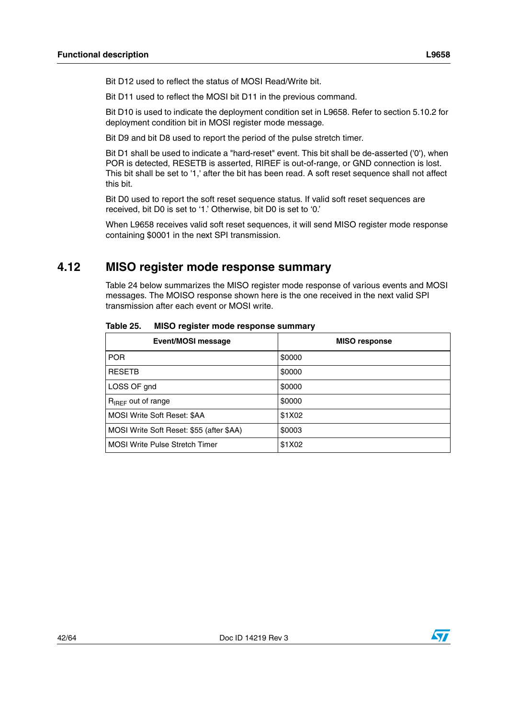Bit D12 used to reflect the status of MOSI Read/Write bit.

Bit D11 used to reflect the MOSI bit D11 in the previous command.

Bit D10 is used to indicate the deployment condition set in L9658. Refer to section 5.10.2 for deployment condition bit in MOSI register mode message.

Bit D9 and bit D8 used to report the period of the pulse stretch timer.

Bit D1 shall be used to indicate a "hard-reset" event. This bit shall be de-asserted ('0'), when POR is detected, RESETB is asserted, RIREF is out-of-range, or GND connection is lost. This bit shall be set to '1,' after the bit has been read. A soft reset sequence shall not affect this bit.

Bit D0 used to report the soft reset sequence status. If valid soft reset sequences are received, bit D0 is set to '1.' Otherwise, bit D0 is set to '0.'

When L9658 receives valid soft reset sequences, it will send MISO register mode response containing \$0001 in the next SPI transmission.

# <span id="page-41-0"></span>**4.12 MISO register mode response summary**

Table 24 below summarizes the MISO register mode response of various events and MOSI messages. The MOISO response shown here is the one received in the next valid SPI transmission after each event or MOSI write.

| Event/MOSI message                       | <b>MISO</b> response |
|------------------------------------------|----------------------|
| <b>POR</b>                               | \$0000               |
| <b>RESETB</b>                            | \$0000               |
| LOSS OF gnd                              | \$0000               |
| R <sub>IREF</sub> out of range           | \$0000               |
| MOSI Write Soft Reset: \$AA              | \$1X02               |
| MOSI Write Soft Reset: \$55 (after \$AA) | \$0003               |
| <b>MOSI Write Pulse Stretch Timer</b>    | \$1X02               |

<span id="page-41-1"></span>**Table 25. MISO register mode response summary**

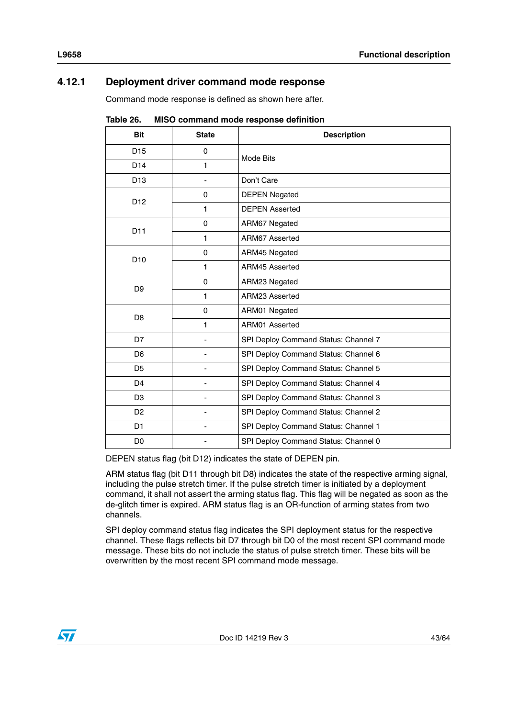# <span id="page-42-0"></span>**4.12.1 Deployment driver command mode response**

Command mode response is defined as shown here after.

| <b>Bit</b>      | <b>State</b> | $\sim$ 0011111101110 111000 100p01100 001111<br><b>Description</b> |
|-----------------|--------------|--------------------------------------------------------------------|
|                 |              |                                                                    |
| D <sub>15</sub> | 0            | Mode Bits                                                          |
| D <sub>14</sub> | 1            |                                                                    |
| D <sub>13</sub> |              | Don't Care                                                         |
| D <sub>12</sub> | $\Omega$     | <b>DEPEN Negated</b>                                               |
|                 | 1            | <b>DEPEN Asserted</b>                                              |
| D11             | $\Omega$     | ARM67 Negated                                                      |
|                 | 1            | ARM67 Asserted                                                     |
| D <sub>10</sub> | $\Omega$     | ARM45 Negated                                                      |
|                 | 1            | ARM45 Asserted                                                     |
| D <sub>9</sub>  | $\Omega$     | ARM23 Negated                                                      |
|                 | 1            | ARM23 Asserted                                                     |
| D <sub>8</sub>  | $\Omega$     | ARM01 Negated                                                      |
|                 | 1            | ARM01 Asserted                                                     |
| D7              |              | SPI Deploy Command Status: Channel 7                               |
| D <sub>6</sub>  |              | SPI Deploy Command Status: Channel 6                               |
| D <sub>5</sub>  |              | SPI Deploy Command Status: Channel 5                               |
| D <sub>4</sub>  |              | SPI Deploy Command Status: Channel 4                               |
| D <sub>3</sub>  |              | SPI Deploy Command Status: Channel 3                               |
| D <sub>2</sub>  |              | SPI Deploy Command Status: Channel 2                               |
| D <sub>1</sub>  |              | SPI Deploy Command Status: Channel 1                               |
| D <sub>0</sub>  |              | SPI Deploy Command Status: Channel 0                               |

<span id="page-42-1"></span>Table 26 **Table 26. MISO command mode response definition**

DEPEN status flag (bit D12) indicates the state of DEPEN pin.

ARM status flag (bit D11 through bit D8) indicates the state of the respective arming signal, including the pulse stretch timer. If the pulse stretch timer is initiated by a deployment command, it shall not assert the arming status flag. This flag will be negated as soon as the de-glitch timer is expired. ARM status flag is an OR-function of arming states from two channels.

SPI deploy command status flag indicates the SPI deployment status for the respective channel. These flags reflects bit D7 through bit D0 of the most recent SPI command mode message. These bits do not include the status of pulse stretch timer. These bits will be overwritten by the most recent SPI command mode message.

![](_page_42_Picture_8.jpeg)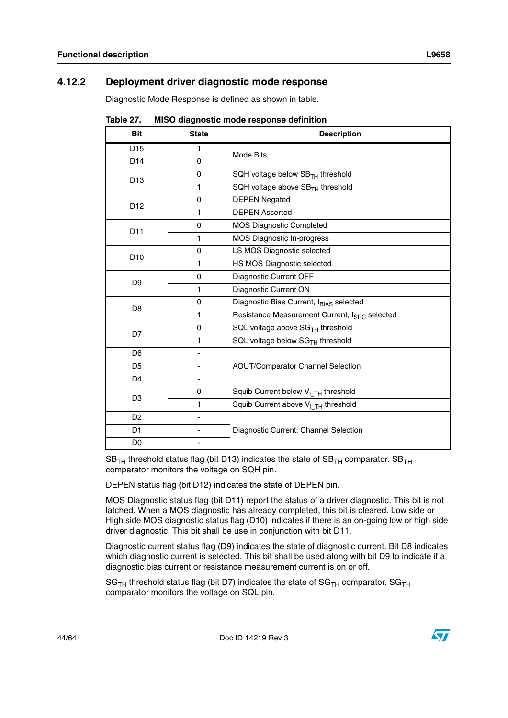### <span id="page-43-0"></span>**4.12.2 Deployment driver diagnostic mode response**

Diagnostic Mode Response is defined as shown in table.

| Bit             | <b>State</b> | <b>MICO GRUGHOOGO MOGO TOOPOHOO GOMMUN</b><br><b>Description</b> |
|-----------------|--------------|------------------------------------------------------------------|
| D <sub>15</sub> | 1            |                                                                  |
| D14             | 0            | Mode Bits                                                        |
|                 | 0            | SQH voltage below $SBTH$ threshold                               |
| D <sub>13</sub> | 1            | SQH voltage above SB <sub>TH</sub> threshold                     |
|                 | 0            | <b>DEPEN Negated</b>                                             |
| D <sub>12</sub> | 1            | <b>DEPEN Asserted</b>                                            |
|                 | 0            | <b>MOS Diagnostic Completed</b>                                  |
| D11             | $\mathbf{1}$ | MOS Diagnostic In-progress                                       |
| D <sub>10</sub> | 0            | LS MOS Diagnostic selected                                       |
|                 | 1            | HS MOS Diagnostic selected                                       |
| D <sub>9</sub>  | 0            | Diagnostic Current OFF                                           |
|                 | $\mathbf{1}$ | Diagnostic Current ON                                            |
| D <sub>8</sub>  | 0            | Diagnostic Bias Current, IBIAS selected                          |
|                 | 1            | Resistance Measurement Current, I <sub>SRC</sub> selected        |
| D7              | 0            | SQL voltage above SG <sub>TH</sub> threshold                     |
|                 | 1            | SQL voltage below SG <sub>TH</sub> threshold                     |
| D <sub>6</sub>  |              |                                                                  |
| D <sub>5</sub>  |              | <b>AOUT/Comparator Channel Selection</b>                         |
| D <sub>4</sub>  | -            |                                                                  |
| D <sub>3</sub>  | 0            | Squib Current below V <sub>I_TH</sub> threshold                  |
|                 | 1            | Squib Current above $V_{I}$ <sub>TH</sub> threshold              |
| D <sub>2</sub>  |              |                                                                  |
| D <sub>1</sub>  |              | Diagnostic Current: Channel Selection                            |
| D <sub>0</sub>  |              |                                                                  |

<span id="page-43-1"></span>Tahle 27 **Table 27. MISO diagnostic mode response definition**

 $SB<sub>TH</sub>$  threshold status flag (bit D13) indicates the state of  $SB<sub>TH</sub>$  comparator.  $SB<sub>TH</sub>$ comparator monitors the voltage on SQH pin.

DEPEN status flag (bit D12) indicates the state of DEPEN pin.

MOS Diagnostic status flag (bit D11) report the status of a driver diagnostic. This bit is not latched. When a MOS diagnostic has already completed, this bit is cleared. Low side or High side MOS diagnostic status flag (D10) indicates if there is an on-going low or high side driver diagnostic. This bit shall be use in conjunction with bit D11.

Diagnostic current status flag (D9) indicates the state of diagnostic current. Bit D8 indicates which diagnostic current is selected. This bit shall be used along with bit D9 to indicate if a diagnostic bias current or resistance measurement current is on or off.

 $SG<sub>TH</sub>$  threshold status flag (bit D7) indicates the state of  $SG<sub>TH</sub>$  comparator.  $SG<sub>TH</sub>$ comparator monitors the voltage on SQL pin.

 $\sqrt{}$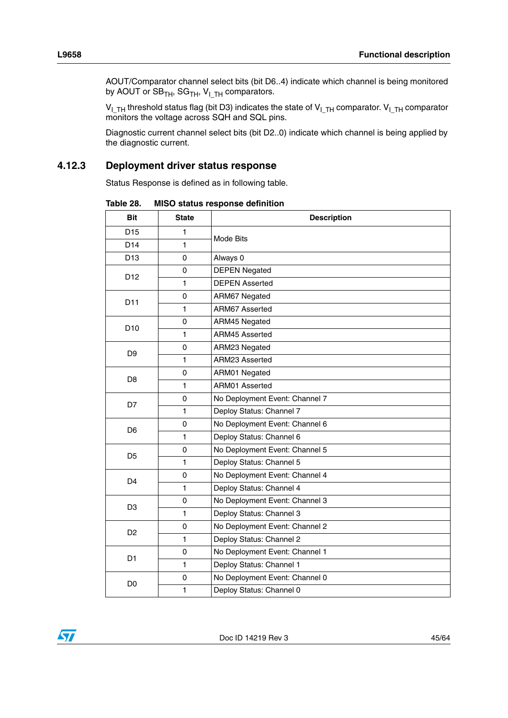AOUT/Comparator channel select bits (bit D6..4) indicate which channel is being monitored by AOUT or  $SB_{TH}$ ,  $SG_{TH}$ ,  $V_{ITH}$  comparators.

 $\rm V_{I\_TH}$  threshold status flag (bit D3) indicates the state of  $\rm V_{I\_TH}$  comparator.  $\rm V_{I\_TH}$  comparator monitors the voltage across SQH and SQL pins.

Diagnostic current channel select bits (bit D2..0) indicate which channel is being applied by the diagnostic current.

### <span id="page-44-0"></span>**4.12.3 Deployment driver status response**

Status Response is defined as in following table.

| <b>Bit</b>      | <b>State</b> | <b>Description</b>             |
|-----------------|--------------|--------------------------------|
| D <sub>15</sub> | 1            | Mode Bits                      |
| D <sub>14</sub> | 1            |                                |
| D <sub>13</sub> | 0            | Always 0                       |
| D <sub>12</sub> | 0            | <b>DEPEN Negated</b>           |
|                 | 1            | <b>DEPEN Asserted</b>          |
| D <sub>11</sub> | $\Omega$     | ARM67 Negated                  |
|                 | 1            | ARM67 Asserted                 |
| D <sub>10</sub> | 0            | ARM45 Negated                  |
|                 | 1            | ARM45 Asserted                 |
| D <sub>9</sub>  | $\Omega$     | ARM23 Negated                  |
|                 | $\mathbf{1}$ | ARM23 Asserted                 |
| D <sub>8</sub>  | $\mathbf 0$  | ARM01 Negated                  |
|                 | 1            | ARM01 Asserted                 |
| D7              | $\mathbf 0$  | No Deployment Event: Channel 7 |
|                 | 1            | Deploy Status: Channel 7       |
| D <sub>6</sub>  | $\Omega$     | No Deployment Event: Channel 6 |
|                 | 1            | Deploy Status: Channel 6       |
| D5              | 0            | No Deployment Event: Channel 5 |
|                 | $\mathbf{1}$ | Deploy Status: Channel 5       |
| D <sub>4</sub>  | $\mathbf 0$  | No Deployment Event: Channel 4 |
|                 | 1            | Deploy Status: Channel 4       |
| D <sub>3</sub>  | 0            | No Deployment Event: Channel 3 |
|                 | $\mathbf{1}$ | Deploy Status: Channel 3       |
| D <sub>2</sub>  | $\mathbf 0$  | No Deployment Event: Channel 2 |
|                 | $\mathbf{1}$ | Deploy Status: Channel 2       |
| D <sub>1</sub>  | $\mathbf 0$  | No Deployment Event: Channel 1 |
|                 | $\mathbf{1}$ | Deploy Status: Channel 1       |
| D <sub>0</sub>  | 0            | No Deployment Event: Channel 0 |
|                 | $\mathbf{1}$ | Deploy Status: Channel 0       |

<span id="page-44-1"></span>**Table 28. MISO status response definition**

![](_page_44_Picture_8.jpeg)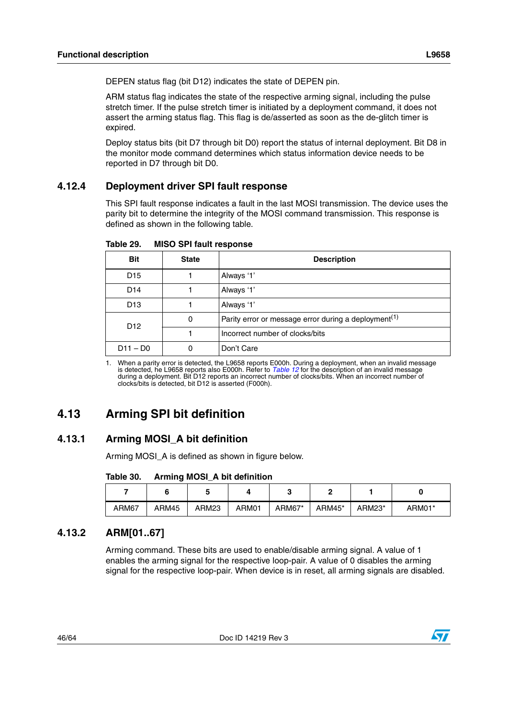DEPEN status flag (bit D12) indicates the state of DEPEN pin.

ARM status flag indicates the state of the respective arming signal, including the pulse stretch timer. If the pulse stretch timer is initiated by a deployment command, it does not assert the arming status flag. This flag is de/asserted as soon as the de-glitch timer is expired.

Deploy status bits (bit D7 through bit D0) report the status of internal deployment. Bit D8 in the monitor mode command determines which status information device needs to be reported in D7 through bit D0.

### <span id="page-45-0"></span>**4.12.4 Deployment driver SPI fault response**

This SPI fault response indicates a fault in the last MOSI transmission. The device uses the parity bit to determine the integrity of the MOSI command transmission. This response is defined as shown in the following table.

| <b>Bit</b>                                                                               | <b>State</b> | <b>Description</b> |  |  |  |
|------------------------------------------------------------------------------------------|--------------|--------------------|--|--|--|
| D <sub>15</sub>                                                                          |              | Always '1'         |  |  |  |
| D <sub>14</sub>                                                                          |              | Always '1'         |  |  |  |
| D <sub>13</sub>                                                                          |              | Always '1'         |  |  |  |
| Parity error or message error during a deployment <sup>(1)</sup><br>0<br>D <sub>12</sub> |              |                    |  |  |  |
| Incorrect number of clocks/bits                                                          |              |                    |  |  |  |
| $D11 - D0$                                                                               | 0            | Don't Care         |  |  |  |

<span id="page-45-4"></span>Table 29. **MISO SPI fault response** 

1. When a parity error is detected, the L9658 reports E000h. During a deployment, when an invalid message is detected, he L9658 reports also E000h. Refer to *[Table 12](#page-24-1)* for the description of an invalid message during a deployment. Bit D12 reports an incorrect number of clocks/bits. When an incorrect number of clocks/bits is detected, bit D12 is asserted (F000h).

# <span id="page-45-1"></span>**4.13 Arming SPI bit definition**

# <span id="page-45-2"></span>**4.13.1 Arming MOSI\_A bit definition**

Arming MOSI\_A is defined as shown in figure below.

<span id="page-45-5"></span>

| ARM67 | ARM45 | ARM23 | ARM01 | ARM67* | ARM45* | ARM23* | ARM01* |
|-------|-------|-------|-------|--------|--------|--------|--------|

# <span id="page-45-3"></span>**4.13.2 ARM[01..67]**

Arming command. These bits are used to enable/disable arming signal. A value of 1 enables the arming signal for the respective loop-pair. A value of 0 disables the arming signal for the respective loop-pair. When device is in reset, all arming signals are disabled.

![](_page_45_Picture_18.jpeg)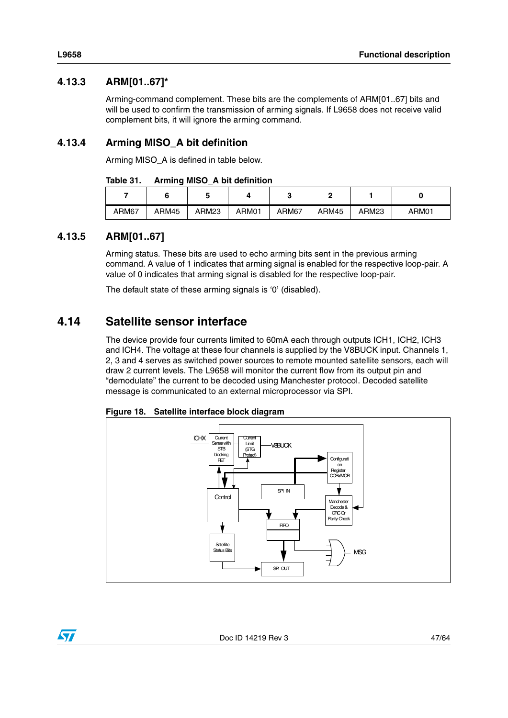# <span id="page-46-0"></span>**4.13.3 ARM[01..67]\***

Arming-command complement. These bits are the complements of ARM[01..67] bits and will be used to confirm the transmission of arming signals. If L9658 does not receive valid complement bits, it will ignore the arming command.

# <span id="page-46-1"></span>**4.13.4 Arming MISO\_A bit definition**

Arming MISO\_A is defined in table below.

<span id="page-46-4"></span>

| Table 31. |  |  | <b>Arming MISO_A bit definition</b> |
|-----------|--|--|-------------------------------------|
|-----------|--|--|-------------------------------------|

|       |       | ີ     |       |       |       |                   |       |
|-------|-------|-------|-------|-------|-------|-------------------|-------|
| ARM67 | ARM45 | ARM23 | ARM01 | ARM67 | ARM45 | ARM <sub>23</sub> | ARM01 |

### <span id="page-46-2"></span>**4.13.5 ARM[01..67]**

Arming status. These bits are used to echo arming bits sent in the previous arming command. A value of 1 indicates that arming signal is enabled for the respective loop-pair. A value of 0 indicates that arming signal is disabled for the respective loop-pair.

The default state of these arming signals is '0' (disabled).

# <span id="page-46-3"></span>**4.14 Satellite sensor interface**

The device provide four currents limited to 60mA each through outputs ICH1, ICH2, ICH3 and ICH4. The voltage at these four channels is supplied by the V8BUCK input. Channels 1, 2, 3 and 4 serves as switched power sources to remote mounted satellite sensors, each will draw 2 current levels. The L9658 will monitor the current flow from its output pin and "demodulate" the current to be decoded using Manchester protocol. Decoded satellite message is communicated to an external microprocessor via SPI.

![](_page_46_Figure_12.jpeg)

<span id="page-46-5"></span>**Figure 18. Satellite interface block diagram**

![](_page_46_Picture_15.jpeg)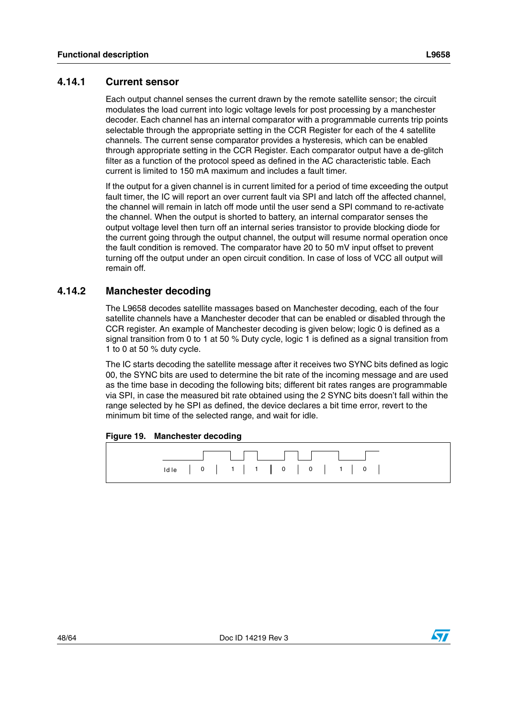### <span id="page-47-0"></span>Each output channel senses the current drawn by the remote satellite sensor; the circuit modulates the load current into logic voltage levels for post processing by a manchester decoder. Each channel has an internal comparator with a programmable currents trip points selectable through the appropriate setting in the CCR Register for each of the 4 satellite channels. The current sense comparator provides a hysteresis, which can be enabled through appropriate setting in the CCR Register. Each comparator output have a de-glitch filter as a function of the protocol speed as defined in the AC characteristic table. Each current is limited to 150 mA maximum and includes a fault timer.

If the output for a given channel is in current limited for a period of time exceeding the output fault timer, the IC will report an over current fault via SPI and latch off the affected channel, the channel will remain in latch off mode until the user send a SPI command to re-activate the channel. When the output is shorted to battery, an internal comparator senses the output voltage level then turn off an internal series transistor to provide blocking diode for the current going through the output channel, the output will resume normal operation once the fault condition is removed. The comparator have 20 to 50 mV input offset to prevent turning off the output under an open circuit condition. In case of loss of VCC all output will remain off.

### <span id="page-47-1"></span>**4.14.2 Manchester decoding**

The L9658 decodes satellite massages based on Manchester decoding, each of the four satellite channels have a Manchester decoder that can be enabled or disabled through the CCR register. An example of Manchester decoding is given below; logic 0 is defined as a signal transition from 0 to 1 at 50 % Duty cycle, logic 1 is defined as a signal transition from 1 to 0 at 50 % duty cycle.

The IC starts decoding the satellite message after it receives two SYNC bits defined as logic 00, the SYNC bits are used to determine the bit rate of the incoming message and are used as the time base in decoding the following bits; different bit rates ranges are programmable via SPI, in case the measured bit rate obtained using the 2 SYNC bits doesn't fall within the range selected by he SPI as defined, the device declares a bit time error, revert to the minimum bit time of the selected range, and wait for idle.

### <span id="page-47-2"></span>**Figure 19. Manchester decoding**

![](_page_47_Figure_8.jpeg)

![](_page_47_Picture_11.jpeg)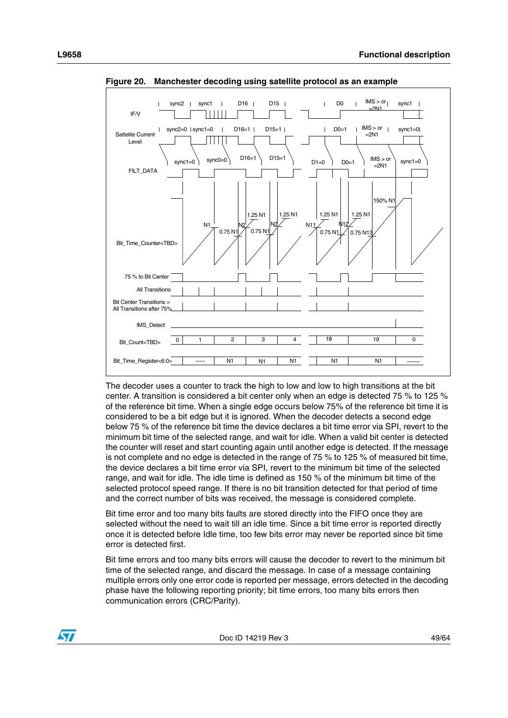![](_page_48_Figure_1.jpeg)

<span id="page-48-0"></span>**Figure 20. Manchester decoding using satellite protocol as an example**

The decoder uses a counter to track the high to low and low to high transitions at the bit center. A transition is considered a bit center only when an edge is detected 75 % to 125 % of the reference bit time. When a single edge occurs below 75% of the reference bit time it is considered to be a bit edge but it is ignored. When the decoder detects a second edge below 75 % of the reference bit time the device declares a bit time error via SPI, revert to the minimum bit time of the selected range, and wait for idle. When a valid bit center is detected the counter will reset and start counting again until another edge is detected. If the message is not complete and no edge is detected in the range of 75 % to 125 % of measured bit time, the device declares a bit time error via SPI, revert to the minimum bit time of the selected range, and wait for idle. The idle time is defined as 150 % of the minimum bit time of the selected protocol speed range. If there is no bit transition detected for that period of time and the correct number of bits was received, the message is considered complete.

Bit time error and too many bits faults are stored directly into the FIFO once they are selected without the need to wait till an idle time. Since a bit time error is reported directly once it is detected before Idle time, too few bits error may never be reported since bit time error is detected first.

Bit time errors and too many bits errors will cause the decoder to revert to the minimum bit time of the selected range, and discard the message. In case of a message containing multiple errors only one error code is reported per message, errors detected in the decoding phase have the following reporting priority; bit time errors, too many bits errors then communication errors (CRC/Parity).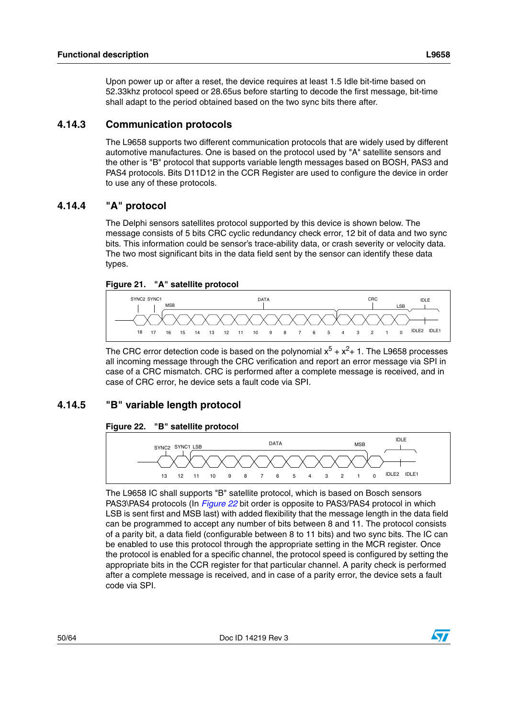Upon power up or after a reset, the device requires at least 1.5 Idle bit-time based on 52.33khz protocol speed or 28.65us before starting to decode the first message, bit-time shall adapt to the period obtained based on the two sync bits there after.

### <span id="page-49-0"></span>**4.14.3 Communication protocols**

The L9658 supports two different communication protocols that are widely used by different automotive manufactures. One is based on the protocol used by "A" satellite sensors and the other is "B" protocol that supports variable length messages based on BOSH, PAS3 and PAS4 protocols. Bits D11D12 in the CCR Register are used to configure the device in order to use any of these protocols.

### <span id="page-49-1"></span>**4.14.4 "A" protocol**

The Delphi sensors satellites protocol supported by this device is shown below. The message consists of 5 bits CRC cyclic redundancy check error, 12 bit of data and two sync bits. This information could be sensor's trace-ability data, or crash severity or velocity data. The two most significant bits in the data field sent by the sensor can identify these data types.

<span id="page-49-3"></span>![](_page_49_Figure_6.jpeg)

![](_page_49_Figure_7.jpeg)

The CRC error detection code is based on the polynomial  $x^5 + x^2 + 1$ . The L9658 processes all incoming message through the CRC verification and report an error message via SPI in case of a CRC mismatch. CRC is performed after a complete message is received, and in case of CRC error, he device sets a fault code via SPI.

# <span id="page-49-2"></span>**4.14.5 "B" variable length protocol**

### <span id="page-49-4"></span>**Figure 22. "B" satellite protocol**

![](_page_49_Figure_11.jpeg)

The L9658 IC shall supports "B" satellite protocol, which is based on Bosch sensors PAS3\PAS4 protocols (In *[Figure 22](#page-49-4)* bit order is opposite to PAS3/PAS4 protocol in which LSB is sent first and MSB last) with added flexibility that the message length in the data field can be programmed to accept any number of bits between 8 and 11. The protocol consists of a parity bit, a data field (configurable between 8 to 11 bits) and two sync bits. The IC can be enabled to use this protocol through the appropriate setting in the MCR register. Once the protocol is enabled for a specific channel, the protocol speed is configured by setting the appropriate bits in the CCR register for that particular channel. A parity check is performed after a complete message is received, and in case of a parity error, the device sets a fault code via SPI.

**ST**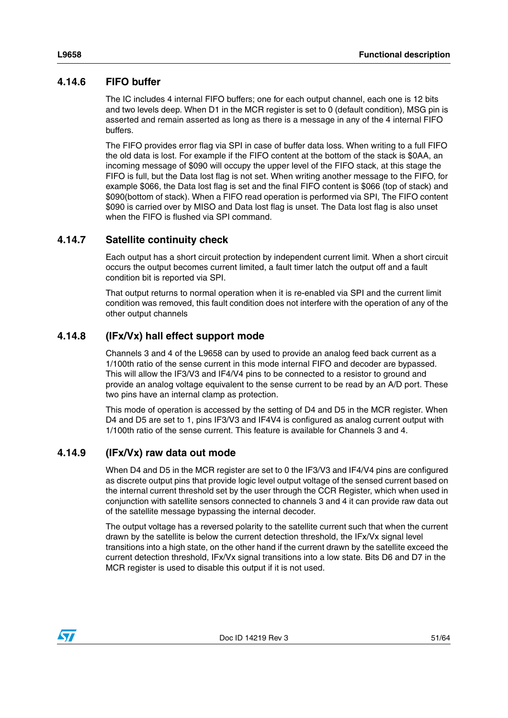### <span id="page-50-0"></span>**4.14.6 FIFO buffer**

The IC includes 4 internal FIFO buffers; one for each output channel, each one is 12 bits and two levels deep. When D1 in the MCR register is set to 0 (default condition), MSG pin is asserted and remain asserted as long as there is a message in any of the 4 internal FIFO buffers.

The FIFO provides error flag via SPI in case of buffer data loss. When writing to a full FIFO the old data is lost. For example if the FIFO content at the bottom of the stack is \$0AA, an incoming message of \$090 will occupy the upper level of the FIFO stack, at this stage the FIFO is full, but the Data lost flag is not set. When writing another message to the FIFO, for example \$066, the Data lost flag is set and the final FIFO content is \$066 (top of stack) and \$090(bottom of stack). When a FIFO read operation is performed via SPI, The FIFO content \$090 is carried over by MISO and Data lost flag is unset. The Data lost flag is also unset when the FIFO is flushed via SPI command.

### <span id="page-50-1"></span>**4.14.7 Satellite continuity check**

Each output has a short circuit protection by independent current limit. When a short circuit occurs the output becomes current limited, a fault timer latch the output off and a fault condition bit is reported via SPI.

That output returns to normal operation when it is re-enabled via SPI and the current limit condition was removed, this fault condition does not interfere with the operation of any of the other output channels

### <span id="page-50-2"></span>**4.14.8 (IFx/Vx) hall effect support mode**

Channels 3 and 4 of the L9658 can by used to provide an analog feed back current as a 1/100th ratio of the sense current in this mode internal FIFO and decoder are bypassed. This will allow the IF3/V3 and IF4/V4 pins to be connected to a resistor to ground and provide an analog voltage equivalent to the sense current to be read by an A/D port. These two pins have an internal clamp as protection.

This mode of operation is accessed by the setting of D4 and D5 in the MCR register. When D4 and D5 are set to 1, pins IF3/V3 and IF4V4 is configured as analog current output with 1/100th ratio of the sense current. This feature is available for Channels 3 and 4.

### <span id="page-50-3"></span>**4.14.9 (IFx/Vx) raw data out mode**

When D4 and D5 in the MCR register are set to 0 the IF3/V3 and IF4/V4 pins are configured as discrete output pins that provide logic level output voltage of the sensed current based on the internal current threshold set by the user through the CCR Register, which when used in conjunction with satellite sensors connected to channels 3 and 4 it can provide raw data out of the satellite message bypassing the internal decoder.

The output voltage has a reversed polarity to the satellite current such that when the current drawn by the satellite is below the current detection threshold, the IFx/Vx signal level transitions into a high state, on the other hand if the current drawn by the satellite exceed the current detection threshold, IFx/Vx signal transitions into a low state. Bits D6 and D7 in the MCR register is used to disable this output if it is not used.

![](_page_50_Picture_13.jpeg)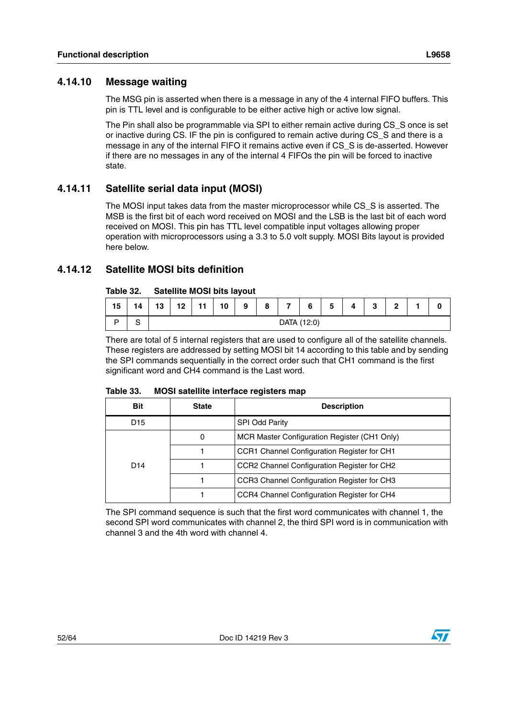# <span id="page-51-0"></span>**4.14.10 Message waiting**

The MSG pin is asserted when there is a message in any of the 4 internal FIFO buffers. This pin is TTL level and is configurable to be either active high or active low signal.

The Pin shall also be programmable via SPI to either remain active during CS\_S once is set or inactive during CS. IF the pin is configured to remain active during CS\_S and there is a message in any of the internal FIFO it remains active even if CS\_S is de-asserted. However if there are no messages in any of the internal 4 FIFOs the pin will be forced to inactive state.

# <span id="page-51-1"></span>**4.14.11 Satellite serial data input (MOSI)**

The MOSI input takes data from the master microprocessor while CS\_S is asserted. The MSB is the first bit of each word received on MOSI and the LSB is the last bit of each word received on MOSI. This pin has TTL level compatible input voltages allowing proper operation with microprocessors using a 3.3 to 5.0 volt supply. MOSI Bits layout is provided here below.

# <span id="page-51-2"></span>**4.14.12 Satellite MOSI bits definition**

#### <span id="page-51-3"></span>Tahle 32 **Table 32. Satellite MOSI bits layout**

| .  |    | <b>DUIDING MOOI DIG MYOUL</b> |    |     |    |   |   |                |   |   |   |        |        |  |  |
|----|----|-------------------------------|----|-----|----|---|---|----------------|---|---|---|--------|--------|--|--|
| 15 | 14 | 13                            | 12 | - 4 | 10 | 9 | 8 | $\overline{ }$ | 6 | 5 | 4 | ≏<br>J | $\sim$ |  |  |
| n  | o  | DATA (12:0)                   |    |     |    |   |   |                |   |   |   |        |        |  |  |

There are total of 5 internal registers that are used to configure all of the satellite channels. These registers are addressed by setting MOSI bit 14 according to this table and by sending the SPI commands sequentially in the correct order such that CH1 command is the first significant word and CH4 command is the Last word.

#### <span id="page-51-4"></span>Table 33 **MOSI satellite interface registers map**

| <b>Bit</b>      | <b>State</b> | <b>Description</b>                           |
|-----------------|--------------|----------------------------------------------|
| D <sub>15</sub> |              | <b>SPI Odd Parity</b>                        |
|                 | 0            | MCR Master Configuration Register (CH1 Only) |
|                 |              | CCR1 Channel Configuration Register for CH1  |
| D <sub>14</sub> |              | CCR2 Channel Configuration Register for CH2  |
|                 |              | CCR3 Channel Configuration Register for CH3  |
|                 |              | CCR4 Channel Configuration Register for CH4  |

The SPI command sequence is such that the first word communicates with channel 1, the second SPI word communicates with channel 2, the third SPI word is in communication with channel 3 and the 4th word with channel 4.

![](_page_51_Picture_15.jpeg)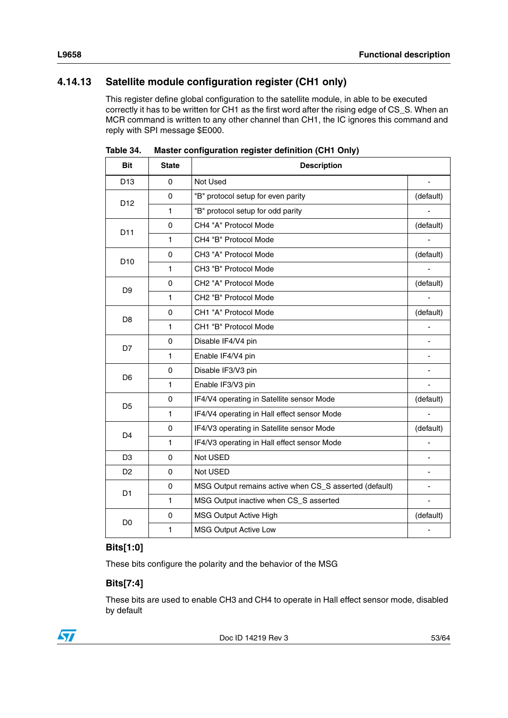# <span id="page-52-0"></span>**4.14.13 Satellite module configuration register (CH1 only)**

This register define global configuration to the satellite module, in able to be executed correctly it has to be written for CH1 as the first word after the rising edge of CS\_S. When an MCR command is written to any other channel than CH1, the IC ignores this command and reply with SPI message \$E000.

| <b>Bit</b>      | <b>State</b> | <b>Description</b>                                     |                          |
|-----------------|--------------|--------------------------------------------------------|--------------------------|
| D <sub>13</sub> | $\Omega$     | Not Used                                               |                          |
| D <sub>12</sub> | $\mathbf 0$  | "B" protocol setup for even parity                     | (default)                |
|                 | $\mathbf{1}$ | "B" protocol setup for odd parity                      |                          |
| D11             | 0            | CH4 "A" Protocol Mode                                  | (default)                |
|                 | $\mathbf{1}$ | CH4 "B" Protocol Mode                                  |                          |
| D <sub>10</sub> | 0            | CH3 "A" Protocol Mode                                  | (default)                |
|                 | $\mathbf{1}$ | CH3 "B" Protocol Mode                                  |                          |
| D <sub>9</sub>  | $\Omega$     | CH2 "A" Protocol Mode                                  | (default)                |
|                 | $\mathbf{1}$ | CH2 "B" Protocol Mode                                  |                          |
| D <sub>8</sub>  | 0            | CH1 "A" Protocol Mode                                  | (default)                |
|                 | $\mathbf{1}$ | CH1 "B" Protocol Mode                                  |                          |
| D7              | 0            | Disable IF4/V4 pin                                     |                          |
|                 | $\mathbf{1}$ | Enable IF4/V4 pin                                      |                          |
| D <sub>6</sub>  | $\mathbf 0$  | Disable IF3/V3 pin                                     |                          |
|                 | $\mathbf{1}$ | Enable IF3/V3 pin                                      | $\overline{\phantom{a}}$ |
| D <sub>5</sub>  | 0            | IF4/V4 operating in Satellite sensor Mode              | (default)                |
|                 | 1            | IF4/V4 operating in Hall effect sensor Mode            |                          |
| D <sub>4</sub>  | $\Omega$     | IF4/V3 operating in Satellite sensor Mode              | (default)                |
|                 | $\mathbf{1}$ | IF4/V3 operating in Hall effect sensor Mode            |                          |
| D <sub>3</sub>  | $\mathbf 0$  | Not USED                                               |                          |
| D <sub>2</sub>  | 0            | Not USED                                               | ٠                        |
| D <sub>1</sub>  | 0            | MSG Output remains active when CS_S asserted (default) |                          |
|                 | $\mathbf{1}$ | MSG Output inactive when CS_S asserted                 |                          |
| D <sub>0</sub>  | 0            | MSG Output Active High                                 | (default)                |
|                 | 1            | MSG Output Active Low                                  |                          |

<span id="page-52-1"></span>Table 34. **Master configuration register definition (CH1 Only)** 

### **Bits[1:0]**

These bits configure the polarity and the behavior of the MSG

### **Bits[7:4]**

These bits are used to enable CH3 and CH4 to operate in Hall effect sensor mode, disabled by default

![](_page_52_Picture_9.jpeg)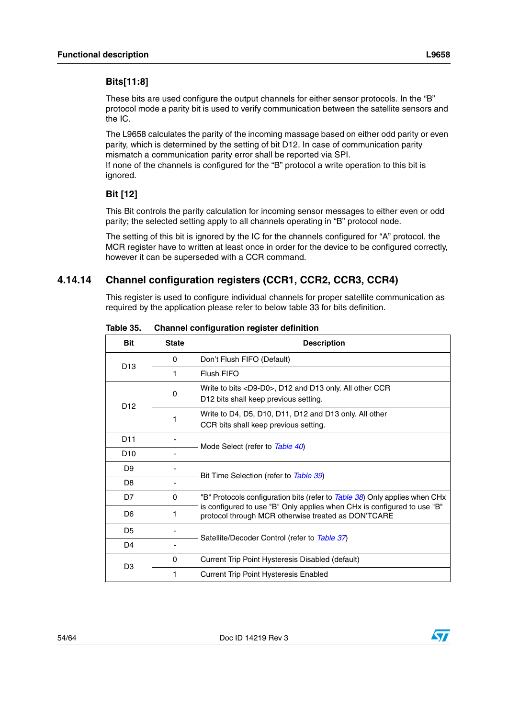### **Bits[11:8]**

These bits are used configure the output channels for either sensor protocols. In the "B" protocol mode a parity bit is used to verify communication between the satellite sensors and the IC.

The L9658 calculates the parity of the incoming massage based on either odd parity or even parity, which is determined by the setting of bit D12. In case of communication parity mismatch a communication parity error shall be reported via SPI.

If none of the channels is configured for the "B" protocol a write operation to this bit is ignored.

### **Bit [12]**

This Bit controls the parity calculation for incoming sensor messages to either even or odd parity; the selected setting apply to all channels operating in "B" protocol node.

The setting of this bit is ignored by the IC for the channels configured for "A" protocol. the MCR register have to written at least once in order for the device to be configured correctly, however it can be superseded with a CCR command.

# **4.14.14 Channel configuration registers (CCR1, CCR2, CCR3, CCR4)**

This register is used to configure individual channels for proper satellite communication as required by the application please refer to below table 33 for bits definition.

| <b>Bit</b>      | <b>State</b> | <b>Description</b>                                                                                                             |  |  |
|-----------------|--------------|--------------------------------------------------------------------------------------------------------------------------------|--|--|
| D <sub>13</sub> | $\Omega$     | Don't Flush FIFO (Default)                                                                                                     |  |  |
|                 | 1            | Flush FIFO                                                                                                                     |  |  |
| D <sub>12</sub> | 0            | Write to bits <d9-d0>, D12 and D13 only. All other CCR<br/>D12 bits shall keep previous setting.</d9-d0>                       |  |  |
|                 |              | Write to D4, D5, D10, D11, D12 and D13 only. All other<br>CCR bits shall keep previous setting.                                |  |  |
| D <sub>11</sub> |              |                                                                                                                                |  |  |
| D <sub>10</sub> |              | Mode Select (refer to Table 40)                                                                                                |  |  |
| D <sub>9</sub>  |              | Bit Time Selection (refer to Table 39)                                                                                         |  |  |
| D <sub>8</sub>  |              |                                                                                                                                |  |  |
| D7              | 0            | "B" Protocols configuration bits (refer to Table 38) Only applies when CHx                                                     |  |  |
| D <sub>6</sub>  |              | is configured to use "B" Only applies when CHx is configured to use "B"<br>protocol through MCR otherwise treated as DON'TCARE |  |  |
| D <sub>5</sub>  |              |                                                                                                                                |  |  |
| D4              |              | Satellite/Decoder Control (refer to Table 37)                                                                                  |  |  |
| D <sub>3</sub>  | $\Omega$     | Current Trip Point Hysteresis Disabled (default)                                                                               |  |  |
|                 | 1            | <b>Current Trip Point Hysteresis Enabled</b>                                                                                   |  |  |

<span id="page-53-0"></span>Table 35. **Channel configuration register definition** 

![](_page_53_Picture_14.jpeg)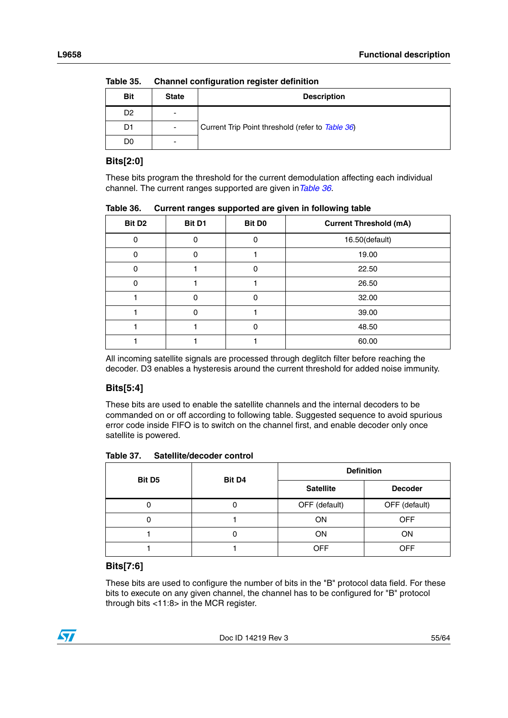| <b>Bit</b>     | <b>State</b>             | <b>Description</b>                               |  |  |  |  |
|----------------|--------------------------|--------------------------------------------------|--|--|--|--|
| D <sub>2</sub> | -                        |                                                  |  |  |  |  |
| D1             | $\overline{\phantom{a}}$ | Current Trip Point threshold (refer to Table 36) |  |  |  |  |
| D0             | $\blacksquare$           |                                                  |  |  |  |  |

**Table 35. Channel configuration register definition**

### **Bits[2:0]**

These bits program the threshold for the current demodulation affecting each individual channel. The current ranges supported are given in*[Table 36](#page-54-0)*.

| - 3<br>- --pp - -<br>- -- -<br>- 32 |        |                    |                               |  |  |  |  |  |  |
|-------------------------------------|--------|--------------------|-------------------------------|--|--|--|--|--|--|
| Bit D <sub>2</sub>                  | Bit D1 | Bit D <sub>0</sub> | <b>Current Threshold (mA)</b> |  |  |  |  |  |  |
| $\mathbf 0$                         | 0      | 0                  | 16.50(default)                |  |  |  |  |  |  |
| 0                                   | 0      |                    | 19.00                         |  |  |  |  |  |  |
| 0                                   |        | 0                  | 22.50                         |  |  |  |  |  |  |
| 0                                   |        |                    | 26.50                         |  |  |  |  |  |  |
|                                     | 0      | 0                  | 32.00                         |  |  |  |  |  |  |
|                                     | ი      |                    | 39.00                         |  |  |  |  |  |  |
|                                     |        | 0                  | 48.50                         |  |  |  |  |  |  |
|                                     |        |                    | 60.00                         |  |  |  |  |  |  |

<span id="page-54-0"></span>Table 36. **Current ranges supported are given in following table** 

All incoming satellite signals are processed through deglitch filter before reaching the decoder. D3 enables a hysteresis around the current threshold for added noise immunity.

# **Bits[5:4]**

These bits are used to enable the satellite channels and the internal decoders to be commanded on or off according to following table. Suggested sequence to avoid spurious error code inside FIFO is to switch on the channel first, and enable decoder only once satellite is powered.

<span id="page-54-1"></span>Table 37. **Table 37. Satellite/decoder control**

| <b>Bit D5</b> | Bit D <sub>4</sub> | <b>Definition</b> |                |  |
|---------------|--------------------|-------------------|----------------|--|
|               |                    | <b>Satellite</b>  | <b>Decoder</b> |  |
|               |                    | OFF (default)     | OFF (default)  |  |
|               |                    | ON                | <b>OFF</b>     |  |
|               |                    | ON                | <b>ON</b>      |  |
|               |                    | <b>OFF</b>        | <b>OFF</b>     |  |

### **Bits[7:6]**

These bits are used to configure the number of bits in the "B" protocol data field. For these bits to execute on any given channel, the channel has to be configured for "B" protocol through bits <11:8> in the MCR register.

![](_page_54_Picture_14.jpeg)

![](_page_54_Picture_17.jpeg)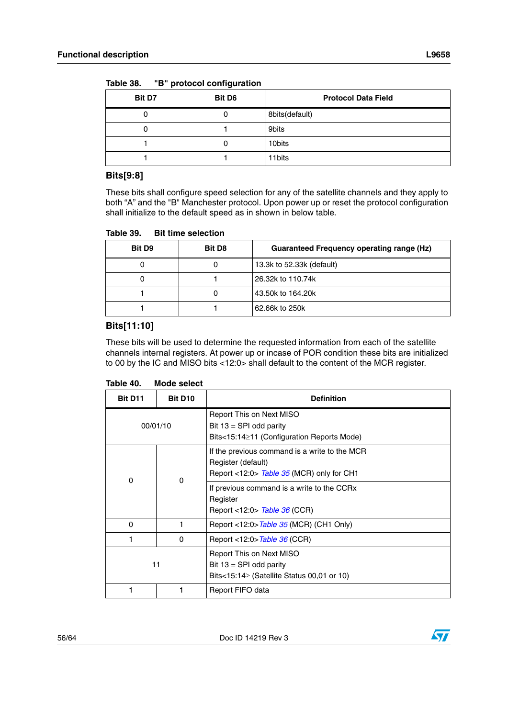57

| <b>Bit D7</b> | Bit D6 | <b>Protocol Data Field</b> |
|---------------|--------|----------------------------|
|               | U      | 8bits(default)             |
|               |        | 9bits                      |
|               |        | 10bits                     |
|               |        | 11bits                     |

<span id="page-55-0"></span>Table 38. **Table 38. "B" protocol configuration**

### **Bits[9:8]**

These bits shall configure speed selection for any of the satellite channels and they apply to both "A" and the "B" Manchester protocol. Upon power up or reset the protocol configuration shall initialize to the default speed as in shown in below table.

<span id="page-55-1"></span>Table 39. **Bit time selection** 

| <b>Bit D9</b> | <b>Bit D8</b> | <b>Guaranteed Frequency operating range (Hz)</b> |
|---------------|---------------|--------------------------------------------------|
|               |               | 13.3k to 52.33k (default)                        |
|               |               | 26.32k to 110.74k                                |
|               |               | 43.50k to 164.20k                                |
|               |               | 62.66k to 250k                                   |

### **Bits[11:10]**

These bits will be used to determine the requested information from each of the satellite channels internal registers. At power up or incase of POR condition these bits are initialized to 00 by the IC and MISO bits <12:0> shall default to the content of the MCR register.

<span id="page-55-2"></span>

| Table 40. | Mode select |
|-----------|-------------|
|-----------|-------------|

| <b>Bit D11</b>          | Bit D <sub>10</sub> | <b>Definition</b>                                                                                                |
|-------------------------|---------------------|------------------------------------------------------------------------------------------------------------------|
| 00/01/10                |                     | Report This on Next MISO<br>Bit $13 = SPI$ odd parity<br>Bits<15:14≥11 (Configuration Reports Mode)              |
| $\mathbf 0$<br>$\Omega$ |                     | If the previous command is a write to the MCR<br>Register (default)<br>Report <12:0> Table 35 (MCR) only for CH1 |
|                         |                     | If previous command is a write to the CCRx<br>Register<br>Report <12:0> Table 36 (CCR)                           |
| $\Omega$                | 1                   | Report <12:0>Table 35 (MCR) (CH1 Only)                                                                           |
|                         | 0                   | Report <12:0>Table 36 (CCR)                                                                                      |
| 11                      |                     | Report This on Next MISO<br>Bit $13 = SPI$ odd parity<br>Bits<15:14 $\ge$ (Satellite Status 00,01 or 10)         |
|                         |                     | Report FIFO data                                                                                                 |

![](_page_55_Picture_13.jpeg)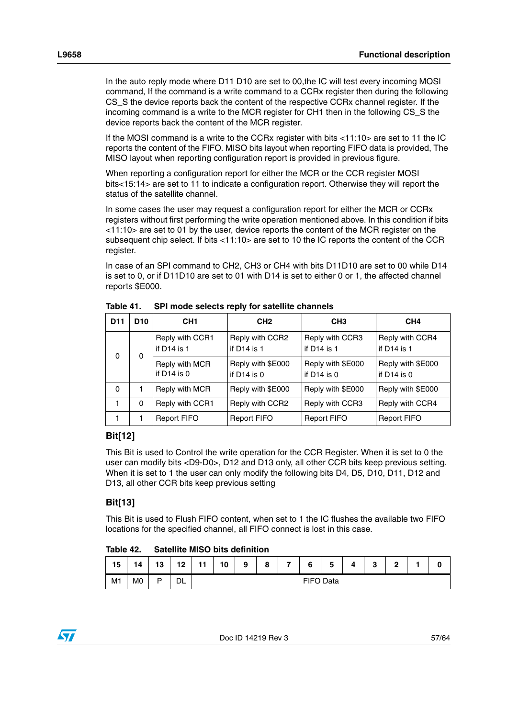In the auto reply mode where D11 D10 are set to 00,the IC will test every incoming MOSI command, If the command is a write command to a CCRx register then during the following CS\_S the device reports back the content of the respective CCRx channel register. If the incoming command is a write to the MCR register for CH1 then in the following CS\_S the device reports back the content of the MCR register.

If the MOSI command is a write to the CCRx register with bits <11:10> are set to 11 the IC reports the content of the FIFO. MISO bits layout when reporting FIFO data is provided, The MISO layout when reporting configuration report is provided in previous figure.

When reporting a configuration report for either the MCR or the CCR register MOSI bits<15:14> are set to 11 to indicate a configuration report. Otherwise they will report the status of the satellite channel.

In some cases the user may request a configuration report for either the MCR or CCRx registers without first performing the write operation mentioned above. In this condition if bits <11:10> are set to 01 by the user, device reports the content of the MCR register on the subsequent chip select. If bits  $\langle 11:10 \rangle$  are set to 10 the IC reports the content of the CCR register.

In case of an SPI command to CH2, CH3 or CH4 with bits D11D10 are set to 00 while D14 is set to 0, or if D11D10 are set to 01 with D14 is set to either 0 or 1, the affected channel reports \$E000.

| D <sub>11</sub> | D <sub>10</sub> | CH <sub>1</sub>                  | CH <sub>2</sub>                    | CH <sub>3</sub>                    | CH <sub>4</sub>                    |
|-----------------|-----------------|----------------------------------|------------------------------------|------------------------------------|------------------------------------|
| $\Omega$        | 0               | Reply with CCR1<br>if $D14$ is 1 | Reply with CCR2<br>if $D14$ is 1   | Reply with CCR3<br>if $D14$ is $1$ | Reply with CCR4<br>if D14 is 1     |
|                 |                 | Reply with MCR<br>if $D14$ is 0  | Reply with \$E000<br>if $D14$ is 0 | Reply with \$E000<br>if $D14$ is 0 | Reply with \$E000<br>if $D14$ is 0 |
| 0               |                 | Reply with MCR                   | Reply with \$E000                  | Reply with \$E000                  | Reply with \$E000                  |
| 1               | 0               | Reply with CCR1                  | Reply with CCR2                    | Reply with CCR3                    | Reply with CCR4                    |
|                 |                 | <b>Report FIFO</b>               | <b>Report FIFO</b>                 | <b>Report FIFO</b>                 | <b>Report FIFO</b>                 |

<span id="page-56-0"></span>Table 41 **SPI mode selects reply for satellite channels** 

### **Bit[12]**

This Bit is used to Control the write operation for the CCR Register. When it is set to 0 the user can modify bits <D9-D0>, D12 and D13 only, all other CCR bits keep previous setting. When it is set to 1 the user can only modify the following bits D4, D5, D10, D11, D12 and D13, all other CCR bits keep previous setting

### **Bit[13]**

This Bit is used to Flush FIFO content, when set to 1 the IC flushes the available two FIFO locations for the specified channel, all FIFO connect is lost in this case.

#### <span id="page-56-1"></span>Table 42 **Satellite MISO bits definition**

| 15             | 14 | 13 | 12 | $-1$<br>. . | 10 | 9 | $\Omega$<br>o | - | 6 | Е<br>ວ | 4 | $\sqrt{2}$<br>v | $\mathbf{r}$<br>= |  | 0 |
|----------------|----|----|----|-------------|----|---|---------------|---|---|--------|---|-----------------|-------------------|--|---|
| M <sub>1</sub> | M0 | D  | DL | FIFO Data   |    |   |               |   |   |        |   |                 |                   |  |   |

![](_page_56_Picture_15.jpeg)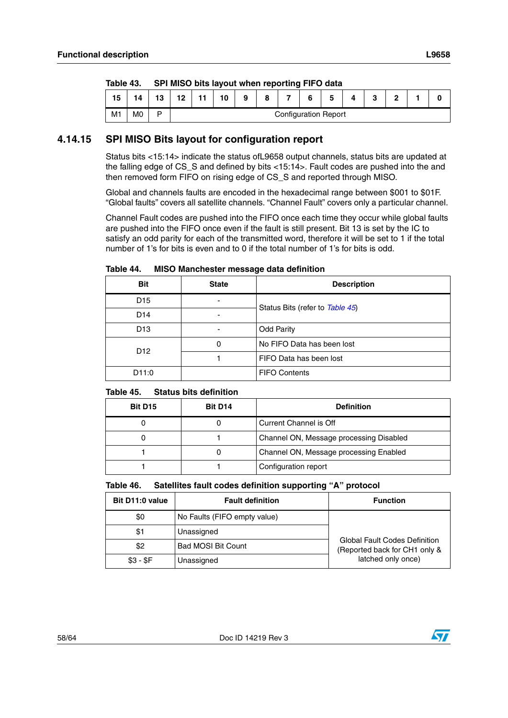| $I$ anic 40. |    | <b>SET MISO DRS REPORT MILLER LEDOI GITY I</b> IT O GARA |  |                             |    |   |   |   |   |   |  |   |  |  |  |
|--------------|----|----------------------------------------------------------|--|-----------------------------|----|---|---|---|---|---|--|---|--|--|--|
| 15           | 14 | 13                                                       |  |                             | 10 | 9 | 8 | ⇁ | 6 | 5 |  | c |  |  |  |
| M1           | M0 |                                                          |  | <b>Configuration Report</b> |    |   |   |   |   |   |  |   |  |  |  |

<span id="page-57-1"></span>Table 43 **Table 43. SPI MISO bits layout when reporting FIFO data**

### <span id="page-57-0"></span>**4.14.15 SPI MISO Bits layout for configuration report**

Status bits <15:14> indicate the status ofL9658 output channels, status bits are updated at the falling edge of CS\_S and defined by bits <15:14>. Fault codes are pushed into the and then removed form FIFO on rising edge of CS\_S and reported through MISO.

Global and channels faults are encoded in the hexadecimal range between \$001 to \$01F. "Global faults" covers all satellite channels. "Channel Fault" covers only a particular channel.

Channel Fault codes are pushed into the FIFO once each time they occur while global faults are pushed into the FIFO once even if the fault is still present. Bit 13 is set by the IC to satisfy an odd parity for each of the transmitted word, therefore it will be set to 1 if the total number of 1's for bits is even and to 0 if the total number of 1's for bits is odd.

|            | Table 44.       | MISO Manchester message data definition |                                 |  |  |
|------------|-----------------|-----------------------------------------|---------------------------------|--|--|
| <b>Bit</b> |                 | <b>State</b>                            | <b>Description</b>              |  |  |
|            | D <sub>15</sub> | -                                       | Status Bits (refer to Table 45) |  |  |
|            | D <sub>14</sub> |                                         |                                 |  |  |
|            | D <sub>13</sub> |                                         | <b>Odd Parity</b>               |  |  |
|            | D <sub>12</sub> | 0                                       | No FIFO Data has been lost      |  |  |
|            |                 |                                         | FIFO Data has been lost         |  |  |

<span id="page-57-2"></span> $-$  . . . . . **Table 44. MISO Manchester message data definition**

D11:0 | **FIFO Contents** 

#### <span id="page-57-3"></span>Table 45. **Status bits definition**

| Bit D <sub>15</sub> | Bit D <sub>14</sub> | <b>Definition</b>                       |
|---------------------|---------------------|-----------------------------------------|
|                     |                     | Current Channel is Off                  |
| U                   |                     | Channel ON, Message processing Disabled |
|                     |                     | Channel ON, Message processing Enabled  |
|                     |                     | Configuration report                    |

<span id="page-57-4"></span>

| Table 46. | Satellites fault codes definition supporting "A" protocol |
|-----------|-----------------------------------------------------------|
|-----------|-----------------------------------------------------------|

| Bit D11:0 value | <b>Fault definition</b>      | <b>Function</b>                                                       |  |
|-----------------|------------------------------|-----------------------------------------------------------------------|--|
| \$0             | No Faults (FIFO empty value) |                                                                       |  |
| \$1             | Unassigned                   |                                                                       |  |
| \$2             | <b>Bad MOSI Bit Count</b>    | <b>Global Fault Codes Definition</b><br>(Reported back for CH1 only & |  |
| $$3 - $F$       | Unassigned                   | latched only once)                                                    |  |

![](_page_57_Picture_15.jpeg)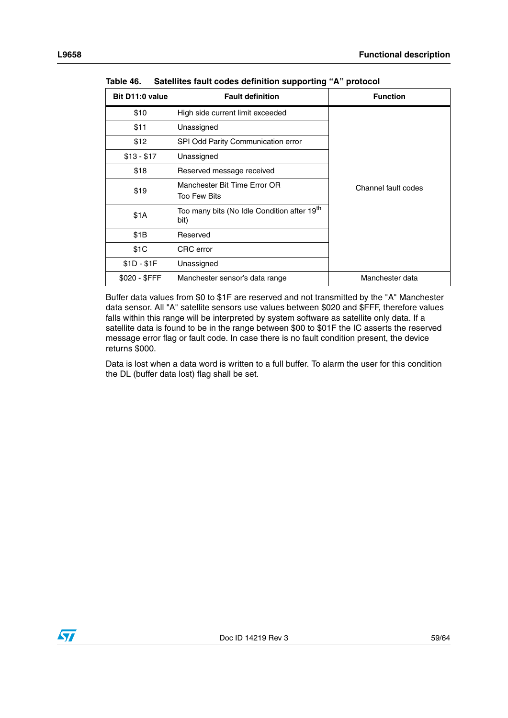| Bit D11:0 value | <b>Fault definition</b>                                         | <b>Function</b>     |
|-----------------|-----------------------------------------------------------------|---------------------|
| \$10            | High side current limit exceeded                                |                     |
| \$11            | Unassigned                                                      |                     |
| \$12            | SPI Odd Parity Communication error                              |                     |
| $$13 - $17$     | Unassigned                                                      |                     |
| \$18            | Reserved message received                                       |                     |
| \$19            | Manchester Bit Time Error OR<br>Too Few Bits                    | Channel fault codes |
| \$1A            | Too many bits (No Idle Condition after 19 <sup>th</sup><br>bit) |                     |
| \$1B            | Reserved                                                        |                     |
| \$1C            | CRC error                                                       |                     |
| $$1D - $1F$     | Unassigned                                                      |                     |
| \$020 - \$FFF   | Manchester sensor's data range                                  | Manchester data     |

**Table 46. Satellites fault codes definition supporting "A" protocol**

Buffer data values from \$0 to \$1F are reserved and not transmitted by the "A" Manchester data sensor. All "A" satellite sensors use values between \$020 and \$FFF, therefore values falls within this range will be interpreted by system software as satellite only data. If a satellite data is found to be in the range between \$00 to \$01F the IC asserts the reserved message error flag or fault code. In case there is no fault condition present, the device returns \$000.

Data is lost when a data word is written to a full buffer. To alarm the user for this condition the DL (buffer data lost) flag shall be set.

![](_page_58_Picture_6.jpeg)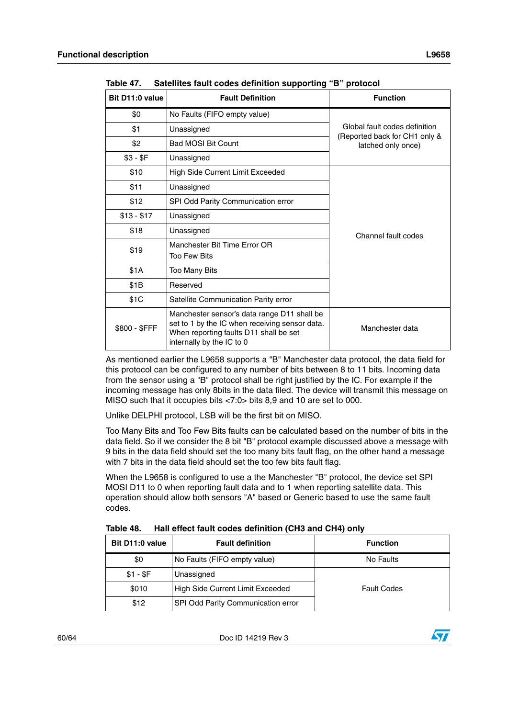| Bit D11:0 value | <b>Fault Definition</b>                                                                                                                                              | <b>Function</b>                                     |
|-----------------|----------------------------------------------------------------------------------------------------------------------------------------------------------------------|-----------------------------------------------------|
| \$0             | No Faults (FIFO empty value)                                                                                                                                         |                                                     |
| \$1             | Unassigned                                                                                                                                                           | Global fault codes definition                       |
| \$2             | <b>Bad MOSI Bit Count</b>                                                                                                                                            | (Reported back for CH1 only &<br>latched only once) |
| $$3 - $F$       | Unassigned                                                                                                                                                           |                                                     |
| \$10            | High Side Current Limit Exceeded                                                                                                                                     |                                                     |
| \$11            | Unassigned                                                                                                                                                           |                                                     |
| \$12            | SPI Odd Parity Communication error                                                                                                                                   |                                                     |
| $$13 - $17$     | Unassigned                                                                                                                                                           |                                                     |
| \$18            | Unassigned<br>Channel fault codes                                                                                                                                    |                                                     |
| \$19            | Manchester Bit Time Error OR<br>Too Few Bits                                                                                                                         |                                                     |
| \$1A            | Too Many Bits                                                                                                                                                        |                                                     |
| \$1B            | Reserved                                                                                                                                                             |                                                     |
| \$1C            | Satellite Communication Parity error                                                                                                                                 |                                                     |
| \$800 - \$FFF   | Manchester sensor's data range D11 shall be<br>set to 1 by the IC when receiving sensor data.<br>When reporting faults D11 shall be set<br>internally by the IC to 0 | Manchester data                                     |

<span id="page-59-0"></span>Table 47. **Table 47. Satellites fault codes definition supporting "B" protocol**

As mentioned earlier the L9658 supports a "B" Manchester data protocol, the data field for this protocol can be configured to any number of bits between 8 to 11 bits. Incoming data from the sensor using a "B" protocol shall be right justified by the IC. For example if the incoming message has only 8bits in the data filed. The device will transmit this message on MISO such that it occupies bits <7:0> bits 8,9 and 10 are set to 000.

Unlike DELPHI protocol, LSB will be the first bit on MISO.

Too Many Bits and Too Few Bits faults can be calculated based on the number of bits in the data field. So if we consider the 8 bit "B" protocol example discussed above a message with 9 bits in the data field should set the too many bits fault flag, on the other hand a message with 7 bits in the data field should set the too few bits fault flag.

When the L9658 is configured to use a the Manchester "B" protocol, the device set SPI MOSI D11 to 0 when reporting fault data and to 1 when reporting satellite data. This operation should allow both sensors "A" based or Generic based to use the same fault codes.

<span id="page-59-1"></span>

| Table 48. | Hall effect fault codes definition (CH3 and CH4) only |  |
|-----------|-------------------------------------------------------|--|
|-----------|-------------------------------------------------------|--|

| Bit D11:0 value | <b>Fault definition</b>                                | <b>Function</b> |
|-----------------|--------------------------------------------------------|-----------------|
| \$0             | No Faults (FIFO empty value)                           | No Faults       |
| $$1 - SF$       | Unassigned                                             |                 |
| \$010           | High Side Current Limit Exceeded<br><b>Fault Codes</b> |                 |
| \$12            | SPI Odd Parity Communication error                     |                 |

![](_page_59_Picture_12.jpeg)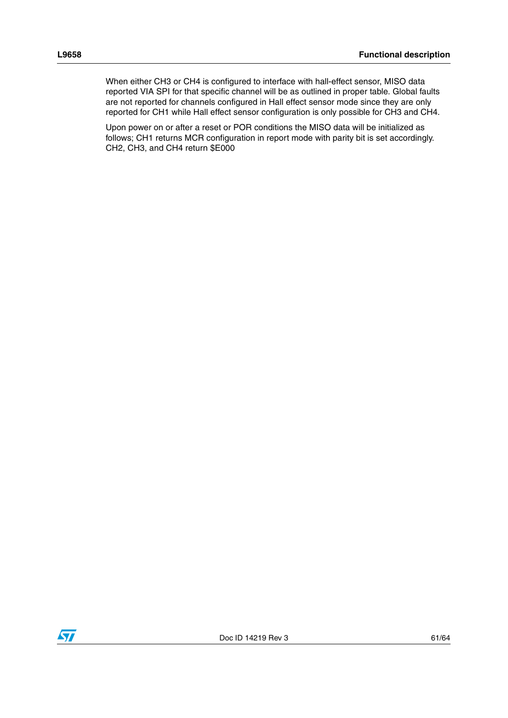When either CH3 or CH4 is configured to interface with hall-effect sensor, MISO data reported VIA SPI for that specific channel will be as outlined in proper table. Global faults are not reported for channels configured in Hall effect sensor mode since they are only reported for CH1 while Hall effect sensor configuration is only possible for CH3 and CH4.

Upon power on or after a reset or POR conditions the MISO data will be initialized as follows; CH1 returns MCR configuration in report mode with parity bit is set accordingly. CH2, CH3, and CH4 return \$E000

![](_page_60_Picture_4.jpeg)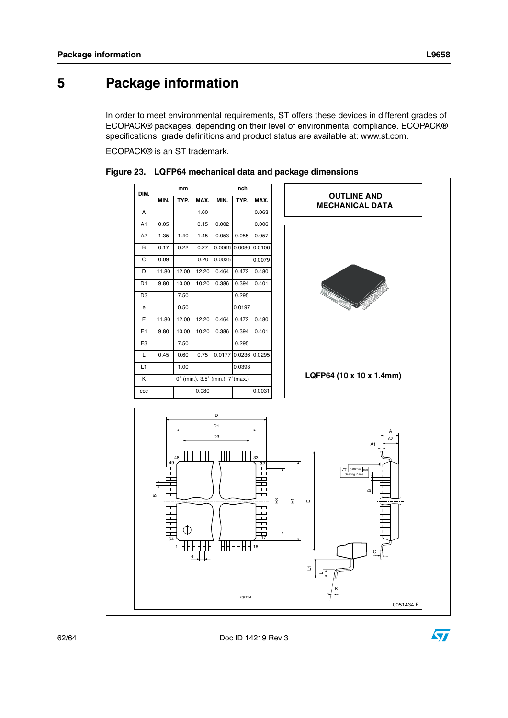$\bm{\varPi}$ 

# <span id="page-61-0"></span>**5 Package information**

In order to meet environmental requirements, ST offers these devices in different grades of ECOPACK® packages, depending on their level of environmental compliance. ECOPACK® specifications, grade definitions and product status are available at: www.st.com.

ECOPACK® is an ST trademark.

![](_page_61_Figure_5.jpeg)

<span id="page-61-1"></span>**Figure 23. LQFP64 mechanical data and package dimensions**

![](_page_61_Picture_7.jpeg)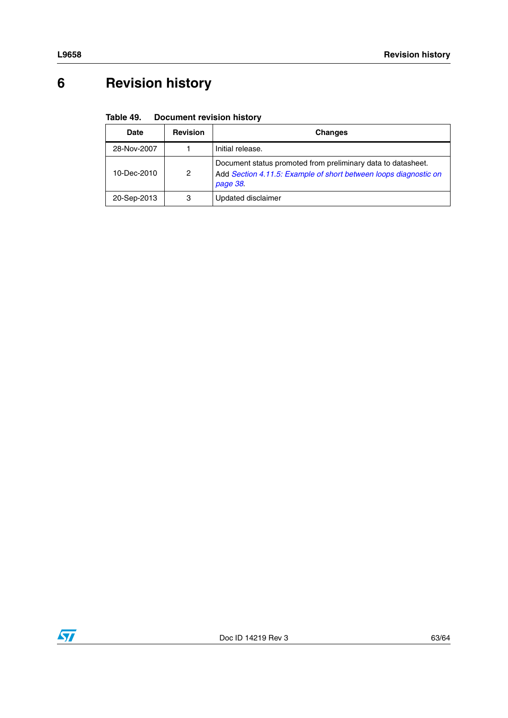# <span id="page-62-0"></span>**6 Revision history**

#### <span id="page-62-1"></span>Table 49. **Document revision history**

| Date        | <b>Revision</b> | <b>Changes</b>                                                                                                                               |
|-------------|-----------------|----------------------------------------------------------------------------------------------------------------------------------------------|
| 28-Nov-2007 |                 | Initial release.                                                                                                                             |
| 10-Dec-2010 | 2               | Document status promoted from preliminary data to datasheet.<br>Add Section 4.11.5: Example of short between loops diagnostic on<br>page 38. |
| 20-Sep-2013 | 3               | Updated disclaimer                                                                                                                           |

![](_page_62_Picture_4.jpeg)